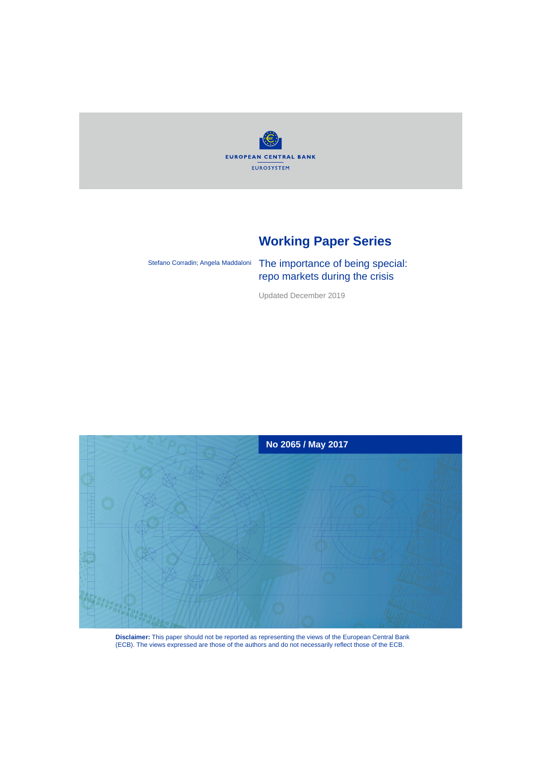

# **Working Paper Series**

Stefano Corradin; Angela Maddaloni

The importance of being special: repo markets during the crisis

Updated December 2019



**Disclaimer:** This paper should not be reported as representing the views of the European Central Bank (ECB). The views expressed are those of the authors and do not necessarily reflect those of the ECB.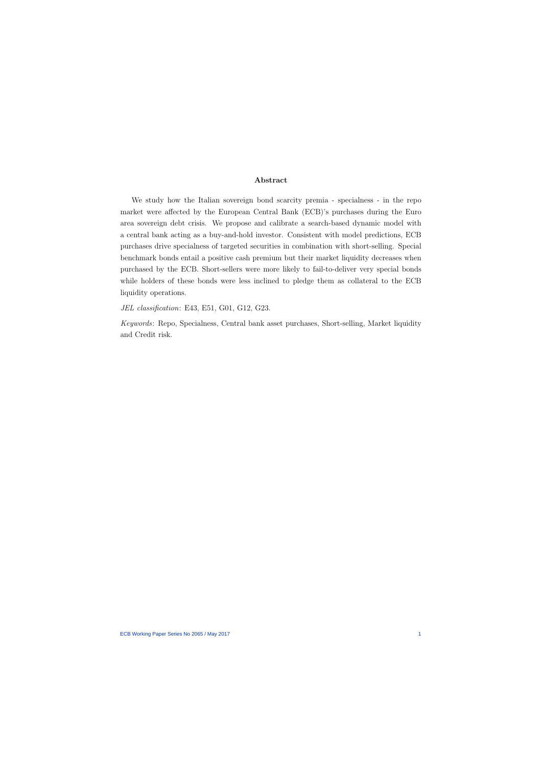## Abstract

We study how the Italian sovereign bond scarcity premia - specialness - in the repo market were affected by the European Central Bank (ECB)'s purchases during the Euro area sovereign debt crisis. We propose and calibrate a search-based dynamic model with a central bank acting as a buy-and-hold investor. Consistent with model predictions, ECB purchases drive specialness of targeted securities in combination with short-selling. Special benchmark bonds entail a positive cash premium but their market liquidity decreases when purchased by the ECB. Short-sellers were more likely to fail-to-deliver very special bonds while holders of these bonds were less inclined to pledge them as collateral to the ECB liquidity operations.

JEL classification: E43, E51, G01, G12, G23.

Keywords: Repo, Specialness, Central bank asset purchases, Short-selling, Market liquidity and Credit risk.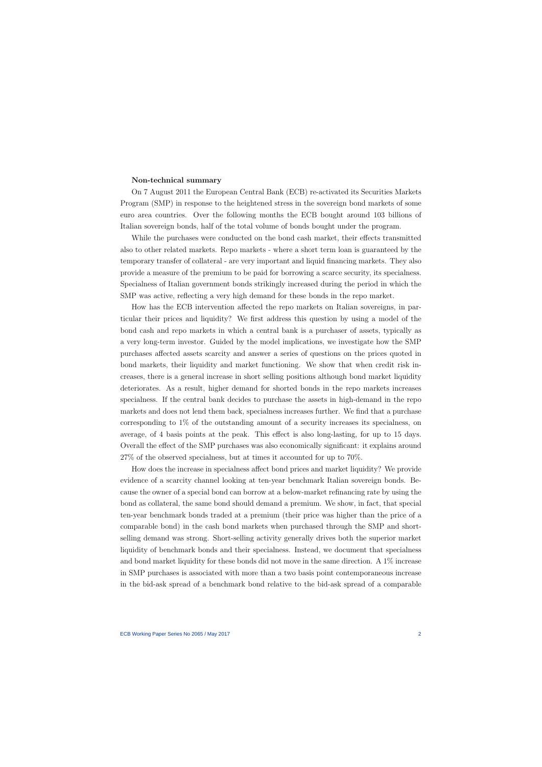#### Non-technical summary

On 7 August 2011 the European Central Bank (ECB) re-activated its Securities Markets Program (SMP) in response to the heightened stress in the sovereign bond markets of some euro area countries. Over the following months the ECB bought around 103 billions of Italian sovereign bonds, half of the total volume of bonds bought under the program.

While the purchases were conducted on the bond cash market, their effects transmitted also to other related markets. Repo markets - where a short term loan is guaranteed by the temporary transfer of collateral - are very important and liquid financing markets. They also provide a measure of the premium to be paid for borrowing a scarce security, its specialness. Specialness of Italian government bonds strikingly increased during the period in which the SMP was active, reflecting a very high demand for these bonds in the repo market.

How has the ECB intervention affected the repo markets on Italian sovereigns, in particular their prices and liquidity? We first address this question by using a model of the bond cash and repo markets in which a central bank is a purchaser of assets, typically as a very long-term investor. Guided by the model implications, we investigate how the SMP purchases affected assets scarcity and answer a series of questions on the prices quoted in bond markets, their liquidity and market functioning. We show that when credit risk increases, there is a general increase in short selling positions although bond market liquidity deteriorates. As a result, higher demand for shorted bonds in the repo markets increases specialness. If the central bank decides to purchase the assets in high-demand in the repo markets and does not lend them back, specialness increases further. We find that a purchase corresponding to  $1\%$  of the outstanding amount of a security increases its specialness, on average, of 4 basis points at the peak. This effect is also long-lasting, for up to 15 days. Overall the effect of the SMP purchases was also economically significant: it explains around 27% of the observed specialness, but at times it accounted for up to 70%.

How does the increase in specialness affect bond prices and market liquidity? We provide evidence of a scarcity channel looking at ten-year benchmark Italian sovereign bonds. Because the owner of a special bond can borrow at a below-market refinancing rate by using the bond as collateral, the same bond should demand a premium. We show, in fact, that special ten-year benchmark bonds traded at a premium (their price was higher than the price of a comparable bond) in the cash bond markets when purchased through the SMP and shortselling demand was strong. Short-selling activity generally drives both the superior market liquidity of benchmark bonds and their specialness. Instead, we document that specialness and bond market liquidity for these bonds did not move in the same direction. A 1% increase in SMP purchases is associated with more than a two basis point contemporaneous increase in the bid-ask spread of a benchmark bond relative to the bid-ask spread of a comparable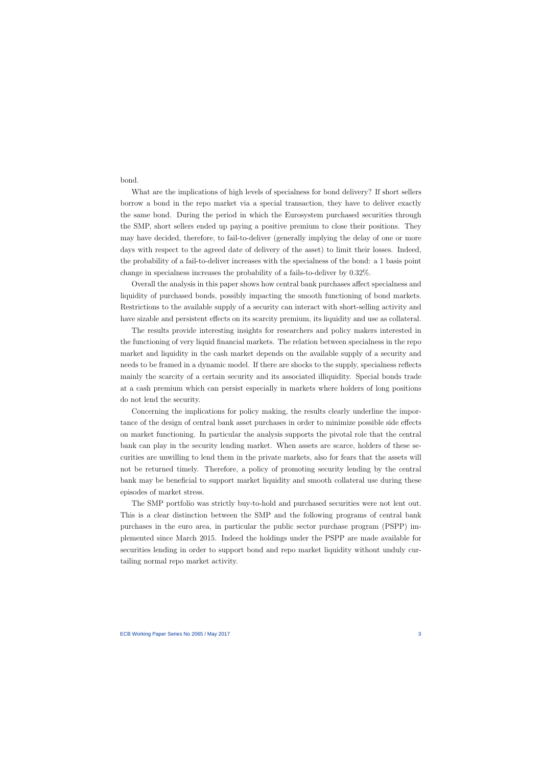bond.

What are the implications of high levels of specialness for bond delivery? If short sellers borrow a bond in the repo market via a special transaction, they have to deliver exactly the same bond. During the period in which the Eurosystem purchased securities through the SMP, short sellers ended up paying a positive premium to close their positions. They may have decided, therefore, to fail-to-deliver (generally implying the delay of one or more days with respect to the agreed date of delivery of the asset) to limit their losses. Indeed, the probability of a fail-to-deliver increases with the specialness of the bond: a 1 basis point change in specialness increases the probability of a fails-to-deliver by 0.32%.

Overall the analysis in this paper shows how central bank purchases affect specialness and liquidity of purchased bonds, possibly impacting the smooth functioning of bond markets. Restrictions to the available supply of a security can interact with short-selling activity and have sizable and persistent effects on its scarcity premium, its liquidity and use as collateral.

The results provide interesting insights for researchers and policy makers interested in the functioning of very liquid financial markets. The relation between specialness in the repo market and liquidity in the cash market depends on the available supply of a security and needs to be framed in a dynamic model. If there are shocks to the supply, specialness reflects mainly the scarcity of a certain security and its associated illiquidity. Special bonds trade at a cash premium which can persist especially in markets where holders of long positions do not lend the security.

Concerning the implications for policy making, the results clearly underline the importance of the design of central bank asset purchases in order to minimize possible side effects on market functioning. In particular the analysis supports the pivotal role that the central bank can play in the security lending market. When assets are scarce, holders of these securities are unwilling to lend them in the private markets, also for fears that the assets will not be returned timely. Therefore, a policy of promoting security lending by the central bank may be beneficial to support market liquidity and smooth collateral use during these episodes of market stress.

The SMP portfolio was strictly buy-to-hold and purchased securities were not lent out. This is a clear distinction between the SMP and the following programs of central bank purchases in the euro area, in particular the public sector purchase program (PSPP) implemented since March 2015. Indeed the holdings under the PSPP are made available for securities lending in order to support bond and repo market liquidity without unduly curtailing normal repo market activity.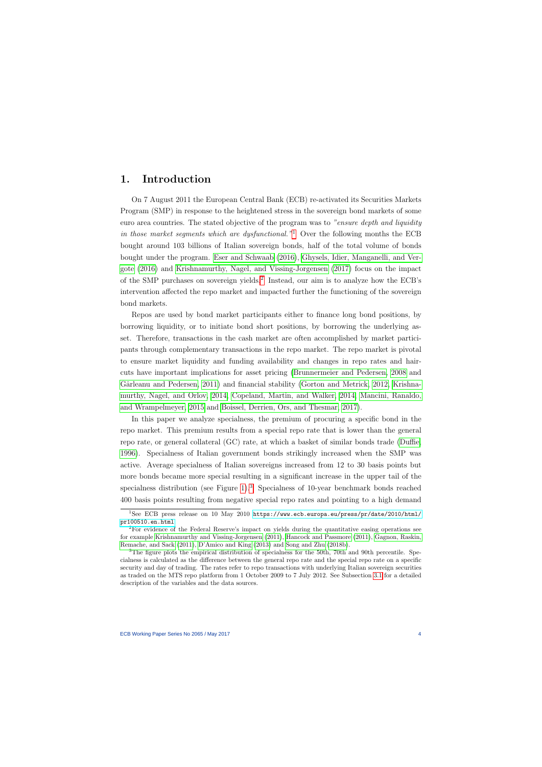# 1. Introduction

On 7 August 2011 the European Central Bank (ECB) re-activated its Securities Markets Program (SMP) in response to the heightened stress in the sovereign bond markets of some euro area countries. The stated objective of the program was to "ensure depth and liquidity in those market segments which are dysfunctional."<sup>[1](#page-4-0)</sup> Over the following months the ECB bought around 103 billions of Italian sovereign bonds, half of the total volume of bonds bought under the program. [Eser and Schwaab](#page-62-0) [\(2016\)](#page-62-0), [Ghysels, Idier, Manganelli, and Ver](#page-63-0)[gote](#page-63-0) [\(2016\)](#page-63-0) and [Krishnamurthy, Nagel, and Vissing-Jorgensen](#page-64-0) [\(2017\)](#page-64-0) focus on the impact of the SMP purchases on sovereign yields.<sup>[2](#page-4-1)</sup> Instead, our aim is to analyze how the ECB's intervention affected the repo market and impacted further the functioning of the sovereign bond markets.

<span id="page-4-3"></span>Repos are used by bond market participants either to finance long bond positions, by borrowing liquidity, or to initiate bond short positions, by borrowing the underlying asset. Therefore, transactions in the cash market are often accomplished by market participants through complementary transactions in the repo market. The repo market is pivotal to ensure market liquidity and funding availability and changes in repo rates and haircuts have important implications for asset pricing [\(Brunnermeier and Pedersen, 2008](#page-61-0) and Gârleanu and Pedersen, 2011) and financial stability [\(Gorton and Metrick, 2012,](#page-63-2) [Krishna](#page-64-1)[murthy, Nagel, and Orlov, 2014,](#page-64-1) [Copeland, Martin, and Walker, 2014,](#page-62-1) [Mancini, Ranaldo,](#page-64-2) [and Wrampelmeyer, 2015](#page-64-2) and [Boissel, Derrien, Ors, and Thesmar, 2017\)](#page-61-1).

In this paper we analyze specialness, the premium of procuring a specific bond in the repo market. This premium results from a special repo rate that is lower than the general repo rate, or general collateral (GC) rate, at which a basket of similar bonds trade [\(Duffie,](#page-62-2) [1996\)](#page-62-2). Specialness of Italian government bonds strikingly increased when the SMP was active. Average specialness of Italian sovereigns increased from 12 to 30 basis points but more bonds became more special resulting in a significant increase in the upper tail of the specialness distribution (see Figure [1\)](#page-39-0).<sup>[3](#page-4-2)</sup> Specialness of 10-year benchmark bonds reached 400 basis points resulting from negative special repo rates and pointing to a high demand

<sup>1</sup>See ECB press release on 10 May 2010 [https://www.ecb.europa.eu/press/pr/date/2010/html/](https://www.ecb.europa.eu/press/pr/date/2010/html/pr100510.en.html) [pr100510.en.html](https://www.ecb.europa.eu/press/pr/date/2010/html/pr100510.en.html).

<sup>2</sup>For evidence of the Federal Reserve's impact on yields during the quantitative easing operations see for example [Krishnamurthy and Vissing-Jorgensen](#page-64-3) [\(2011\)](#page-64-3), [Hancock and Passmore](#page-63-3) [\(2011\)](#page-63-3), [Gagnon, Raskin,](#page-63-4) [Remache, and Sack](#page-63-4) [\(2011\)](#page-63-4), [D'Amico and King](#page-62-3) [\(2013\)](#page-62-3) and [Song and Zhu](#page-65-0) [\(2018b\)](#page-65-0).

<span id="page-4-2"></span><span id="page-4-1"></span><span id="page-4-0"></span><sup>&</sup>lt;sup>3</sup>The figure plots the empirical distribution of specialness for the 50th, 70th and 90th percentile. Specialness is calculated as the difference between the general repo rate and the special repo rate on a specific security and day of trading. The rates refer to repo transactions with underlying Italian sovereign securities as traded on the MTS repo platform from 1 October 2009 to 7 July 2012. See Subsection [3.1](#page-11-0) for a detailed description of the variables and the data sources.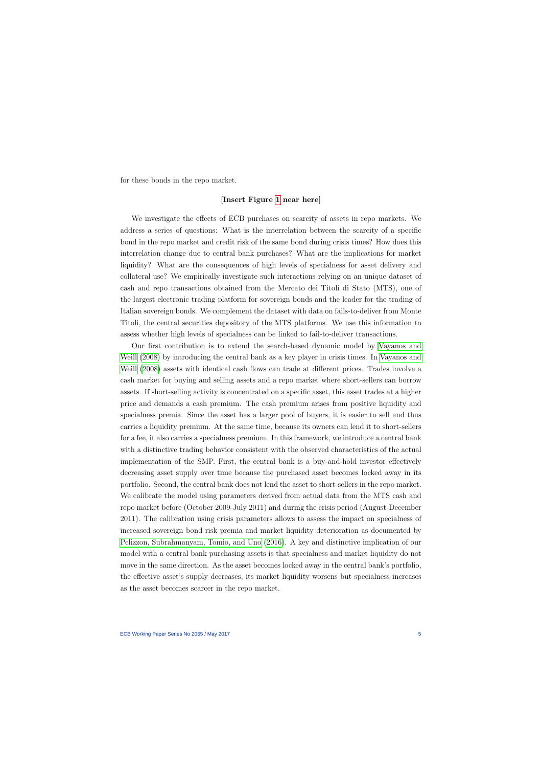for these bonds in the repo market.

#### [Insert Figure [1](#page-39-0) near here]

We investigate the effects of ECB purchases on scarcity of assets in repo markets. We address a series of questions: What is the interrelation between the scarcity of a specific bond in the repo market and credit risk of the same bond during crisis times? How does this interrelation change due to central bank purchases? What are the implications for market liquidity? What are the consequences of high levels of specialness for asset delivery and collateral use? We empirically investigate such interactions relying on an unique dataset of cash and repo transactions obtained from the Mercato dei Titoli di Stato (MTS), one of the largest electronic trading platform for sovereign bonds and the leader for the trading of Italian sovereign bonds. We complement the dataset with data on fails-to-deliver from Monte Titoli, the central securities depository of the MTS platforms. We use this information to assess whether high levels of specialness can be linked to fail-to-deliver transactions.

Our first contribution is to extend the search-based dynamic model by [Vayanos and](#page-65-1) [Weill](#page-65-1) [\(2008\)](#page-65-1) by introducing the central bank as a key player in crisis times. In [Vayanos and](#page-65-1) [Weill](#page-65-1) [\(2008\)](#page-65-1) assets with identical cash flows can trade at different prices. Trades involve a cash market for buying and selling assets and a repo market where short-sellers can borrow assets. If short-selling activity is concentrated on a specific asset, this asset trades at a higher price and demands a cash premium. The cash premium arises from positive liquidity and specialness premia. Since the asset has a larger pool of buyers, it is easier to sell and thus carries a liquidity premium. At the same time, because its owners can lend it to short-sellers for a fee, it also carries a specialness premium. In this framework, we introduce a central bank with a distinctive trading behavior consistent with the observed characteristics of the actual implementation of the SMP. First, the central bank is a buy-and-hold investor effectively decreasing asset supply over time because the purchased asset becomes locked away in its portfolio. Second, the central bank does not lend the asset to short-sellers in the repo market. We calibrate the model using parameters derived from actual data from the MTS cash and repo market before (October 2009-July 2011) and during the crisis period (August-December 2011). The calibration using crisis parameters allows to assess the impact on specialness of increased sovereign bond risk premia and market liquidity deterioration as documented by [Pelizzon, Subrahmanyam, Tomio, and Uno](#page-65-2) [\(2016\)](#page-65-2). A key and distinctive implication of our model with a central bank purchasing assets is that specialness and market liquidity do not move in the same direction. As the asset becomes locked away in the central bank's portfolio, the effective asset's supply decreases, its market liquidity worsens but specialness increases as the asset becomes scarcer in the repo market.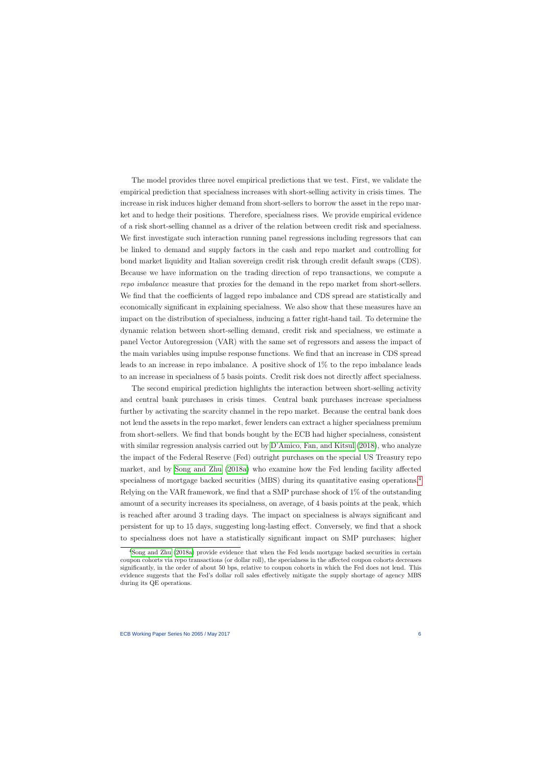The model provides three novel empirical predictions that we test. First, we validate the empirical prediction that specialness increases with short-selling activity in crisis times. The increase in risk induces higher demand from short-sellers to borrow the asset in the repo market and to hedge their positions. Therefore, specialness rises. We provide empirical evidence of a risk short-selling channel as a driver of the relation between credit risk and specialness. We first investigate such interaction running panel regressions including regressors that can be linked to demand and supply factors in the cash and repo market and controlling for bond market liquidity and Italian sovereign credit risk through credit default swaps (CDS). Because we have information on the trading direction of repo transactions, we compute a repo imbalance measure that proxies for the demand in the repo market from short-sellers. We find that the coefficients of lagged repo imbalance and CDS spread are statistically and economically significant in explaining specialness. We also show that these measures have an impact on the distribution of specialness, inducing a fatter right-hand tail. To determine the dynamic relation between short-selling demand, credit risk and specialness, we estimate a panel Vector Autoregression (VAR) with the same set of regressors and assess the impact of the main variables using impulse response functions. We find that an increase in CDS spread leads to an increase in repo imbalance. A positive shock of 1% to the repo imbalance leads to an increase in specialness of 5 basis points. Credit risk does not directly affect specialness.

The second empirical prediction highlights the interaction between short-selling activity and central bank purchases in crisis times. Central bank purchases increase specialness further by activating the scarcity channel in the repo market. Because the central bank does not lend the assets in the repo market, fewer lenders can extract a higher specialness premium from short-sellers. We find that bonds bought by the ECB had higher specialness, consistent with similar regression analysis carried out by [D'Amico, Fan, and Kitsul](#page-62-4) [\(2018\)](#page-62-4), who analyze the impact of the Federal Reserve (Fed) outright purchases on the special US Treasury repo market, and by [Song and Zhu](#page-65-3) [\(2018a\)](#page-65-3) who examine how the Fed lending facility affected specialness of mortgage backed securities (MBS) during its quantitative easing operations.<sup>[4](#page-6-0)</sup> Relying on the VAR framework, we find that a SMP purchase shock of 1% of the outstanding amount of a security increases its specialness, on average, of 4 basis points at the peak, which is reached after around 3 trading days. The impact on specialness is always significant and persistent for up to 15 days, suggesting long-lasting effect. Conversely, we find that a shock to specialness does not have a statistically significant impact on SMP purchases: higher

<span id="page-6-0"></span><sup>&</sup>lt;sup>4</sup>[Song and Zhu](#page-65-3) [\(2018a\)](#page-65-3) provide evidence that when the Fed lends mortgage backed securities in certain coupon cohorts via repo transactions (or dollar roll), the specialness in the affected coupon cohorts decreases significantly, in the order of about 50 bps, relative to coupon cohorts in which the Fed does not lend. This evidence suggests that the Fed's dollar roll sales effectively mitigate the supply shortage of agency MBS during its QE operations.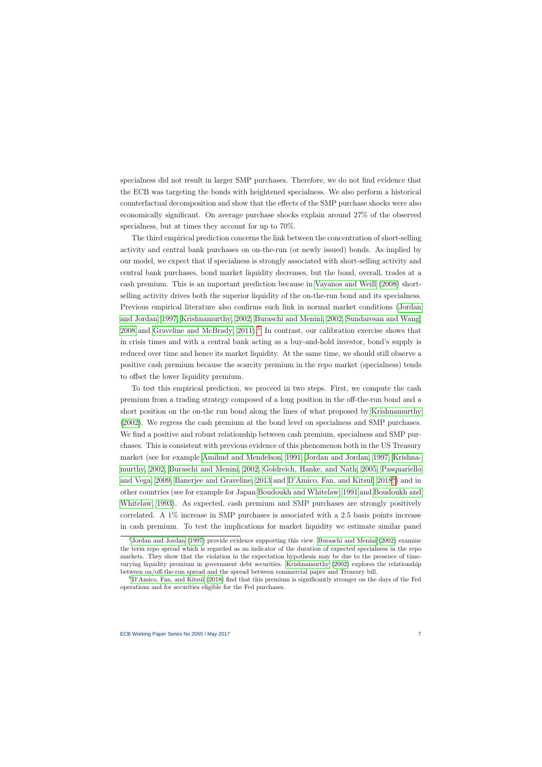specialness did not result in larger SMP purchases. Therefore, we do not find evidence that the ECB was targeting the bonds with heightened specialness. We also perform a historical counterfactual decomposition and show that the effects of the SMP purchase shocks were also economically significant. On average purchase shocks explain around 27% of the observed specialness, but at times they account for up to 70%.

The third empirical prediction concerns the link between the concentration of short-selling activity and central bank purchases on on-the-run (or newly issued) bonds. As implied by our model, we expect that if specialness is strongly associated with short-selling activity and central bank purchases, bond market liquidity decreases, but the bond, overall, trades at a cash premium. This is an important prediction because in [Vayanos and Weill](#page-65-1) [\(2008\)](#page-65-1) shortselling activity drives both the superior liquidity of the on-the-run bond and its specialness. Previous empirical literature also confirms such link in normal market conditions [\(Jordan](#page-63-5) [and Jordan, 1997,](#page-63-5) [Krishnamurthy, 2002,](#page-64-4) [Buraschi and Menini, 2002,](#page-61-2) [Sundaresan and Wang,](#page-65-4)  $2008$  and Graveline and McBrady,  $2011$ <sup>[5](#page-7-0)</sup>. In contrast, our calibration exercise shows that in crisis times and with a central bank acting as a buy-and-hold investor, bond's supply is reduced over time and hence its market liquidity. At the same time, we should still observe a positive cash premium because the scarcity premium in the repo market (specialness) tends to offset the lower liquidity premium.

To test this empirical prediction, we proceed in two steps. First, we compute the cash premium from a trading strategy composed of a long position in the off-the-run bond and a short position on the on-the run bond along the lines of what proposed by [Krishnamurthy](#page-64-4) [\(2002\)](#page-64-4). We regress the cash premium at the bond level on specialness and SMP purchases. We find a positive and robust relationship between cash premium, specialness and SMP purchases. This is consistent with previous evidence of this phenomenon both in the US Treasury market (see for example [Amihud and Mendelson, 1991,](#page-61-3) [Jordan and Jordan, 1997,](#page-63-5) [Krishna](#page-64-4)[murthy, 2002,](#page-64-4) [Buraschi and Menini, 2002,](#page-61-2) [Goldreich, Hanke, and Nath, 2005,](#page-63-7) [Pasquariello](#page-64-5) [and Vega, 2009,](#page-64-5) [Banerjee and Graveline, 2013](#page-61-4) and [D'Amico, Fan, and Kitsul, 2018](#page-62-4)[6](#page-7-1) ) and in other countries (see for example for Japan [Boudoukh and Whitelaw, 1991](#page-61-5) and [Boudoukh and](#page-61-6) [Whitelaw, 1993\)](#page-61-6). As expected, cash premium and SMP purchases are strongly positively correlated. A 1% increase in SMP purchases is associated with a 2.5 basis points increase in cash premium. To test the implications for market liquidity we estimate similar panel

<sup>5</sup>[Jordan and Jordan](#page-63-5) [\(1997\)](#page-63-5) provide evidence supporting this view. [Buraschi and Menini](#page-61-2) [\(2002\)](#page-61-2) examine the term repo spread which is regarded as an indicator of the duration of expected specialness in the repo markets. They show that the violation in the expectation hypothesis may be due to the presence of timevarying liquidity premium in government debt securities. [Krishnamurthy](#page-64-4) [\(2002\)](#page-64-4) explores the relationship between on/off-the-run spread and the spread between commercial paper and Treasury bill.

<span id="page-7-1"></span><span id="page-7-0"></span><sup>6</sup>[D'Amico, Fan, and Kitsul](#page-62-4) [\(2018\)](#page-62-4) find that this premium is significantly stronger on the days of the Fed operations and for securities eligible for the Fed purchases.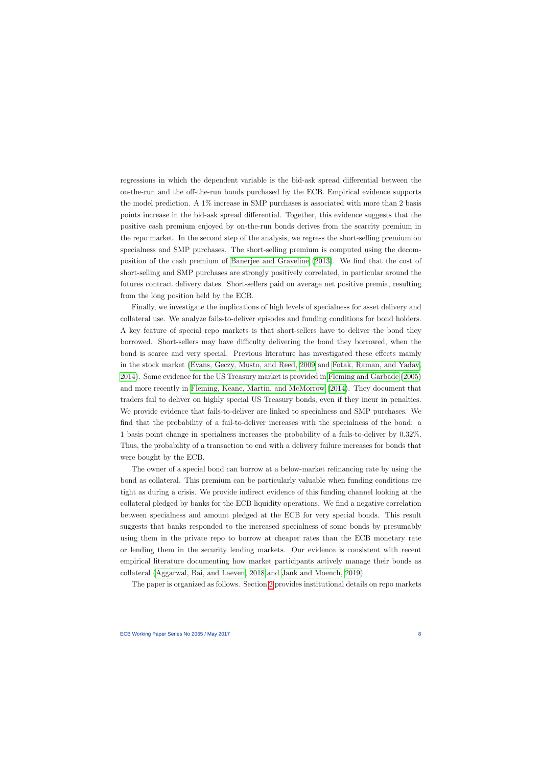regressions in which the dependent variable is the bid-ask spread differential between the on-the-run and the off-the-run bonds purchased by the ECB. Empirical evidence supports the model prediction. A 1% increase in SMP purchases is associated with more than 2 basis points increase in the bid-ask spread differential. Together, this evidence suggests that the positive cash premium enjoyed by on-the-run bonds derives from the scarcity premium in the repo market. In the second step of the analysis, we regress the short-selling premium on specialness and SMP purchases. The short-selling premium is computed using the decomposition of the cash premium of [Banerjee and Graveline](#page-61-4) [\(2013\)](#page-61-4). We find that the cost of short-selling and SMP purchases are strongly positively correlated, in particular around the futures contract delivery dates. Short-sellers paid on average net positive premia, resulting from the long position held by the ECB.

Finally, we investigate the implications of high levels of specialness for asset delivery and collateral use. We analyze fails-to-deliver episodes and funding conditions for bond holders. A key feature of special repo markets is that short-sellers have to deliver the bond they borrowed. Short-sellers may have difficulty delivering the bond they borrowed, when the bond is scarce and very special. Previous literature has investigated these effects mainly in the stock market [\(Evans, Geczy, Musto, and Reed, 2009](#page-62-5) and [Fotak, Raman, and Yadav,](#page-63-8) [2014\)](#page-63-8). Some evidence for the US Treasury market is provided in [Fleming and Garbade](#page-63-9) [\(2005\)](#page-63-9) and more recently in [Fleming, Keane, Martin, and McMorrow](#page-62-6) [\(2014\)](#page-62-6). They document that traders fail to deliver on highly special US Treasury bonds, even if they incur in penalties. We provide evidence that fails-to-deliver are linked to specialness and SMP purchases. We find that the probability of a fail-to-deliver increases with the specialness of the bond: a 1 basis point change in specialness increases the probability of a fails-to-deliver by 0.32%. Thus, the probability of a transaction to end with a delivery failure increases for bonds that were bought by the ECB.

The owner of a special bond can borrow at a below-market refinancing rate by using the bond as collateral. This premium can be particularly valuable when funding conditions are tight as during a crisis. We provide indirect evidence of this funding channel looking at the collateral pledged by banks for the ECB liquidity operations. We find a negative correlation between specialness and amount pledged at the ECB for very special bonds. This result suggests that banks responded to the increased specialness of some bonds by presumably using them in the private repo to borrow at cheaper rates than the ECB monetary rate or lending them in the security lending markets. Our evidence is consistent with recent empirical literature documenting how market participants actively manage their bonds as collateral [\(Aggarwal, Bai, and Laeven, 2018](#page-61-7) and [Jank and Moench, 2019\)](#page-63-10).

The paper is organized as follows. Section [2](#page-9-0) provides institutional details on repo markets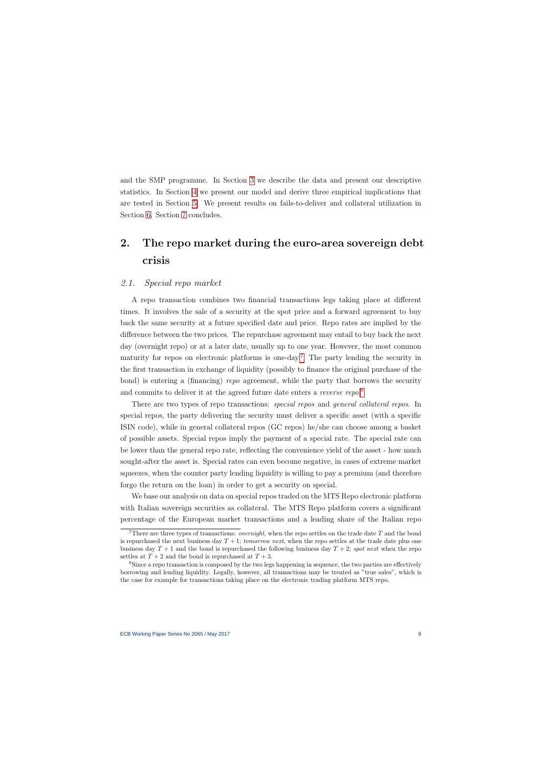and the SMP programme. In Section [3](#page-11-1) we describe the data and present our descriptive statistics. In Section [4](#page-16-0) we present our model and derive three empirical implications that are tested in Section [5.](#page-24-0) We present results on fails-to-deliver and collateral utilization in Section [6.](#page-35-0) Section [7](#page-37-0) concludes.

# 2. The repo market during the euro-area sovereign debt crisis

# 2.1. Special repo market

A repo transaction combines two financial transactions legs taking place at different times. It involves the sale of a security at the spot price and a forward agreement to buy back the same security at a future specified date and price. Repo rates are implied by the difference between the two prices. The repurchase agreement may entail to buy back the next day (overnight repo) or at a later date, usually up to one year. However, the most common maturity for repos on electronic platforms is one-day.<sup>[7](#page-9-1)</sup> The party lending the security in the first transaction in exchange of liquidity (possibly to finance the original purchase of the bond) is entering a (financing) repo agreement, while the party that borrows the security and commits to deliver it at the agreed future date enters a *reverse repo*.<sup>[8](#page-9-2)</sup>

<span id="page-9-0"></span>There are two types of repo transactions: *special repos* and *general collateral repos*. In special repos, the party delivering the security must deliver a specific asset (with a specific ISIN code), while in general collateral repos (GC repos) he/she can choose among a basket of possible assets. Special repos imply the payment of a special rate. The special rate can be lower than the general repo rate, reflecting the convenience yield of the asset - how much sought-after the asset is. Special rates can even become negative, in cases of extreme market squeezes, when the counter party lending liquidity is willing to pay a premium (and therefore forgo the return on the loan) in order to get a security on special.

We base our analysis on data on special repos traded on the MTS Repo electronic platform with Italian sovereign securities as collateral. The MTS Repo platform covers a significant percentage of the European market transactions and a leading share of the Italian repo

<sup>&</sup>lt;sup>7</sup>There are three types of transactions: *overnight*, when the repo settles on the trade date  $T$  and the bond is repurchased the next business day  $T + 1$ ; tomorrow next, when the repo settles at the trade date plus one business day  $T + 1$  and the bond is repurchased the following business day  $T + 2$ ; spot next when the repo settles at  $T + 2$  and the bond is repurchased at  $T + 3$ .

<span id="page-9-2"></span><span id="page-9-1"></span><sup>&</sup>lt;sup>8</sup>Since a repo transaction is composed by the two legs happening in sequence, the two parties are effectively borrowing and lending liquidity. Legally, however, all transactions may be treated as "true sales", which is the case for example for transactions taking place on the electronic trading platform MTS repo.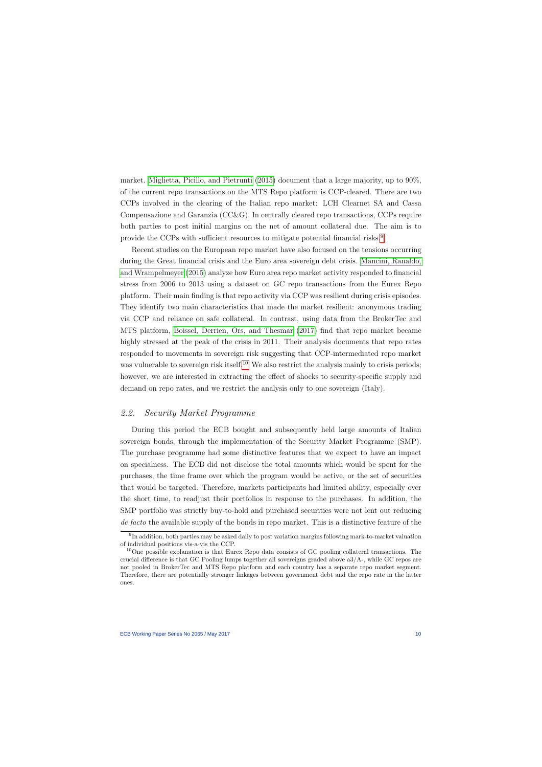market. [Miglietta, Picillo, and](#page-64-6) Pietrunti [\(2015\)](#page-64-6) document that a large majority, up to 90%, of the current repo transactions on the MTS Repo platform is CCP-cleared. There are two CCPs involved in the clearing of the Italian repo market: LCH Clearnet SA and Cassa Compensazione and Garanzia (CC&G). In centrally cleared repo transactions, CCPs require both parties to post initial margins on the net of amount collateral due. The aim is to provide the CCPs with sufficient resources to mitigate potential financial risks.[9](#page-10-0)

Recent studies on the European repo market have also focused on the tensions occurring during the Great financial crisis and the Euro area sovereign debt crisis. [Mancini, Ranaldo,](#page-64-2) [and Wrampelmeyer](#page-64-2) [\(2015\)](#page-64-2) analyze how Euro area repo market activity responded to financial stress from 2006 to 2013 using a dataset on GC repo transactions from the Eurex Repo platform. Their main finding is that repo activity via CCP was resilient during crisis episodes. They identify two main characteristics that made the market resilient: anonymous trading via CCP and reliance on safe collateral. In contrast, using data from the BrokerTec and MTS platform, [Boissel, Derrien, Ors, and Thesmar](#page-61-1) [\(2017\)](#page-61-1) find that repo market became highly stressed at the peak of the crisis in 2011. Their analysis documents that repo rates responded to movements in sovereign risk suggesting that CCP-intermediated repo market was vulnerable to sovereign risk itself.<sup>[10](#page-10-1)</sup> We also restrict the analysis mainly to crisis periods; however, we are interested in extracting the effect of shocks to security-specific supply and demand on repo rates, and we restrict the analysis only to one sovereign (Italy).

# 2.2. Security Market Programme

During this period the ECB bought and subsequently held large amounts of Italian sovereign bonds, through the implementation of the Security Market Programme (SMP). The purchase programme had some distinctive features that we expect to have an impact on specialness. The ECB did not disclose the total amounts which would be spent for the purchases, the time frame over which the program would be active, or the set of securities that would be targeted. Therefore, markets participants had limited ability, especially over the short time, to readjust their portfolios in response to the purchases. In addition, the SMP portfolio was strictly buy-to-hold and purchased securities were not lent out reducing de facto the available supply of the bonds in repo market. This is a distinctive feature of the

<span id="page-10-2"></span><sup>&</sup>lt;sup>9</sup>In addition, both parties may be asked daily to post variation margins following mark-to-market valuation of individual positions vis-a-vis the CCP.

<span id="page-10-1"></span><span id="page-10-0"></span><sup>&</sup>lt;sup>10</sup>One possible explanation is that Eurex Repo data consists of GC pooling collateral transactions. The crucial difference is that GC Pooling lumps together all sovereigns graded above a3/A-, while GC repos are not pooled in BrokerTec and MTS Repo platform and each country has a separate repo market segment. Therefore, there are potentially stronger linkages between government debt and the repo rate in the latter ones.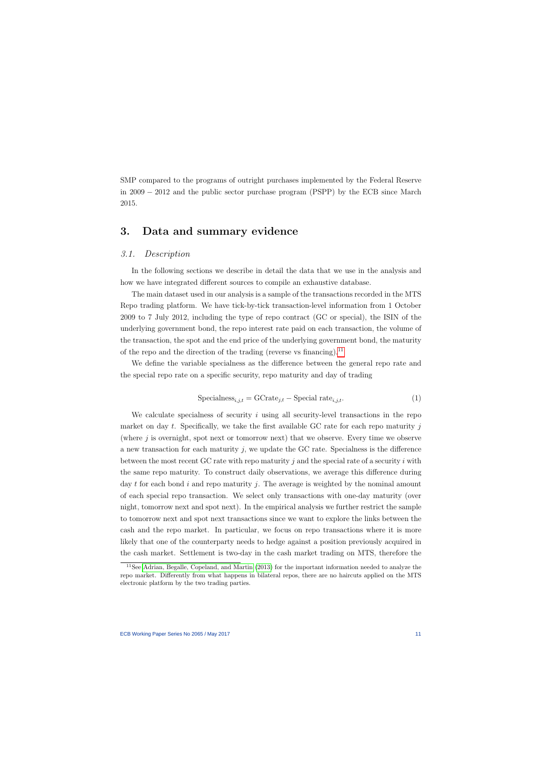SMP compared to the programs of outright purchases implemented by the Federal Reserve in 2009 − 2012 and the public sector purchase program (PSPP) by the ECB since March 2015.

# 3. Data and summary evidence

# 3.1. Description

In the following sections we describe in detail the data that we use in the analysis and how we have integrated different sources to compile an exhaustive database.

The main dataset used in our analysis is a sample of the transactions recorded in the MTS Repo trading platform. We have tick-by-tick transaction-level information from 1 October 2009 to 7 July 2012, including the type of repo contract (GC or special), the ISIN of the underlying government bond, the repo interest rate paid on each transaction, the volume of the transaction, the spot and the end price of the underlying government bond, the maturity of the repo and the direction of the trading (reverse vs financing).<sup>[11](#page-11-2)</sup>

<span id="page-11-1"></span><span id="page-11-0"></span>We define the variable specialness as the difference between the general repo rate and the special repo rate on a specific security, repo maturity and day of trading

$$
Specialness_{i,j,t} = GCrate_{j,t} - Special rate_{i,j,t}.
$$
 (1)

We calculate specialness of security  $i$  using all security-level transactions in the repo market on day t. Specifically, we take the first available GC rate for each repo maturity  $j$ (where  $j$  is overnight, spot next or tomorrow next) that we observe. Every time we observe a new transaction for each maturity  $j$ , we update the GC rate. Specialness is the difference between the most recent GC rate with repo maturity  $j$  and the special rate of a security  $i$  with the same repo maturity. To construct daily observations, we average this difference during day t for each bond i and repo maturity j. The average is weighted by the nominal amount of each special repo transaction. We select only transactions with one-day maturity (over night, tomorrow next and spot next). In the empirical analysis we further restrict the sample to tomorrow next and spot next transactions since we want to explore the links between the cash and the repo market. In particular, we focus on repo transactions where it is more likely that one of the counterparty needs to hedge against a position previously acquired in the cash market. Settlement is two-day in the cash market trading on MTS, therefore the

<span id="page-11-2"></span><sup>11</sup>See [Adrian, Begalle, Copeland,](#page-61-8) and Martin [\(2013\)](#page-61-8) for the important information needed to analyze the repo market. Differently from what happens in bilateral repos, there are no haircuts applied on the MTS electronic platform by the two trading parties.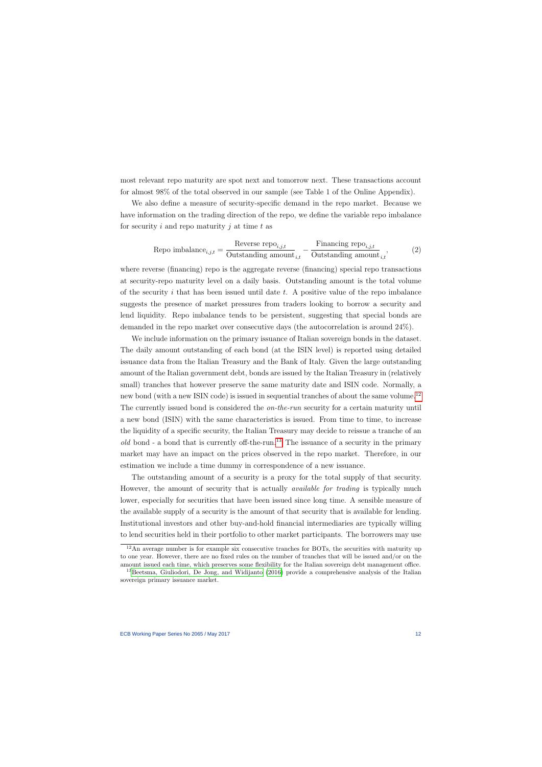most relevant repo maturity are spot next and tomorrow next. These transactions account for almost 98% of the total observed in our sample (see Table 1 of the Online Appendix).

We also define a measure of security-specific demand in the repo market. Because we have information on the trading direction of the repo, we define the variable repo imbalance for security  $i$  and repo maturity  $j$  at time  $t$  as

$$
Repo imbalance_{i,j,t} = \frac{Reverse\ repo_{i,j,t}}{Outside\ standarding\ amount}_{i,t} - \frac{Financial\ repo_{i,j,t}}{Outstanding\ amount}_{i,t},
$$
\n(2)

where reverse (financing) repo is the aggregate reverse (financing) special repo transactions at security-repo maturity level on a daily basis. Outstanding amount is the total volume of the security i that has been issued until date  $t$ . A positive value of the repo imbalance suggests the presence of market pressures from traders looking to borrow a security and lend liquidity. Repo imbalance tends to be persistent, suggesting that special bonds are demanded in the repo market over consecutive days (the autocorrelation is around 24%).

We include information on the primary issuance of Italian sovereign bonds in the dataset. The daily amount outstanding of each bond (at the ISIN level) is reported using detailed issuance data from the Italian Treasury and the Bank of Italy. Given the large outstanding amount of the Italian government debt, bonds are issued by the Italian Treasury in (relatively small) tranches that however preserve the same maturity date and ISIN code. Normally, a new bond (with a new ISIN code) is issued in sequential tranches of about the same volume.<sup>[12](#page-12-0)</sup> The currently issued bond is considered the *on-the-run* security for a certain maturity until a new bond (ISIN) with the same characteristics is issued. From time to time, to increase the liquidity of a specific security, the Italian Treasury may decide to reissue a tranche of an old bond - a bond that is currently off-the-run.<sup>[13](#page-12-1)</sup> The issuance of a security in the primary market may have an impact on the prices observed in the repo market. Therefore, in our estimation we include a time dummy in correspondence of a new issuance.

The outstanding amount of a security is a proxy for the total supply of that security. However, the amount of security that is actually *available for trading* is typically much lower, especially for securities that have been issued since long time. A sensible measure of the available supply of a security is the amount of that security that is available for lending. Institutional investors and other buy-and-hold financial intermediaries are typically willing to lend securities held in their portfolio to other market participants. The borrowers may use

 $12$ An average number is for example six consecutive tranches for BOTs, the securities with maturity up to one year. However, there are no fixed rules on the number of tranches that will be issued and/or on the amount issued each time, which preserves some flexibility for the Italian sovereign debt management office.

<span id="page-12-1"></span><span id="page-12-0"></span><sup>&</sup>lt;sup>13</sup>[Beetsma, Giuliodori, De Jong, and Widijanto](#page-61-9) [\(2016\)](#page-61-9) provide a comprehensive analysis of the Italian sovereign primary issuance market.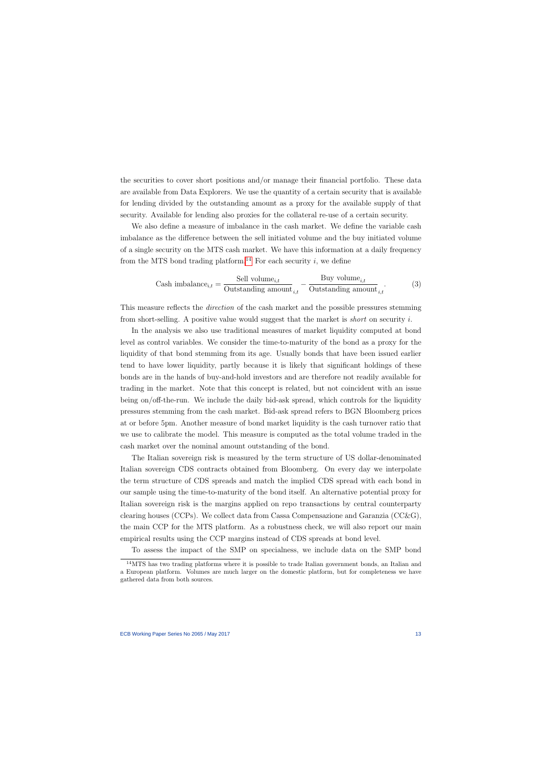the securities to cover short positions and/or manage their financial portfolio. These data are available from Data Explorers. We use the quantity of a certain security that is available for lending divided by the outstanding amount as a proxy for the available supply of that security. Available for lending also proxies for the collateral re-use of a certain security.

We also define a measure of imbalance in the cash market. We define the variable cash imbalance as the difference between the sell initiated volume and the buy initiated volume of a single security on the MTS cash market. We have this information at a daily frequency from the MTS bond trading platform.<sup>[14](#page-13-0)</sup> For each security i, we define

$$
\text{Cash imbalance}_{i,t} = \frac{\text{Sell volume}_{i,t}}{\text{Outstanding amount}_{i,t}} - \frac{\text{Buy volume}_{i,t}}{\text{Outstanding amount}_{i,t}}.\tag{3}
$$

This measure reflects the *direction* of the cash market and the possible pressures stemming from short-selling. A positive value would suggest that the market is short on security i.

In the analysis we also use traditional measures of market liquidity computed at bond level as control variables. We consider the time-to-maturity of the bond as a proxy for the liquidity of that bond stemming from its age. Usually bonds that have been issued earlier tend to have lower liquidity, partly because it is likely that significant holdings of these bonds are in the hands of buy-and-hold investors and are therefore not readily available for trading in the market. Note that this concept is related, but not coincident with an issue being on/off-the-run. We include the daily bid-ask spread, which controls for the liquidity pressures stemming from the cash market. Bid-ask spread refers to BGN Bloomberg prices at or before 5pm. Another measure of bond market liquidity is the cash turnover ratio that we use to calibrate the model. This measure is computed as the total volume traded in the cash market over the nominal amount outstanding of the bond.

The Italian sovereign risk is measured by the term structure of US dollar-denominated Italian sovereign CDS contracts obtained from Bloomberg. On every day we interpolate the term structure of CDS spreads and match the implied CDS spread with each bond in our sample using the time-to-maturity of the bond itself. An alternative potential proxy for Italian sovereign risk is the margins applied on repo transactions by central counterparty clearing houses (CCPs). We collect data from Cassa Compensazione and Garanzia (CC&G), the main CCP for the MTS platform. As a robustness check, we will also report our main empirical results using the CCP margins instead of CDS spreads at bond level.

To assess the impact of the SMP on specialness, we include data on the SMP bond

<span id="page-13-0"></span> $14$ MTS has two trading platforms where it is possible to trade Italian government bonds, an Italian and a European platform. Volumes are much larger on the domestic platform, but for completeness we have gathered data from both sources.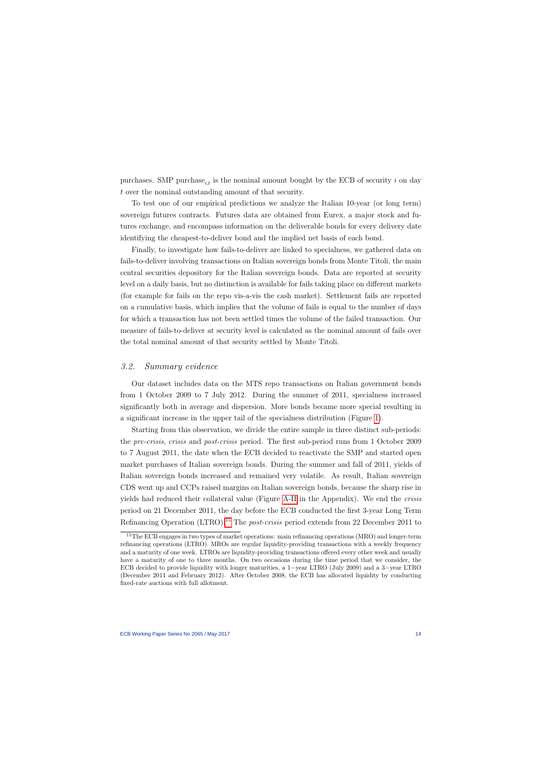purchases. SMP purchase<sub>i,t</sub> is the nominal amount bought by the ECB of security i on day t over the nominal outstanding amount of that security.

To test one of our empirical predictions we analyze the Italian 10-year (or long term) sovereign futures contracts. Futures data are obtained from Eurex, a major stock and futures exchange, and encompass information on the deliverable bonds for every delivery date identifying the cheapest-to-deliver bond and the implied net basis of each bond.

Finally, to investigate how fails-to-deliver are linked to specialness, we gathered data on fails-to-deliver involving transactions on Italian sovereign bonds from Monte Titoli, the main central securities depository for the Italian sovereign bonds. Data are reported at security level on a daily basis, but no distinction is available for fails taking place on different markets (for example for fails on the repo vis-a-vis the cash market). Settlement fails are reported on a cumulative basis, which implies that the volume of fails is equal to the number of days for which a transaction has not been settled times the volume of the failed transaction. Our measure of fails-to-deliver at security level is calculated as the nominal amount of fails over the total nominal amount of that security settled by Monte Titoli.

# 3.2. Summary evidence

Our dataset includes data on the MTS repo transactions on Italian government bonds from 1 October 2009 to 7 July 2012. During the summer of 2011, specialness increased significantly both in average and dispersion. More bonds became more special resulting in a significant increase in the upper tail of the specialness distribution (Figure [1\)](#page-39-0).

Starting from this observation, we divide the entire sample in three distinct sub-periods: the pre-crisis, crisis and post-crisis period. The first sub-period runs from 1 October 2009 to 7 August 2011, the date when the ECB decided to reactivate the SMP and started open market purchases of Italian sovereign bonds. During the summer and fall of 2011, yields of Italian sovereign bonds increased and remained very volatile. As result, Italian sovereign CDS went up and CCPs raised margins on Italian sovereign bonds, because the sharp rise in yields had reduced their collateral value (Figure [A-II](#page-40-0) in the Appendix). We end the crisis period on 21 December 2011, the day before the ECB conducted the first 3-year Long Term Refinancing Operation (LTRO).[15](#page-14-0) The post-crisis period extends from 22 December 2011 to

<span id="page-14-0"></span><sup>&</sup>lt;sup>15</sup>The ECB engages in two types of market operations: main refinancing operations (MRO) and longer-term refinancing operations (LTRO). MROs are regular liquidity-providing transactions with a weekly frequency and a maturity of one week. LTROs are liquidity-providing transactions offered every other week and usually have a maturity of one to three months. On two occasions during the time period that we consider, the ECB decided to provide liquidity with longer maturities, a 1−year LTRO (July 2009) and a 3−year LTRO (December 2011 and February 2012). After October 2008, the ECB has allocated liquidity by conducting fixed-rate auctions with full allotment.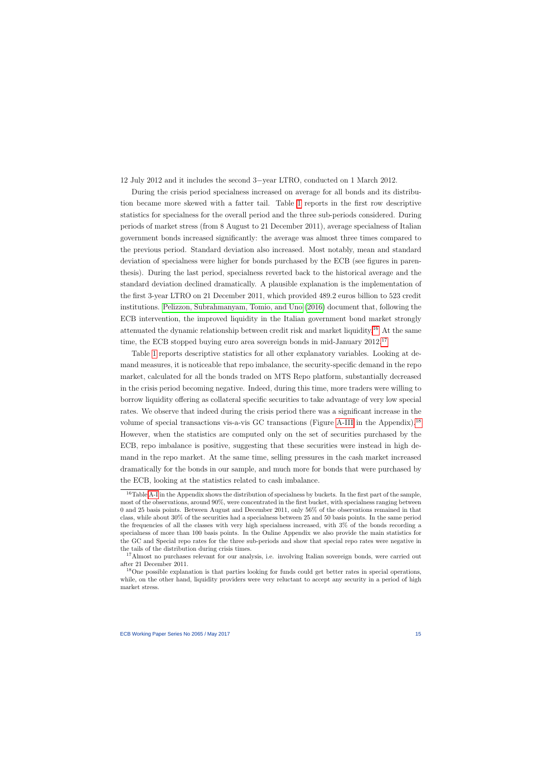12 July 2012 and it includes the second 3−year LTRO, conducted on 1 March 2012.

During the crisis period specialness increased on average for all bonds and its distribution became more skewed with a fatter tail. Table [1](#page-47-0) reports in the first row descriptive statistics for specialness for the overall period and the three sub-periods considered. During periods of market stress (from 8 August to 21 December 2011), average specialness of Italian government bonds increased significantly: the average was almost three times compared to the previous period. Standard deviation also increased. Most notably, mean and standard deviation of specialness were higher for bonds purchased by the ECB (see figures in parenthesis). During the last period, specialness reverted back to the historical average and the standard deviation declined dramatically. A plausible explanation is the implementation of the first 3-year LTRO on 21 December 2011, which provided 489.2 euros billion to 523 credit institutions. [Pelizzon, Subrahmanyam, Tomio, and Uno](#page-65-2) [\(2016\)](#page-65-2) document that, following the ECB intervention, the improved liquidity in the Italian government bond market strongly attenuated the dynamic relationship between credit risk and market liquidity.[16](#page-15-0) At the same time, the ECB stopped buying euro area sovereign bonds in mid-January 2012.<sup>[17](#page-15-1)</sup>

Table [1](#page-47-0) reports descriptive statistics for all other explanatory variables. Looking at demand measures, it is noticeable that repo imbalance, the security-specific demand in the repo market, calculated for all the bonds traded on MTS Repo platform, substantially decreased in the crisis period becoming negative. Indeed, during this time, more traders were willing to borrow liquidity offering as collateral specific securities to take advantage of very low special rates. We observe that indeed during the crisis period there was a significant increase in the volume of special transactions vis-a-vis GC transactions (Figure [A-III](#page-41-0) in the Appendix).[18](#page-15-2) However, when the statistics are computed only on the set of securities purchased by the ECB, repo imbalance is positive, suggesting that these securities were instead in high demand in the repo market. At the same time, selling pressures in the cash market increased dramatically for the bonds in our sample, and much more for bonds that were purchased by the ECB, looking at the statistics related to cash imbalance.

<sup>&</sup>lt;sup>16</sup>Table [A-I](#page-47-0) in the Appendix shows the distribution of specialness by buckets. In the first part of the sample, most of the observations, around 90%, were concentrated in the first bucket, with specialness ranging between 0 and 25 basis points. Between August and December 2011, only 56% of the observations remained in that class, while about 30% of the securities had a specialness between 25 and 50 basis points. In the same period the frequencies of all the classes with very high specialness increased, with 3% of the bonds recording a specialness of more than 100 basis points. In the Online Appendix we also provide the main statistics for the GC and Special repo rates for the three sub-periods and show that special repo rates were negative in the tails of the distribution during crisis times.

<sup>&</sup>lt;sup>17</sup>Almost no purchases relevant for our analysis, i.e. involving Italian sovereign bonds, were carried out after 21 December 2011.

<span id="page-15-2"></span><span id="page-15-1"></span><span id="page-15-0"></span><sup>&</sup>lt;sup>18</sup>One possible explanation is that parties looking for funds could get better rates in special operations, while, on the other hand, liquidity providers were very reluctant to accept any security in a period of high market stress.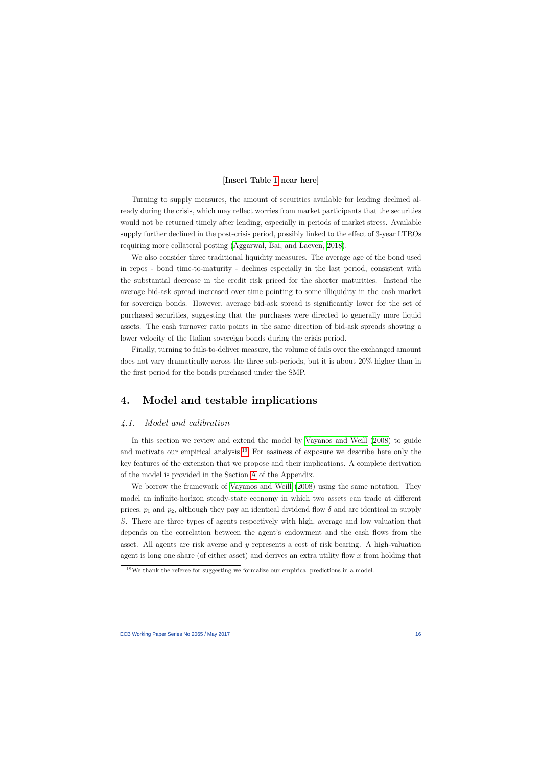#### [Insert Table [1](#page-47-0) near here]

Turning to supply measures, the amount of securities available for lending declined already during the crisis, which may reflect worries from market participants that the securities would not be returned timely after lending, especially in periods of market stress. Available supply further declined in the post-crisis period, possibly linked to the effect of 3-year LTROs requiring more collateral posting [\(Aggarwal, Bai, and Laeven, 2018\)](#page-61-7).

We also consider three traditional liquidity measures. The average age of the bond used in repos - bond time-to-maturity - declines especially in the last period, consistent with the substantial decrease in the credit risk priced for the shorter maturities. Instead the average bid-ask spread increased over time pointing to some illiquidity in the cash market for sovereign bonds. However, average bid-ask spread is significantly lower for the set of purchased securities, suggesting that the purchases were directed to generally more liquid assets. The cash turnover ratio points in the same direction of bid-ask spreads showing a lower velocity of the Italian sovereign bonds during the crisis period.

Finally, turning to fails-to-deliver measure, the volume of fails over the exchanged amount does not vary dramatically across the three sub-periods, but it is about 20% higher than in the first period for the bonds purchased under the SMP.

# 4. Model and testable implications

# 4.1. Model and calibration

In this section we review and extend the model by [Vayanos and Weill](#page-65-1) [\(2008\)](#page-65-1) to guide and motivate our empirical analysis.<sup>[19](#page-16-1)</sup> For easiness of exposure we describe here only the key features of the extension that we propose and their implications. A complete derivation of the model is provided in the Section [A](#page-4-3) of the Appendix.

<span id="page-16-0"></span>We borrow the framework of [Vayanos and Weill](#page-65-1) [\(2008\)](#page-65-1) using the same notation. They model an infinite-horizon steady-state economy in which two assets can trade at different prices,  $p_1$  and  $p_2$ , although they pay an identical dividend flow  $\delta$  and are identical in supply S. There are three types of agents respectively with high, average and low valuation that depends on the correlation between the agent's endowment and the cash flows from the asset. All agents are risk averse and y represents a cost of risk bearing. A high-valuation agent is long one share (of either asset) and derives an extra utility flow  $\bar{x}$  from holding that

<span id="page-16-1"></span><sup>19</sup>We thank the referee for suggesting we formalize our empirical predictions in a model.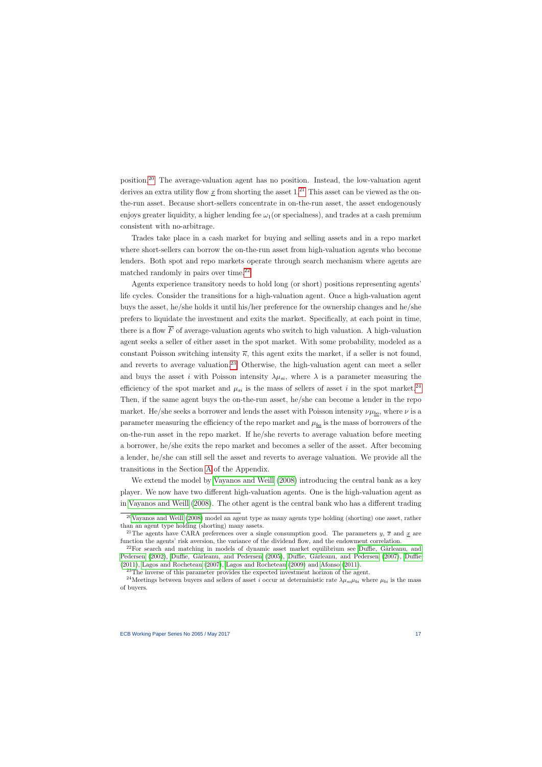position.[20](#page-17-0) The average-valuation agent has no position. Instead, the low-valuation agent derives an extra utility flow x from shorting the asset  $1<sup>21</sup>$  $1<sup>21</sup>$  $1<sup>21</sup>$  This asset can be viewed as the onthe-run asset. Because short-sellers concentrate in on-the-run asset, the asset endogenously enjoys greater liquidity, a higher lending fee  $\omega_1$  (or specialness), and trades at a cash premium consistent with no-arbitrage.

Trades take place in a cash market for buying and selling assets and in a repo market where short-sellers can borrow the on-the-run asset from high-valuation agents who become lenders. Both spot and repo markets operate through search mechanism where agents are matched randomly in pairs over time. $^{22}$  $^{22}$  $^{22}$ 

Agents experience transitory needs to hold long (or short) positions representing agents' life cycles. Consider the transitions for a high-valuation agent. Once a high-valuation agent buys the asset, he/she holds it until his/her preference for the ownership changes and he/she prefers to liquidate the investment and exits the market. Specifically, at each point in time, there is a flow  $\overline{F}$  of average-valuation agents who switch to high valuation. A high-valuation agent seeks a seller of either asset in the spot market. With some probability, modeled as a constant Poisson switching intensity  $\bar{\kappa}$ , this agent exits the market, if a seller is not found, and reverts to average valuation.<sup>[23](#page-17-3)</sup> Otherwise, the high-valuation agent can meet a seller and buys the asset i with Poisson intensity  $\lambda \mu_{si}$ , where  $\lambda$  is a parameter measuring the efficiency of the spot market and  $\mu_{si}$  is the mass of sellers of asset i in the spot market.<sup>[24](#page-17-4)</sup> Then, if the same agent buys the on-the-run asset, he/she can become a lender in the repo market. He/she seeks a borrower and lends the asset with Poisson intensity  $\nu\mu_{bo}$ , where  $\nu$  is a parameter measuring the efficiency of the repo market and  $\mu_{bo}$  is the mass of borrowers of the on-the-run asset in the repo market. If he/she reverts to average valuation before meeting a borrower, he/she exits the repo market and becomes a seller of the asset. After becoming a lender, he/she can still sell the asset and reverts to average valuation. We provide all the transitions in the Section [A](#page-4-3) of the Appendix.

We extend the model by [Vayanos and Weill](#page-65-1) [\(2008\)](#page-65-1) introducing the central bank as a key player. We now have two different high-valuation agents. One is the high-valuation agent as in [Vayanos and Weill](#page-65-1) [\(2008\)](#page-65-1). The other agent is the central bank who has a different trading

<sup>&</sup>lt;sup>20</sup>[Vayanos and](#page-65-1) Weill [\(2008\)](#page-65-1) model an agent type as many agents type holding (shorting) one asset, rather than an agent type holding (shorting) many assets.

<sup>&</sup>lt;sup>21</sup>The agents have CARA preferences over a single consumption good. The parameters y,  $\bar{x}$  and x are function the agents' risk aversion, the variance of the dividend flow, and the endowment correlation.

 $22$ For search and matching in models of dynamic asset market equilibrium see Duffie, Gârleanu, and [Pedersen](#page-62-7) [\(2002\)](#page-62-7), Duffie, Gârleanu, and Pedersen [\(2005\)](#page-62-8), Duffie, Gârleanu, and Pedersen [\(2007\)](#page-62-9), [Duffie](#page-62-10) [\(2011\)](#page-62-10), [Lagos and Rocheteau](#page-64-7) [\(2007\)](#page-64-7), [Lagos and Rocheteau](#page-64-8) [\(2009\)](#page-64-8) and [Afonso](#page-61-10) [\(2011\)](#page-61-10).

<sup>&</sup>lt;sup>23</sup>The inverse of this parameter provides the expected investment horizon of the agent.

<span id="page-17-4"></span><span id="page-17-3"></span><span id="page-17-2"></span><span id="page-17-1"></span><span id="page-17-0"></span><sup>&</sup>lt;sup>24</sup>Meetings between buyers and sellers of asset i occur at deterministic rate  $\lambda \mu_{si} \mu_{bi}$  where  $\mu_{bi}$  is the mass of buyers.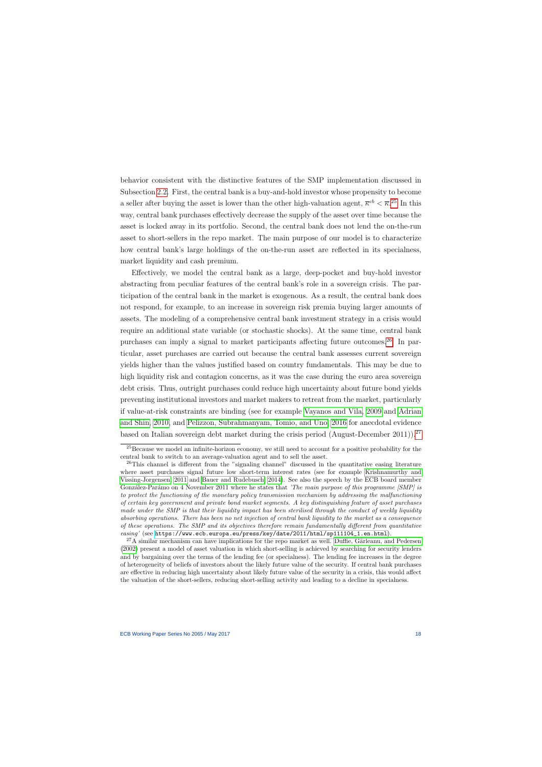behavior consistent with the distinctive features of the SMP implementation discussed in Subsection [2.2.](#page-10-2) First, the central bank is a buy-and-hold investor whose propensity to become a seller after buying the asset is lower than the other high-valuation agent,  $\bar{\kappa}^{cb} < \bar{\kappa}^{.25}$  $\bar{\kappa}^{cb} < \bar{\kappa}^{.25}$  $\bar{\kappa}^{cb} < \bar{\kappa}^{.25}$  In this way, central bank purchases effectively decrease the supply of the asset over time because the asset is locked away in its portfolio. Second, the central bank does not lend the on-the-run asset to short-sellers in the repo market. The main purpose of our model is to characterize how central bank's large holdings of the on-the-run asset are reflected in its specialness, market liquidity and cash premium.

Effectively, we model the central bank as a large, deep-pocket and buy-hold investor abstracting from peculiar features of the central bank's role in a sovereign crisis. The participation of the central bank in the market is exogenous. As a result, the central bank does not respond, for example, to an increase in sovereign risk premia buying larger amounts of assets. The modeling of a comprehensive central bank investment strategy in a crisis would require an additional state variable (or stochastic shocks). At the same time, central bank purchases can imply a signal to market participants affecting future outcomes.[26](#page-18-1) In particular, asset purchases are carried out because the central bank assesses current sovereign yields higher than the values justified based on country fundamentals. This may be due to high liquidity risk and contagion concerns, as it was the case during the euro area sovereign debt crisis. Thus, outright purchases could reduce high uncertainty about future bond yields preventing institutional investors and market makers to retreat from the market, particularly if value-at-risk constraints are binding (see for example [Vayanos and Vila, 2009](#page-65-5) and [Adrian](#page-61-11) [and Shin, 2010,](#page-61-11) and [Pelizzon, Subrahmanyam, Tomio, and Uno, 2016](#page-65-2) for anecdotal evidence based on Italian sovereign debt market during the crisis period (August-December 2011)).<sup>[27](#page-18-2)</sup>

<sup>&</sup>lt;sup>25</sup>Because we model an infinite-horizon economy, we still need to account for a positive probability for the central bank to switch to an average-valuation agent and to sell the asset.

<sup>&</sup>lt;sup>26</sup>This channel is different from the "signaling channel" discussed in the quantitative easing literature where asset purchases signal future low short-term interest rates (see for example [Krishnamurthy and](#page-64-3) [Vissing-Jorgensen, 2011](#page-64-3) and [Bauer and Rudebusch, 2014\)](#page-61-12). See also the speech by the ECB board member González-Parámo on 4 November 2011 where he states that 'The main purpose of this programme [SMP] is to protect the functioning of the monetary policy transmission mechanism by addressing the malfunctioning of certain key government and private bond market segments. A key distinguishing feature of asset purchases made under the SMP is that their liquidity impact has been sterilised through the conduct of weekly liquidity absorbing operations. There has been no net injection of central bank liquidity to the market as a consequence of these operations. The SMP and its objectives therefore remain fundamentally different from quantitative easing' (see [https://www.ecb.europa.eu/press/key/date/2011/html/sp111104\\_1.en.html](https://www.ecb.europa.eu/press/key/date/2011/html/sp111104_1.en.html)).

<span id="page-18-2"></span><span id="page-18-1"></span><span id="page-18-0"></span> $^{27}$ A similar mechanism can have implications for the repo market as well. Duffie, Gârleanu, and Pedersen [\(2002\)](#page-62-7) present a model of asset valuation in which short-selling is achieved by searching for security lenders and by bargaining over the terms of the lending fee (or specialness). The lending fee increases in the degree of heterogeneity of beliefs of investors about the likely future value of the security. If central bank purchases are effective in reducing high uncertainty about likely future value of the security in a crisis, this would affect the valuation of the short-sellers, reducing short-selling activity and leading to a decline in specialness.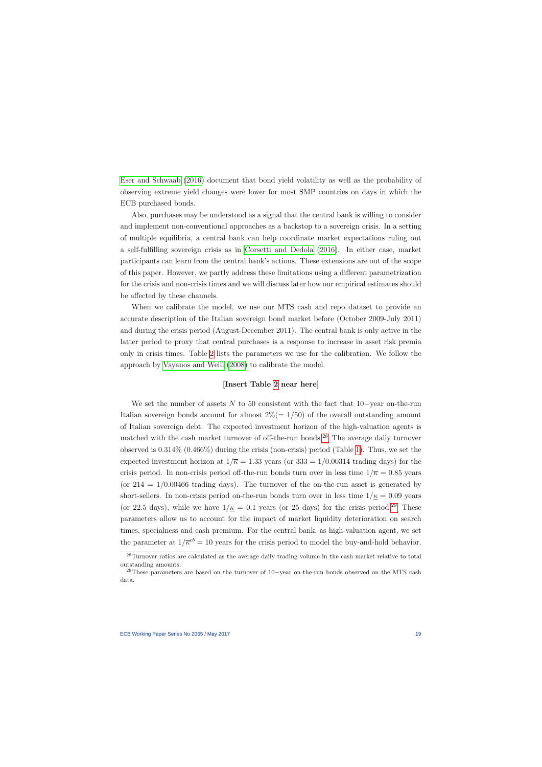[Eser and Schwaab](#page-62-0) [\(2016\)](#page-62-0) document that bond yield volatility as well as the probability of observing extreme yield changes were lower for most SMP countries on days in which the ECB purchased bonds.

Also, purchases may be understood as a signal that the central bank is willing to consider and implement non-conventional approaches as a backstop to a sovereign crisis. In a setting of multiple equilibria, a central bank can help coordinate market expectations ruling out a self-fulfilling sovereign crisis as in [Corsetti and Dedola](#page-62-11) [\(2016\)](#page-62-11). In either case, market participants can learn from the central bank's actions. These extensions are out of the scope of this paper. However, we partly address these limitations using a different parametrization for the crisis and non-crisis times and we will discuss later how our empirical estimates should be affected by these channels.

When we calibrate the model, we use our MTS cash and repo dataset to provide an accurate description of the Italian sovereign bond market before (October 2009-July 2011) and during the crisis period (August-December 2011). The central bank is only active in the latter period to proxy that central purchases is a response to increase in asset risk premia only in crisis times. Table [2](#page-48-0) lists the parameters we use for the calibration. We follow the approach by [Vayanos and Weill](#page-65-1) [\(2008\)](#page-65-1) to calibrate the model.

#### [Insert Table [2](#page-48-0) near here]

We set the number of assets  $N$  to 50 consistent with the fact that 10−year on-the-run Italian sovereign bonds account for almost  $2\% (= 1/50)$  of the overall outstanding amount of Italian sovereign debt. The expected investment horizon of the high-valuation agents is matched with the cash market turnover of off-the-run bonds.<sup>[28](#page-19-0)</sup> The average daily turnover observed is 0.314% (0.466%) during the crisis (non-crisis) period (Table [1\)](#page-47-0). Thus, we set the expected investment horizon at  $1/\overline{\kappa} = 1.33$  years (or  $333 = 1/0.00314$  trading days) for the crisis period. In non-crisis period off-the-run bonds turn over in less time  $1/\overline{\kappa} = 0.85$  years (or  $214 = 1/0.00466$  trading days). The turnover of the on-the-run asset is generated by short-sellers. In non-crisis period on-the-run bonds turn over in less time  $1/\kappa = 0.09$  years (or 22.5 days), while we have  $1/\underline{\kappa} = 0.1$  years (or 25 days) for the crisis period.<sup>[29](#page-19-1)</sup> These parameters allow us to account for the impact of market liquidity deterioration on search times, specialness and cash premium. For the central bank, as high-valuation agent, we set the parameter at  $1/\overline{\kappa}^{cb} = 10$  years for the crisis period to model the buy-and-hold behavior.

<sup>&</sup>lt;sup>28</sup>Turnover ratios are calculated as the average daily trading volume in the cash market relative to total outstanding amounts.

<span id="page-19-1"></span><span id="page-19-0"></span><sup>&</sup>lt;sup>29</sup>These parameters are based on the turnover of 10−year on-the-run bonds observed on the MTS cash data.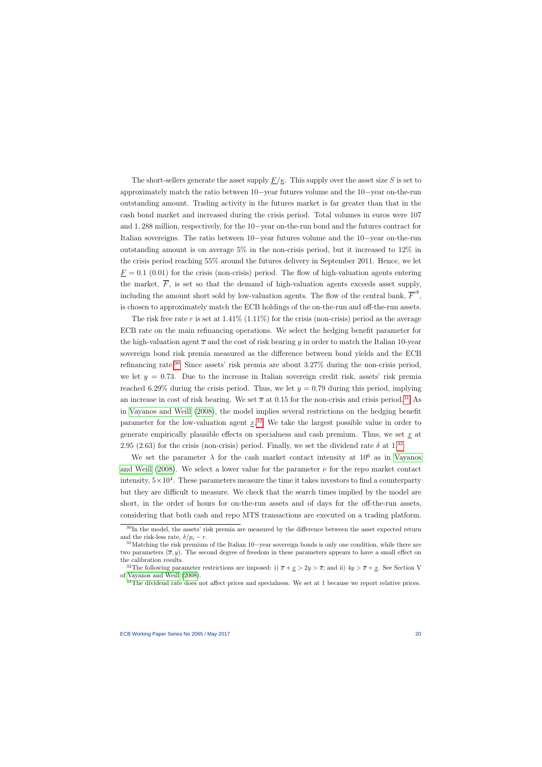The short-sellers generate the asset supply  $\underline{F}/\underline{\kappa}$ . This supply over the asset size S is set to approximately match the ratio between 10−year futures volume and the 10−year on-the-run outstanding amount. Trading activity in the futures market is far greater than that in the cash bond market and increased during the crisis period. Total volumes in euros were 107 and 1, 288 million, respectively, for the 10−year on-the-run bond and the futures contract for Italian sovereigns. The ratio between 10−year futures volume and the 10−year on-the-run outstanding amount is on average 5% in the non-crisis period, but it increased to 12% in the crisis period reaching 55% around the futures delivery in September 2011. Hence, we let  $\underline{F} = 0.1$  (0.01) for the crisis (non-crisis) period. The flow of high-valuation agents entering the market,  $\overline{F}$ , is set so that the demand of high-valuation agents exceeds asset supply, including the amount short sold by low-valuation agents. The flow of the central bank,  $\overline{F}^{cb}$ , is chosen to approximately match the ECB holdings of the on-the-run and off-the-run assets.

The risk free rate r is set at  $1.41\%$   $(1.11\%)$  for the crisis (non-crisis) period as the average ECB rate on the main refinancing operations. We select the hedging benefit parameter for the high-valuation agent  $\bar{x}$  and the cost of risk bearing y in order to match the Italian 10-year sovereign bond risk premia measured as the difference between bond yields and the ECB refinancing rate.<sup>[30](#page-20-0)</sup> Since assets' risk premia are about  $3.27\%$  during the non-crisis period, we let  $y = 0.73$ . Due to the increase in Italian sovereign credit risk, assets' risk premia reached 6.29% during the crisis period. Thus, we let  $y = 0.79$  during this period, implying an increase in cost of risk bearing. We set  $\bar{x}$  at 0.15 for the non-crisis and crisis period.<sup>[31](#page-20-1)</sup> As in [Vayanos and Weill](#page-65-1) [\(2008\)](#page-65-1), the model implies several restrictions on the hedging benefit parameter for the low-valuation agent  $\underline{x}^{32}$  $\underline{x}^{32}$  $\underline{x}^{32}$ . We take the largest possible value in order to generate empirically plausible effects on specialness and cash premium. Thus, we set  $x$  at 2.95 (2.63) for the crisis (non-crisis) period. Finally, we set the dividend rate  $\delta$  at 1.<sup>[33](#page-20-3)</sup>

We set the parameter  $\lambda$  for the cash market contact intensity at  $10^6$  as in [Vayanos](#page-65-1) [and Weill](#page-65-1) [\(2008\)](#page-65-1). We select a lower value for the parameter  $\nu$  for the repo market contact intensity,  $5 \times 10^4$ . These parameters measure the time it takes investors to find a counterparty but they are difficult to measure. We check that the search times implied by the model are short, in the order of hours for on-the-run assets and of days for the off-the-run assets, considering that both cash and repo MTS transactions are executed on a trading platform.

<sup>&</sup>lt;sup>30</sup>In the model, the assets' risk premia are measured by the difference between the asset expected return and the risk-less rate,  $\delta/p_i - r$ .

<sup>31</sup>Matching the risk premium of the Italian 10−year sovereign bonds is only one condition, while there are two parameters  $(\bar{x}, y)$ . The second degree of freedom in these parameters appears to have a small effect on the calibration results.

<sup>&</sup>lt;sup>32</sup>The following parameter restrictions are imposed: i)  $\overline{x} + \underline{x} > 2y > \overline{x}$ ; and ii)  $4y > \overline{x} + \underline{x}$ . See Section V of [Vayanos and Weill](#page-65-1) [\(2008\)](#page-65-1).

<span id="page-20-3"></span><span id="page-20-2"></span><span id="page-20-1"></span><span id="page-20-0"></span> $33$ The dividend rate does not affect prices and specialness. We set at 1 because we report relative prices.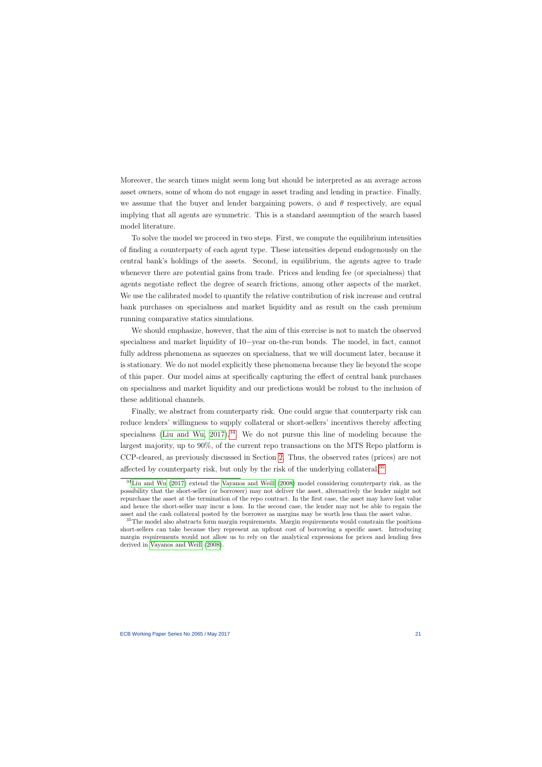Moreover, the search times might seem long but should be interpreted as an average across asset owners, some of whom do not engage in asset trading and lending in practice. Finally, we assume that the buyer and lender bargaining powers,  $\phi$  and  $\theta$  respectively, are equal implying that all agents are symmetric. This is a standard assumption of the search based model literature.

To solve the model we proceed in two steps. First, we compute the equilibrium intensities of finding a counterparty of each agent type. These intensities depend endogenously on the central bank's holdings of the assets. Second, in equilibrium, the agents agree to trade whenever there are potential gains from trade. Prices and lending fee (or specialness) that agents negotiate reflect the degree of search frictions, among other aspects of the market. We use the calibrated model to quantify the relative contribution of risk increase and central bank purchases on specialness and market liquidity and as result on the cash premium running comparative statics simulations.

We should emphasize, however, that the aim of this exercise is not to match the observed specialness and market liquidity of 10−year on-the-run bonds. The model, in fact, cannot fully address phenomena as squeezes on specialness, that we will document later, because it is stationary. We do not model explicitly these phenomena because they lie beyond the scope of this paper. Our model aims at specifically capturing the effect of central bank purchases on specialness and market liquidity and our predictions would be robust to the inclusion of these additional channels.

Finally, we abstract from counterparty risk. One could argue that counterparty risk can reduce lenders' willingness to supply collateral or short-sellers' incentives thereby affecting specialness [\(Liu and Wu, 2017\)](#page-64-9).<sup>[34](#page-21-0)</sup> We do not pursue this line of modeling because the largest majority, up to 90%, of the current repo transactions on the MTS Repo platform is CCP-cleared, as previously discussed in Section [2.](#page-9-0) Thus, the observed rates (prices) are not affected by counterparty risk, but only by the risk of the underlying collateral.[35](#page-21-1)

<sup>34</sup>[Liu and Wu](#page-64-9) [\(2017\)](#page-64-9) extend the [Vayanos and Weill](#page-65-1) [\(2008\)](#page-65-1) model considering counterparty risk, as the possibility that the short-seller (or borrower) may not deliver the asset, alternatively the lender might not repurchase the asset at the termination of the repo contract. In the first case, the asset may have lost value and hence the short-seller may incur a loss. In the second case, the lender may not be able to regain the asset and the cash collateral posted by the borrower as margins may be worth less than the asset value.

<span id="page-21-1"></span><span id="page-21-0"></span><sup>&</sup>lt;sup>35</sup>The model also abstracts form margin requirements. Margin requirements would constrain the positions short-sellers can take because they represent an upfront cost of borrowing a specific asset. Introducing margin requirements would not allow us to rely on the analytical expressions for prices and lending fees derived in [Vayanos and Weill](#page-65-1) [\(2008\)](#page-65-1).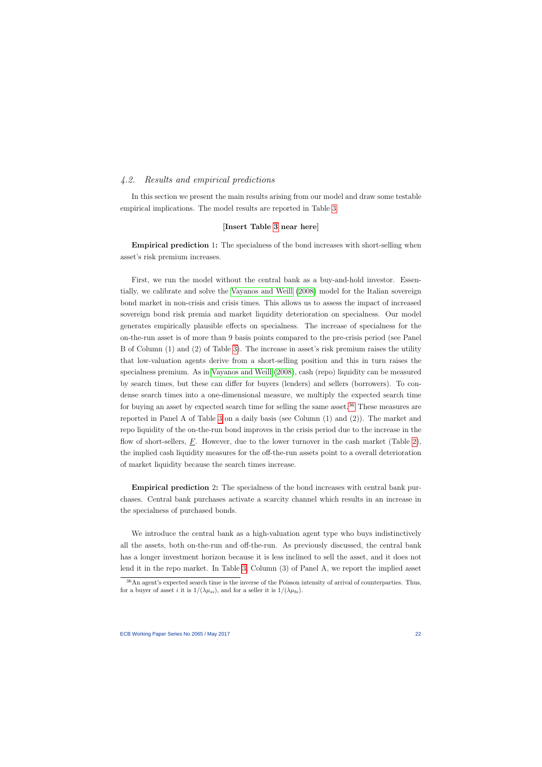# 4.2. Results and empirical predictions

In this section we present the main results arising from our model and draw some testable empirical implications. The model results are reported in Table [3.](#page-49-0)

### [Insert Table [3](#page-49-0) near here]

Empirical prediction 1: The specialness of the bond increases with short-selling when asset's risk premium increases.

First, we run the model without the central bank as a buy-and-hold investor. Essentially, we calibrate and solve the [Vayanos and Weill](#page-65-1) [\(2008\)](#page-65-1) model for the Italian sovereign bond market in non-crisis and crisis times. This allows us to assess the impact of increased sovereign bond risk premia and market liquidity deterioration on specialness. Our model generates empirically plausible effects on specialness. The increase of specialness for the on-the-run asset is of more than 9 basis points compared to the pre-crisis period (see Panel B of Column (1) and (2) of Table [3\)](#page-49-0). The increase in asset's risk premium raises the utility that low-valuation agents derive from a short-selling position and this in turn raises the specialness premium. As in [Vayanos and Weill](#page-65-1) [\(2008\)](#page-65-1), cash (repo) liquidity can be measured by search times, but these can differ for buyers (lenders) and sellers (borrowers). To condense search times into a one-dimensional measure, we multiply the expected search time for buying an asset by expected search time for selling the same asset. $36$  These measures are reported in Panel A of Table [3](#page-49-0) on a daily basis (see Column (1) and (2)). The market and repo liquidity of the on-the-run bond improves in the crisis period due to the increase in the flow of short-sellers,  $F$ . However, due to the lower turnover in the cash market (Table [2\)](#page-48-0), the implied cash liquidity measures for the off-the-run assets point to a overall deterioration of market liquidity because the search times increase.

Empirical prediction 2: The specialness of the bond increases with central bank purchases. Central bank purchases activate a scarcity channel which results in an increase in the specialness of purchased bonds.

We introduce the central bank as a high-valuation agent type who buys indistinctively all the assets, both on-the-run and off-the-run. As previously discussed, the central bank has a longer investment horizon because it is less inclined to sell the asset, and it does not lend it in the repo market. In Table [3,](#page-49-0) Column (3) of Panel A, we report the implied asset

<span id="page-22-0"></span><sup>36</sup>An agent's expected search time is the inverse of the Poisson intensity of arrival of counterparties. Thus, for a buyer of asset i it is  $1/(\lambda \mu_{si})$ , and for a seller it is  $1/(\lambda \mu_{bi})$ .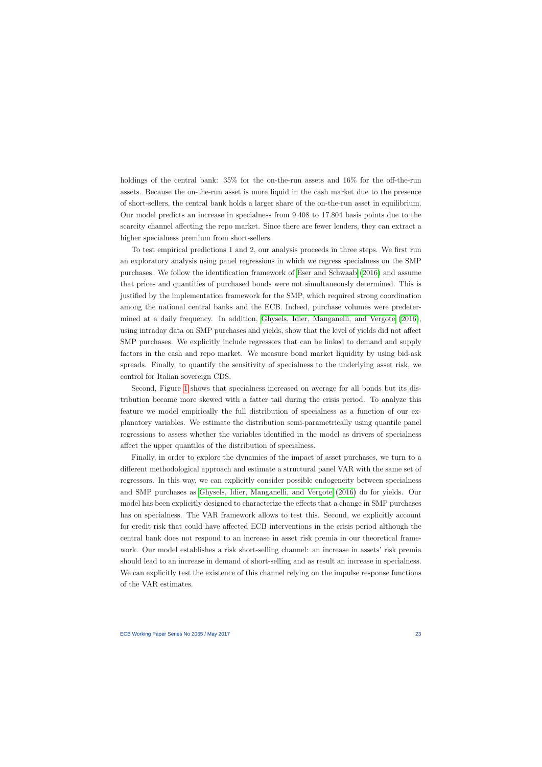holdings of the central bank:  $35\%$  for the on-the-run assets and  $16\%$  for the off-the-run assets. Because the on-the-run asset is more liquid in the cash market due to the presence of short-sellers, the central bank holds a larger share of the on-the-run asset in equilibrium. Our model predicts an increase in specialness from 9.408 to 17.804 basis points due to the scarcity channel affecting the repo market. Since there are fewer lenders, they can extract a higher specialness premium from short-sellers.

To test empirical predictions 1 and 2, our analysis proceeds in three steps. We first run an exploratory analysis using panel regressions in which we regress specialness on the SMP purchases. We follow the identification framework of [Eser and Schwaab](#page-62-0) [\(2016\)](#page-62-0) and assume that prices and quantities of purchased bonds were not simultaneously determined. This is justified by the implementation framework for the SMP, which required strong coordination among the national central banks and the ECB. Indeed, purchase volumes were predetermined at a daily frequency. In addition, [Ghysels, Idier, Manganelli, and Vergote](#page-63-0) [\(2016\)](#page-63-0), using intraday data on SMP purchases and yields, show that the level of yields did not affect SMP purchases. We explicitly include regressors that can be linked to demand and supply factors in the cash and repo market. We measure bond market liquidity by using bid-ask spreads. Finally, to quantify the sensitivity of specialness to the underlying asset risk, we control for Italian sovereign CDS.

Second, Figure [1](#page-39-0) shows that specialness increased on average for all bonds but its distribution became more skewed with a fatter tail during the crisis period. To analyze this feature we model empirically the full distribution of specialness as a function of our explanatory variables. We estimate the distribution semi-parametrically using quantile panel regressions to assess whether the variables identified in the model as drivers of specialness affect the upper quantiles of the distribution of specialness.

Finally, in order to explore the dynamics of the impact of asset purchases, we turn to a different methodological approach and estimate a structural panel VAR with the same set of regressors. In this way, we can explicitly consider possible endogeneity between specialness and SMP purchases as [Ghysels, Idier, Manganelli, and Vergote](#page-63-0) [\(2016\)](#page-63-0) do for yields. Our model has been explicitly designed to characterize the effects that a change in SMP purchases has on specialness. The VAR framework allows to test this. Second, we explicitly account for credit risk that could have affected ECB interventions in the crisis period although the central bank does not respond to an increase in asset risk premia in our theoretical framework. Our model establishes a risk short-selling channel: an increase in assets' risk premia should lead to an increase in demand of short-selling and as result an increase in specialness. We can explicitly test the existence of this channel relying on the impulse response functions of the VAR estimates.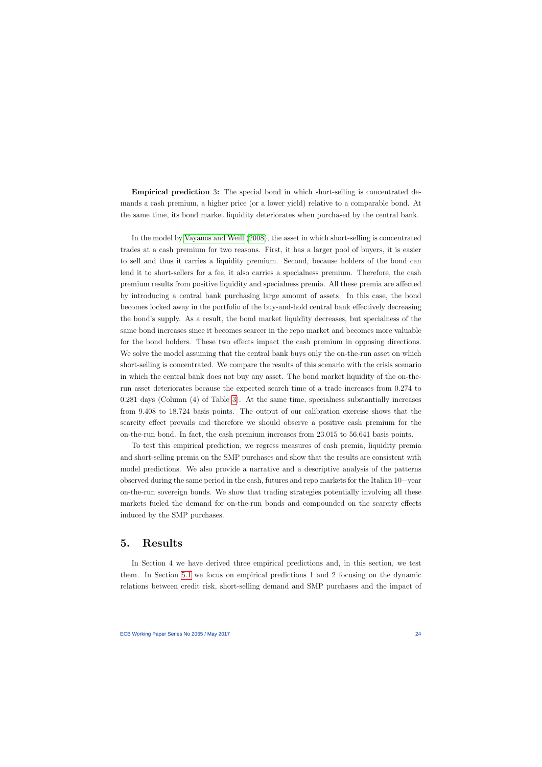Empirical prediction 3: The special bond in which short-selling is concentrated demands a cash premium, a higher price (or a lower yield) relative to a comparable bond. At the same time, its bond market liquidity deteriorates when purchased by the central bank.

In the model by [Vayanos and Weill](#page-65-1) [\(2008\)](#page-65-1), the asset in which short-selling is concentrated trades at a cash premium for two reasons. First, it has a larger pool of buyers, it is easier to sell and thus it carries a liquidity premium. Second, because holders of the bond can lend it to short-sellers for a fee, it also carries a specialness premium. Therefore, the cash premium results from positive liquidity and specialness premia. All these premia are affected by introducing a central bank purchasing large amount of assets. In this case, the bond becomes locked away in the portfolio of the buy-and-hold central bank effectively decreasing the bond's supply. As a result, the bond market liquidity decreases, but specialness of the same bond increases since it becomes scarcer in the repo market and becomes more valuable for the bond holders. These two effects impact the cash premium in opposing directions. We solve the model assuming that the central bank buys only the on-the-run asset on which short-selling is concentrated. We compare the results of this scenario with the crisis scenario in which the central bank does not buy any asset. The bond market liquidity of the on-therun asset deteriorates because the expected search time of a trade increases from 0.274 to 0.281 days (Column (4) of Table [3\)](#page-49-0). At the same time, specialness substantially increases from 9.408 to 18.724 basis points. The output of our calibration exercise shows that the scarcity effect prevails and therefore we should observe a positive cash premium for the on-the-run bond. In fact, the cash premium increases from 23.015 to 56.641 basis points.

To test this empirical prediction, we regress measures of cash premia, liquidity premia and short-selling premia on the SMP purchases and show that the results are consistent with model predictions. We also provide a narrative and a descriptive analysis of the patterns observed during the same period in the cash, futures and repo markets for the Italian 10−year on-the-run sovereign bonds. We show that trading strategies potentially involving all these markets fueled the demand for on-the-run bonds and compounded on the scarcity effects induced by the SMP purchases.

# 5. Results

<span id="page-24-0"></span>In Section 4 we have derived three empirical predictions and, in this section, we test them. In Section [5.1](#page-25-0) we focus on empirical predictions 1 and 2 focusing on the dynamic relations between credit risk, short-selling demand and SMP purchases and the impact of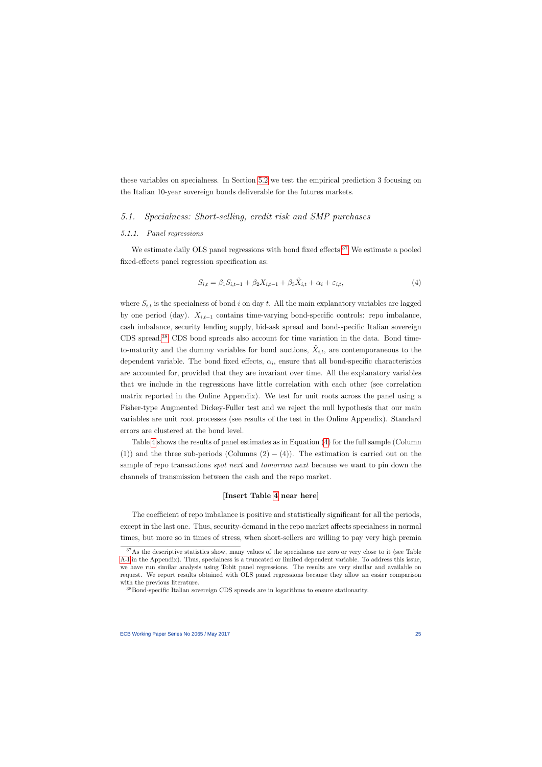these variables on specialness. In Section [5.2](#page-30-0) we test the empirical prediction 3 focusing on the Italian 10-year sovereign bonds deliverable for the futures markets.

# 5.1. Specialness: Short-selling, credit risk and SMP purchases

#### 5.1.1. Panel regressions

We estimate daily OLS panel regressions with bond fixed effects.<sup>[37](#page-25-1)</sup> We estimate a pooled fixed-effects panel regression specification as:

$$
S_{i,t} = \beta_1 S_{i,t-1} + \beta_2 X_{i,t-1} + \beta_3 \tilde{X}_{i,t} + \alpha_i + \varepsilon_{i,t},\tag{4}
$$

<span id="page-25-0"></span>where  $S_{i,t}$  is the specialness of bond i on day t. All the main explanatory variables are lagged by one period (day).  $X_{i,t-1}$  contains time-varying bond-specific controls: repo imbalance, cash imbalance, security lending supply, bid-ask spread and bond-specific Italian sovereign CDS spread.[38](#page-25-2) CDS bond spreads also account for time variation in the data. Bond timeto-maturity and the dummy variables for bond auctions,  $\tilde{X}_{i,t}$ , are contemporaneous to the dependent variable. The bond fixed effects,  $\alpha_i$ , ensure that all bond-specific characteristics are accounted for, provided that they are invariant over time. All the explanatory variables that we include in the regressions have little correlation with each other (see correlation matrix reported in the Online Appendix). We test for unit roots across the panel using a Fisher-type Augmented Dickey-Fuller test and we reject the null hypothesis that our main variables are unit root processes (see results of the test in the Online Appendix). Standard errors are clustered at the bond level.

<span id="page-25-3"></span>Table [4](#page-50-0) shows the results of panel estimates as in Equation [\(4\)](#page-25-3) for the full sample (Column (1)) and the three sub-periods (Columns  $(2) - (4)$ ). The estimation is carried out on the sample of repo transactions *spot next* and *tomorrow next* because we want to pin down the channels of transmission between the cash and the repo market.

# [Insert Table [4](#page-50-0) near here]

The coefficient of repo imbalance is positive and statistically significant for all the periods, except in the last one. Thus, security-demand in the repo market affects specialness in normal times, but more so in times of stress, when short-sellers are willing to pay very high premia

<sup>&</sup>lt;sup>37</sup>As the descriptive statistics show, many values of the specialness are zero or very close to it (see Table [A-I](#page-47-0) in the Appendix). Thus, specialness is a truncated or limited dependent variable. To address this issue, we have run similar analysis using Tobit panel regressions. The results are very similar and available on request. We report results obtained with OLS panel regressions because they allow an easier comparison with the previous literature.

<span id="page-25-2"></span><span id="page-25-1"></span><sup>38</sup>Bond-specific Italian sovereign CDS spreads are in logarithms to ensure stationarity.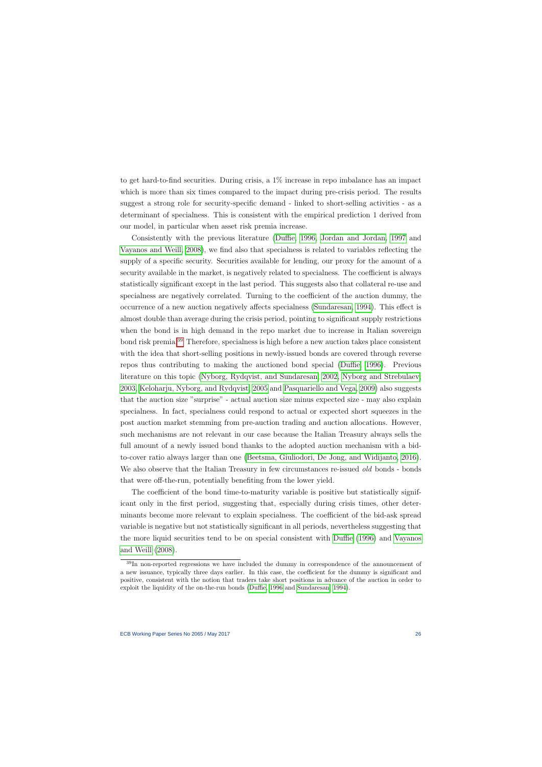to get hard-to-find securities. During crisis, a 1% increase in repo imbalance has an impact which is more than six times compared to the impact during pre-crisis period. The results suggest a strong role for security-specific demand - linked to short-selling activities - as a determinant of specialness. This is consistent with the empirical prediction 1 derived from our model, in particular when asset risk premia increase.

Consistently with the previous literature [\(Duffie, 1996,](#page-62-2) [Jordan and Jordan, 1997](#page-63-5) and [Vayanos and Weill, 2008\)](#page-65-1), we find also that specialness is related to variables reflecting the supply of a specific security. Securities available for lending, our proxy for the amount of a security available in the market, is negatively related to specialness. The coefficient is always statistically significant except in the last period. This suggests also that collateral re-use and specialness are negatively correlated. Turning to the coefficient of the auction dummy, the occurrence of a new auction negatively affects specialness [\(Sundaresan, 1994\)](#page-65-6). This effect is almost double than average during the crisis period, pointing to significant supply restrictions when the bond is in high demand in the repo market due to increase in Italian sovereign bond risk premia.[39](#page-26-0) Therefore, specialness is high before a new auction takes place consistent with the idea that short-selling positions in newly-issued bonds are covered through reverse repos thus contributing to making the auctioned bond special [\(Duffie, 1996\)](#page-62-2). Previous literature on this topic [\(Nyborg, Rydqvist, and Sundaresan, 2002,](#page-64-10) [Nyborg and Strebulaev,](#page-64-11) [2003,](#page-64-11) [Keloharju, Nyborg, and Rydqvist, 2005](#page-63-11) and [Pasquariello and Vega, 2009\)](#page-64-5) also suggests that the auction size "surprise" - actual auction size minus expected size - may also explain specialness. In fact, specialness could respond to actual or expected short squeezes in the post auction market stemming from pre-auction trading and auction allocations. However, such mechanisms are not relevant in our case because the Italian Treasury always sells the full amount of a newly issued bond thanks to the adopted auction mechanism with a bidto-cover ratio always larger than one [\(Beetsma, Giuliodori, De Jong, and Widijanto, 2016\)](#page-61-9). We also observe that the Italian Treasury in few circumstances re-issued old bonds - bonds that were off-the-run, potentially benefiting from the lower yield.

The coefficient of the bond time-to-maturity variable is positive but statistically significant only in the first period, suggesting that, especially during crisis times, other determinants become more relevant to explain specialness. The coefficient of the bid-ask spread variable is negative but not statistically significant in all periods, nevertheless suggesting that the more liquid securities tend to be on special consistent with [Duffie](#page-62-2) [\(1996\)](#page-62-2) and [Vayanos](#page-65-1) [and Weill](#page-65-1) [\(2008\)](#page-65-1).

<span id="page-26-0"></span><sup>&</sup>lt;sup>39</sup>In non-reported regressions we have included the dummy in correspondence of the announcement of a new issuance, typically three days earlier. In this case, the coefficient for the dummy is significant and positive, consistent with the notion that traders take short positions in advance of the auction in order to exploit the liquidity of the on-the-run bonds [\(Duffie, 1996](#page-62-2) and [Sundaresan, 1994\)](#page-65-6).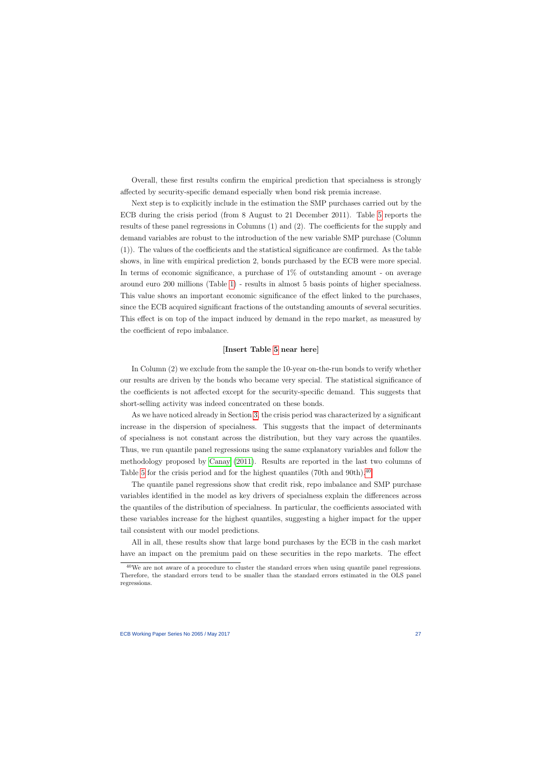Overall, these first results confirm the empirical prediction that specialness is strongly affected by security-specific demand especially when bond risk premia increase.

Next step is to explicitly include in the estimation the SMP purchases carried out by the ECB during the crisis period (from 8 August to 21 December 2011). Table [5](#page-51-0) reports the results of these panel regressions in Columns (1) and (2). The coefficients for the supply and demand variables are robust to the introduction of the new variable SMP purchase (Column (1)). The values of the coefficients and the statistical significance are confirmed. As the table shows, in line with empirical prediction 2, bonds purchased by the ECB were more special. In terms of economic significance, a purchase of 1% of outstanding amount - on average around euro 200 millions (Table [1\)](#page-47-0) - results in almost 5 basis points of higher specialness. This value shows an important economic significance of the effect linked to the purchases, since the ECB acquired significant fractions of the outstanding amounts of several securities. This effect is on top of the impact induced by demand in the repo market, as measured by the coefficient of repo imbalance.

## [Insert Table [5](#page-51-0) near here]

In Column (2) we exclude from the sample the 10-year on-the-run bonds to verify whether our results are driven by the bonds who became very special. The statistical significance of the coefficients is not affected except for the security-specific demand. This suggests that short-selling activity was indeed concentrated on these bonds.

As we have noticed already in Section [3,](#page-11-1) the crisis period was characterized by a significant increase in the dispersion of specialness. This suggests that the impact of determinants of specialness is not constant across the distribution, but they vary across the quantiles. Thus, we run quantile panel regressions using the same explanatory variables and follow the methodology proposed by [Canay](#page-62-12) [\(2011\)](#page-62-12). Results are reported in the last two columns of Table [5](#page-51-0) for the crisis period and for the highest quantiles (70th and 90th).<sup>[40](#page-27-0)</sup>

The quantile panel regressions show that credit risk, repo imbalance and SMP purchase variables identified in the model as key drivers of specialness explain the differences across the quantiles of the distribution of specialness. In particular, the coefficients associated with these variables increase for the highest quantiles, suggesting a higher impact for the upper tail consistent with our model predictions.

All in all, these results show that large bond purchases by the ECB in the cash market have an impact on the premium paid on these securities in the repo markets. The effect

<span id="page-27-0"></span><sup>&</sup>lt;sup>40</sup>We are not aware of a procedure to cluster the standard errors when using quantile panel regressions. Therefore, the standard errors tend to be smaller than the standard errors estimated in the OLS panel regressions.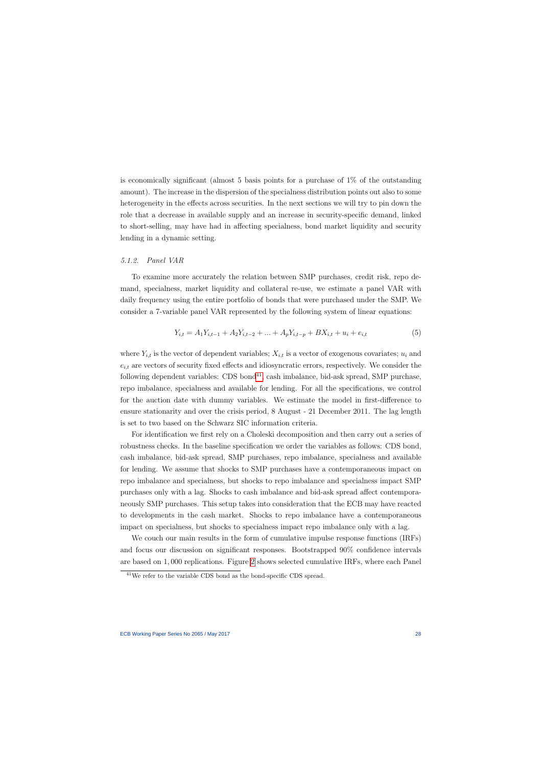is economically significant (almost 5 basis points for a purchase of 1% of the outstanding amount). The increase in the dispersion of the specialness distribution points out also to some heterogeneity in the effects across securities. In the next sections we will try to pin down the role that a decrease in available supply and an increase in security-specific demand, linked to short-selling, may have had in affecting specialness, bond market liquidity and security lending in a dynamic setting.

#### 5.1.2. Panel VAR

To examine more accurately the relation between SMP purchases, credit risk, repo demand, specialness, market liquidity and collateral re-use, we estimate a panel VAR with daily frequency using the entire portfolio of bonds that were purchased under the SMP. We consider a 7-variable panel VAR represented by the following system of linear equations:

$$
Y_{i,t} = A_1 Y_{i,t-1} + A_2 Y_{i,t-2} + \dots + A_p Y_{i,t-p} + BX_{i,t} + u_i + e_{i,t}
$$
\n
$$
\tag{5}
$$

where  $Y_{i,t}$  is the vector of dependent variables;  $X_{i,t}$  is a vector of exogenous covariates;  $u_i$  and  $e_{i,t}$  are vectors of security fixed effects and idiosyncratic errors, respectively. We consider the following dependent variables:  $CDS bond<sup>41</sup>$  $CDS bond<sup>41</sup>$  $CDS bond<sup>41</sup>$ , cash imbalance, bid-ask spread,  $SMP$  purchase, repo imbalance, specialness and available for lending. For all the specifications, we control for the auction date with dummy variables. We estimate the model in first-difference to ensure stationarity and over the crisis period, 8 August - 21 December 2011. The lag length is set to two based on the Schwarz SIC information criteria.

For identification we first rely on a Choleski decomposition and then carry out a series of robustness checks. In the baseline specification we order the variables as follows: CDS bond, cash imbalance, bid-ask spread, SMP purchases, repo imbalance, specialness and available for lending. We assume that shocks to SMP purchases have a contemporaneous impact on repo imbalance and specialness, but shocks to repo imbalance and specialness impact SMP purchases only with a lag. Shocks to cash imbalance and bid-ask spread affect contemporaneously SMP purchases. This setup takes into consideration that the ECB may have reacted to developments in the cash market. Shocks to repo imbalance have a contemporaneous impact on specialness, but shocks to specialness impact repo imbalance only with a lag.

We couch our main results in the form of cumulative impulse response functions (IRFs) and focus our discussion on significant responses. Bootstrapped 90% confidence intervals are based on 1, 000 replications. Figure [2](#page-40-0) shows selected cumulative IRFs, where each Panel

<span id="page-28-0"></span> $41$ We refer to the variable CDS bond as the bond-specific CDS spread.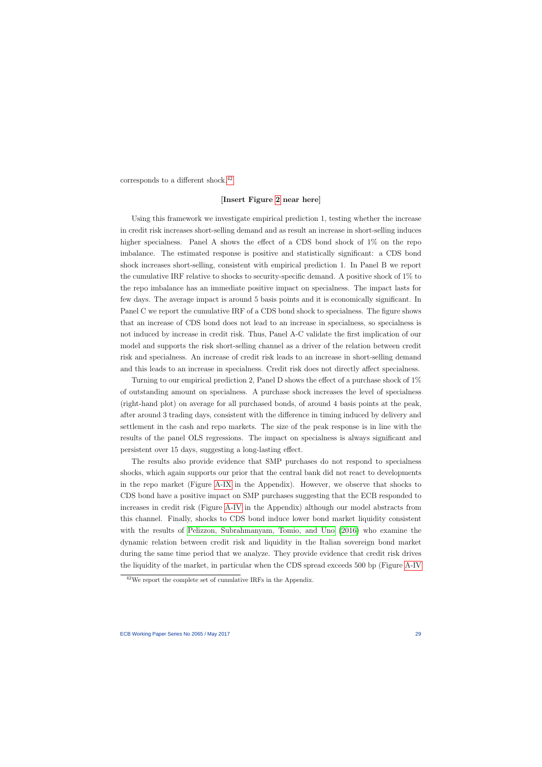corresponds to a different shock.<sup>[42](#page-29-0)</sup>

#### [Insert Figure [2](#page-40-0) near here]

Using this framework we investigate empirical prediction 1, testing whether the increase in credit risk increases short-selling demand and as result an increase in short-selling induces higher specialness. Panel A shows the effect of a CDS bond shock of 1\% on the repo imbalance. The estimated response is positive and statistically significant: a CDS bond shock increases short-selling, consistent with empirical prediction 1. In Panel B we report the cumulative IRF relative to shocks to security-specific demand. A positive shock of 1% to the repo imbalance has an immediate positive impact on specialness. The impact lasts for few days. The average impact is around 5 basis points and it is economically significant. In Panel C we report the cumulative IRF of a CDS bond shock to specialness. The figure shows that an increase of CDS bond does not lead to an increase in specialness, so specialness is not induced by increase in credit risk. Thus, Panel A-C validate the first implication of our model and supports the risk short-selling channel as a driver of the relation between credit risk and specialness. An increase of credit risk leads to an increase in short-selling demand and this leads to an increase in specialness. Credit risk does not directly affect specialness.

Turning to our empirical prediction 2, Panel D shows the effect of a purchase shock of 1% of outstanding amount on specialness. A purchase shock increases the level of specialness (right-hand plot) on average for all purchased bonds, of around 4 basis points at the peak, after around 3 trading days, consistent with the difference in timing induced by delivery and settlement in the cash and repo markets. The size of the peak response is in line with the results of the panel OLS regressions. The impact on specialness is always significant and persistent over 15 days, suggesting a long-lasting effect.

The results also provide evidence that SMP purchases do not respond to specialness shocks, which again supports our prior that the central bank did not react to developments in the repo market (Figure [A-IX](#page-74-0) in the Appendix). However, we observe that shocks to CDS bond have a positive impact on SMP purchases suggesting that the ECB responded to increases in credit risk (Figure [A-IV](#page-42-0) in the Appendix) although our model abstracts from this channel. Finally, shocks to CDS bond induce lower bond market liquidity consistent with the results of [Pelizzon, Subrahmanyam, Tomio, and Uno](#page-65-2) [\(2016\)](#page-65-2) who examine the dynamic relation between credit risk and liquidity in the Italian sovereign bond market during the same time period that we analyze. They provide evidence that credit risk drives the liquidity of the market, in particular when the CDS spread exceeds 500 bp (Figure [A-IV](#page-42-0)

<span id="page-29-0"></span><sup>42</sup>We report the complete set of cumulative IRFs in the Appendix.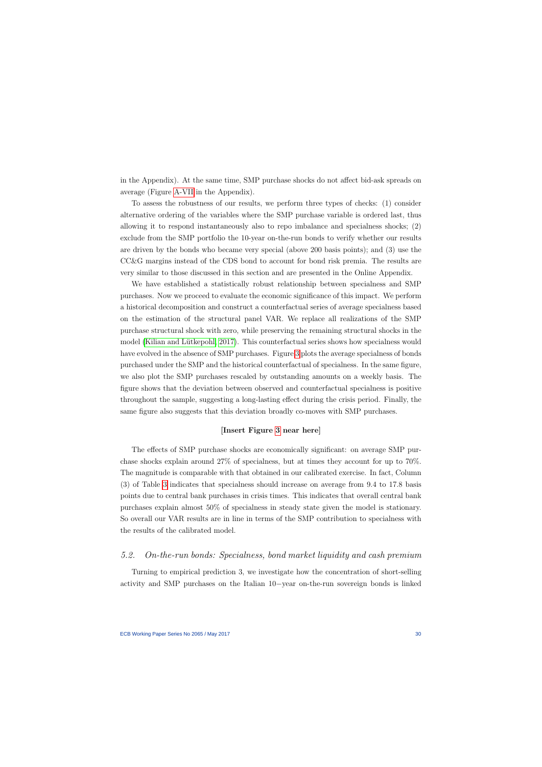in the Appendix). At the same time, SMP purchase shocks do not affect bid-ask spreads on average (Figure [A-VII](#page-45-0) in the Appendix).

To assess the robustness of our results, we perform three types of checks: (1) consider alternative ordering of the variables where the SMP purchase variable is ordered last, thus allowing it to respond instantaneously also to repo imbalance and specialness shocks; (2) exclude from the SMP portfolio the 10-year on-the-run bonds to verify whether our results are driven by the bonds who became very special (above 200 basis points); and (3) use the CC&G margins instead of the CDS bond to account for bond risk premia. The results are very similar to those discussed in this section and are presented in the Online Appendix.

We have established a statistically robust relationship between specialness and SMP purchases. Now we proceed to evaluate the economic significance of this impact. We perform a historical decomposition and construct a counterfactual series of average specialness based on the estimation of the structural panel VAR. We replace all realizations of the SMP purchase structural shock with zero, while preserving the remaining structural shocks in the model (Kilian and Lütkepohl, 2017). This counterfactual series shows how specialness would have evolved in the absence of SMP purchases. Figure [3](#page-41-0) plots the average specialness of bonds purchased under the SMP and the historical counterfactual of specialness. In the same figure, we also plot the SMP purchases rescaled by outstanding amounts on a weekly basis. The figure shows that the deviation between observed and counterfactual specialness is positive throughout the sample, suggesting a long-lasting effect during the crisis period. Finally, the same figure also suggests that this deviation broadly co-moves with SMP purchases.

## [Insert Figure [3](#page-41-0) near here]

The effects of SMP purchase shocks are economically significant: on average SMP purchase shocks explain around 27% of specialness, but at times they account for up to 70%. The magnitude is comparable with that obtained in our calibrated exercise. In fact, Column (3) of Table [3](#page-49-0) indicates that specialness should increase on average from 9.4 to 17.8 basis points due to central bank purchases in crisis times. This indicates that overall central bank purchases explain almost 50% of specialness in steady state given the model is stationary. So overall our VAR results are in line in terms of the SMP contribution to specialness with the results of the calibrated model.

# 5.2. On-the-run bonds: Specialness, bond market liquidity and cash premium

<span id="page-30-0"></span>Turning to empirical prediction 3, we investigate how the concentration of short-selling activity and SMP purchases on the Italian 10−year on-the-run sovereign bonds is linked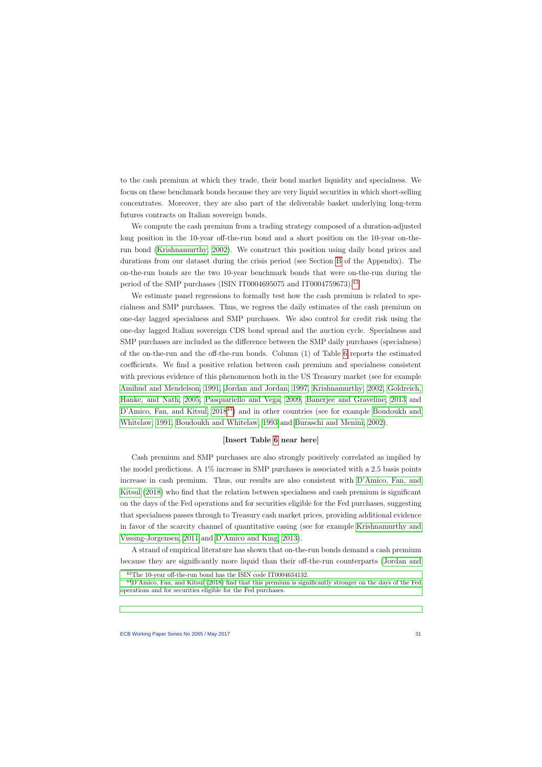to the cash premium at which they trade, their bond market liquidity and specialness. We focus on these benchmark bonds because they are very liquid securities in which short-selling concentrates. Moreover, they are also part of the deliverable basket underlying long-term futures contracts on Italian sovereign bonds.

We compute the cash premium from a trading strategy composed of a duration-adjusted long position in the 10-year off-the-run bond and a short position on the 10-year on-therun bond [\(Krishnamurthy, 2002\)](#page-64-4). We construct this position using daily bond prices and durations from our dataset during the crisis period (see Section [B](#page-9-0) of the Appendix). The on-the-run bonds are the two 10-year benchmark bonds that were on-the-run during the period of the SMP purchases (ISIN IT0004695075 and IT0004759673).<sup>[43](#page-31-0)</sup>

We estimate panel regressions to formally test how the cash premium is related to specialness and SMP purchases. Thus, we regress the daily estimates of the cash premium on one-day lagged specialness and SMP purchases. We also control for credit risk using the one-day lagged Italian sovereign CDS bond spread and the auction cycle. Specialness and SMP purchases are included as the difference between the SMP daily purchases (specialness) of the on-the-run and the off-the-run bonds. Column (1) of Table [6](#page-52-0) reports the estimated coefficients. We find a positive relation between cash premium and specialness consistent with previous evidence of this phenomenon both in the US Treasury market (see for example [Amihud and Mendelson, 1991,](#page-61-3) [Jordan and Jordan, 1997,](#page-63-5) [Krishnamurthy, 2002,](#page-64-4) [Goldreich,](#page-63-7) [Hanke, and Nath, 2005,](#page-63-7) [Pasquariello and Vega, 2009,](#page-64-5) [Banerjee and Graveline, 2013](#page-61-4) and [D'Amico, Fan, and Kitsul, 2018](#page-62-4)<sup>[44](#page-31-1)</sup>) and in other countries (see for example [Boudoukh and](#page-61-5) [Whitelaw, 1991,](#page-61-5) [Boudoukh and Whitelaw, 1993](#page-61-6) and [Buraschi and Menini, 2002\)](#page-61-2).

# [Insert Table [6](#page-52-0) near here]

Cash premium and SMP purchases are also strongly positively correlated as implied by the model predictions. A  $1\%$  increase in SMP purchases is associated with a 2.5 basis points increase in cash premium. Thus, our results are also consistent with [D'Amico, Fan, and](#page-62-4) [Kitsul](#page-62-4) [\(2018\)](#page-62-4) who find that the relation between specialness and cash premium is significant on the days of the Fed operations and for securities eligible for the Fed purchases, suggesting that specialness passes through to Treasury cash market prices, providing additional evidence in favor of the scarcity channel of quantitative easing (see for example [Krishnamurthy and](#page-64-3) [Vissing-Jorgensen, 2011](#page-64-3) and [D'Amico and King, 2013\)](#page-62-3).

A strand of empirical literature has shown that on-the-run bonds demand a cash premium because they are significantly more liquid than their off-the-run counterparts [\(Jordan and](#page-63-5)

<sup>43</sup>[The 10-year off-the-run bond has the ISIN code IT0004634132.](#page-63-5)

<span id="page-31-1"></span><span id="page-31-0"></span><sup>44</sup>[D'Amico, Fan, and Kitsul \(2018\) find that this premium is significantly stronger on the days of the Fed](#page-63-5) [operations and for securities eligible for the Fed purchases.](#page-63-5)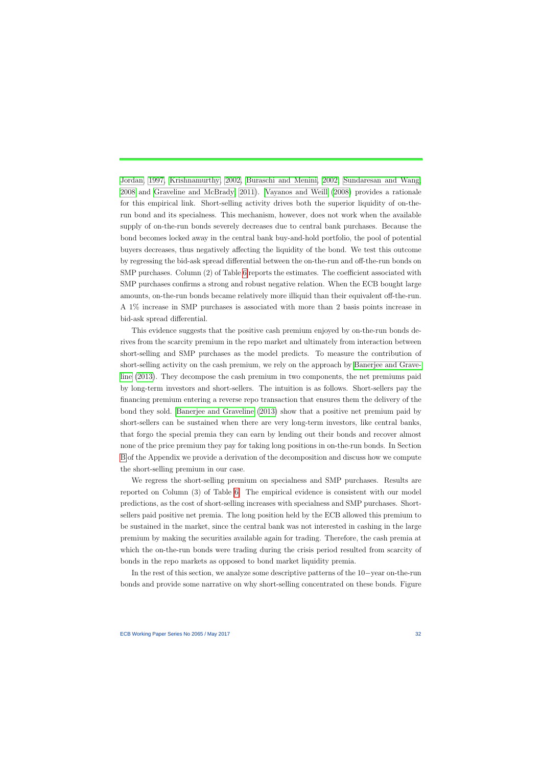[Jordan, 1997,](#page-63-5) [Krishnamurthy,](#page-64-4) [2002,](#page-64-4) [Buraschi and Menini, 2002,](#page-61-2) [Sundaresan and Wang,](#page-65-4) [2008](#page-65-4) and [Graveline and McBrady, 2011\)](#page-63-6). [Vayanos and Weill](#page-65-1) [\(2008\)](#page-65-1) provides a rationale for this empirical link. Short-selling activity drives both the superior liquidity of on-therun bond and its specialness. This mechanism, however, does not work when the available supply of on-the-run bonds severely decreases due to central bank purchases. Because the bond becomes locked away in the central bank buy-and-hold portfolio, the pool of potential buyers decreases, thus negatively affecting the liquidity of the bond. We test this outcome by regressing the bid-ask spread differential between the on-the-run and off-the-run bonds on SMP purchases. Column (2) of Table [6](#page-52-0) reports the estimates. The coefficient associated with SMP purchases confirms a strong and robust negative relation. When the ECB bought large amounts, on-the-run bonds became relatively more illiquid than their equivalent off-the-run. A 1% increase in SMP purchases is associated with more than 2 basis points increase in bid-ask spread differential.

This evidence suggests that the positive cash premium enjoyed by on-the-run bonds derives from the scarcity premium in the repo market and ultimately from interaction between short-selling and SMP purchases as the model predicts. To measure the contribution of short-selling activity on the cash premium, we rely on the approach by [Banerjee and Grave](#page-61-4)[line](#page-61-4) [\(2013\)](#page-61-4). They decompose the cash premium in two components, the net premiums paid by long-term investors and short-sellers. The intuition is as follows. Short-sellers pay the financing premium entering a reverse repo transaction that ensures them the delivery of the bond they sold. [Banerjee and Graveline](#page-61-4) [\(2013\)](#page-61-4) show that a positive net premium paid by short-sellers can be sustained when there are very long-term investors, like central banks, that forgo the special premia they can earn by lending out their bonds and recover almost none of the price premium they pay for taking long positions in on-the-run bonds. In Section [B](#page-9-0) of the Appendix we provide a derivation of the decomposition and discuss how we compute the short-selling premium in our case.

We regress the short-selling premium on specialness and SMP purchases. Results are reported on Column (3) of Table [6.](#page-52-0) The empirical evidence is consistent with our model predictions, as the cost of short-selling increases with specialness and SMP purchases. Shortsellers paid positive net premia. The long position held by the ECB allowed this premium to be sustained in the market, since the central bank was not interested in cashing in the large premium by making the securities available again for trading. Therefore, the cash premia at which the on-the-run bonds were trading during the crisis period resulted from scarcity of bonds in the repo markets as opposed to bond market liquidity premia.

In the rest of this section, we analyze some descriptive patterns of the 10−year on-the-run bonds and provide some narrative on why short-selling concentrated on these bonds. Figure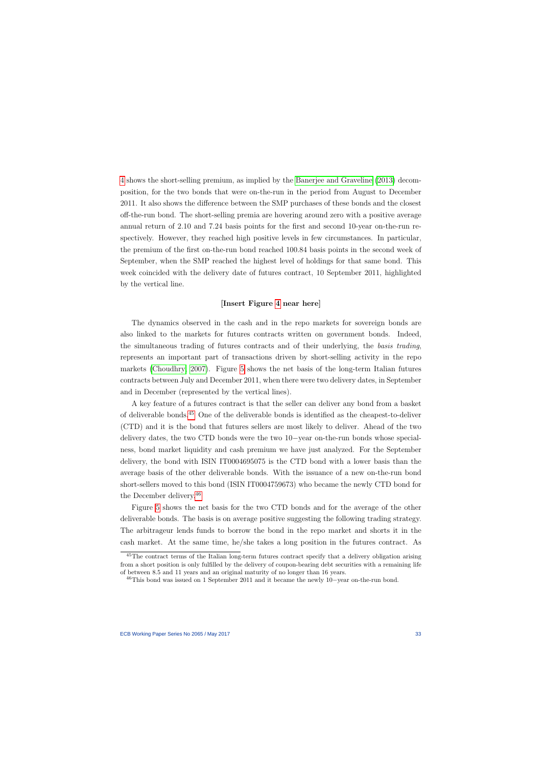[4](#page-42-0) shows the short-selling premium, as implied by the [Banerjee and Graveline](#page-61-4) [\(2013\)](#page-61-4) decomposition, for the two bonds that were on-the-run in the period from August to December 2011. It also shows the difference between the SMP purchases of these bonds and the closest off-the-run bond. The short-selling premia are hovering around zero with a positive average annual return of 2.10 and 7.24 basis points for the first and second 10-year on-the-run respectively. However, they reached high positive levels in few circumstances. In particular, the premium of the first on-the-run bond reached 100.84 basis points in the second week of September, when the SMP reached the highest level of holdings for that same bond. This week coincided with the delivery date of futures contract, 10 September 2011, highlighted by the vertical line.

#### [Insert Figure [4](#page-42-0) near here]

The dynamics observed in the cash and in the repo markets for sovereign bonds are also linked to the markets for futures contracts written on government bonds. Indeed, the simultaneous trading of futures contracts and of their underlying, the basis trading, represents an important part of transactions driven by short-selling activity in the repo markets [\(Choudhry, 2007\)](#page-62-13). Figure [5](#page-43-0) shows the net basis of the long-term Italian futures contracts between July and December 2011, when there were two delivery dates, in September and in December (represented by the vertical lines).

A key feature of a futures contract is that the seller can deliver any bond from a basket of deliverable bonds.[45](#page-33-0) One of the deliverable bonds is identified as the cheapest-to-deliver (CTD) and it is the bond that futures sellers are most likely to deliver. Ahead of the two delivery dates, the two CTD bonds were the two 10−year on-the-run bonds whose specialness, bond market liquidity and cash premium we have just analyzed. For the September delivery, the bond with ISIN IT0004695075 is the CTD bond with a lower basis than the average basis of the other deliverable bonds. With the issuance of a new on-the-run bond short-sellers moved to this bond (ISIN IT0004759673) who became the newly CTD bond for the December delivery.[46](#page-33-1)

Figure [5](#page-43-0) shows the net basis for the two CTD bonds and for the average of the other deliverable bonds. The basis is on average positive suggesting the following trading strategy. The arbitrageur lends funds to borrow the bond in the repo market and shorts it in the cash market. At the same time, he/she takes a long position in the futures contract. As

<sup>&</sup>lt;sup>45</sup>The contract terms of the Italian long-term futures contract specify that a delivery obligation arising from a short position is only fulfilled by the delivery of coupon-bearing debt securities with a remaining life of between 8.5 and 11 years and an original maturity of no longer than 16 years.

<span id="page-33-1"></span><span id="page-33-0"></span><sup>46</sup>This bond was issued on 1 September 2011 and it became the newly 10−year on-the-run bond.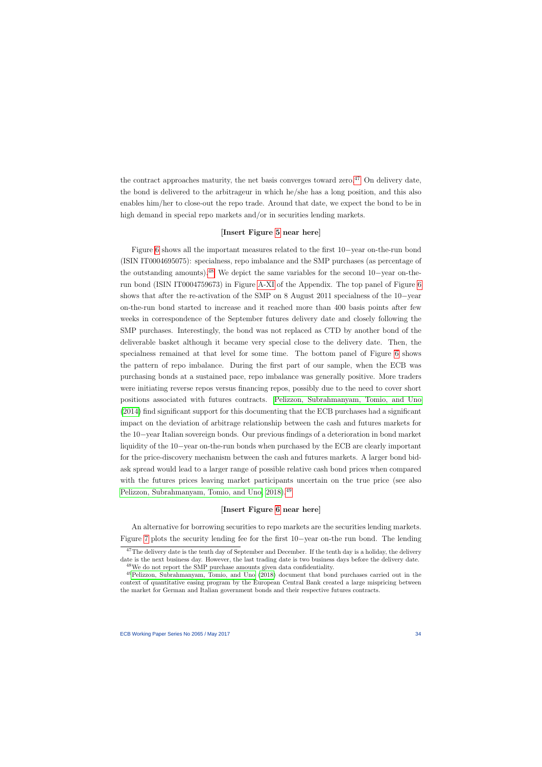the contract approaches maturity, the net basis converges toward zero.<sup>[47](#page-34-0)</sup> On delivery date, the bond is delivered to the arbitrageur in which he/she has a long position, and this also enables him/her to close-out the repo trade. Around that date, we expect the bond to be in high demand in special repo markets and/or in securities lending markets.

## [Insert Figure [5](#page-43-0) near here]

Figure [6](#page-44-0) shows all the important measures related to the first 10−year on-the-run bond (ISIN IT0004695075): specialness, repo imbalance and the SMP purchases (as percentage of the outstanding amounts).[48](#page-34-1) We depict the same variables for the second 10−year on-therun bond (ISIN IT0004759673) in Figure [A-XI](#page-76-0) of the Appendix. The top panel of Figure [6](#page-44-0) shows that after the re-activation of the SMP on 8 August 2011 specialness of the 10−year on-the-run bond started to increase and it reached more than 400 basis points after few weeks in correspondence of the September futures delivery date and closely following the SMP purchases. Interestingly, the bond was not replaced as CTD by another bond of the deliverable basket although it became very special close to the delivery date. Then, the specialness remained at that level for some time. The bottom panel of Figure [6](#page-44-0) shows the pattern of repo imbalance. During the first part of our sample, when the ECB was purchasing bonds at a sustained pace, repo imbalance was generally positive. More traders were initiating reverse repos versus financing repos, possibly due to the need to cover short positions associated with futures contracts. [Pelizzon, Subrahmanyam, Tomio, and Uno](#page-64-12) [\(2014\)](#page-64-12) find significant support for this documenting that the ECB purchases had a significant impact on the deviation of arbitrage relationship between the cash and futures markets for the 10−year Italian sovereign bonds. Our previous findings of a deterioration in bond market liquidity of the 10−year on-the-run bonds when purchased by the ECB are clearly important for the price-discovery mechanism between the cash and futures markets. A larger bond bidask spread would lead to a larger range of possible relative cash bond prices when compared with the futures prices leaving market participants uncertain on the true price (see also [Pelizzon, Subrahmanyam, Tomio, and Uno, 2018\)](#page-65-7).[49](#page-34-2)

# [Insert Figure [6](#page-44-0) near here]

An alternative for borrowing securities to repo markets are the securities lending markets. Figure [7](#page-45-0) plots the security lending fee for the first 10−year on-the run bond. The lending

<span id="page-34-2"></span><span id="page-34-1"></span><span id="page-34-0"></span>the market for German and Italian government bonds and their respective futures contracts.

 $47$ The delivery date is the tenth day of September and December. If the tenth day is a holiday, the delivery date is the next business day. However, the last trading date is two business days before the delivery date. <sup>48</sup>We do not report the SMP purchase amounts given data confidentiality.

<sup>49</sup>[Pelizzon, Subrahmanyam, Tomio, and Uno](#page-65-7) [\(2018\)](#page-65-7) document that bond purchases carried out in the context of quantitative easing program by the European Central Bank created a large mispricing between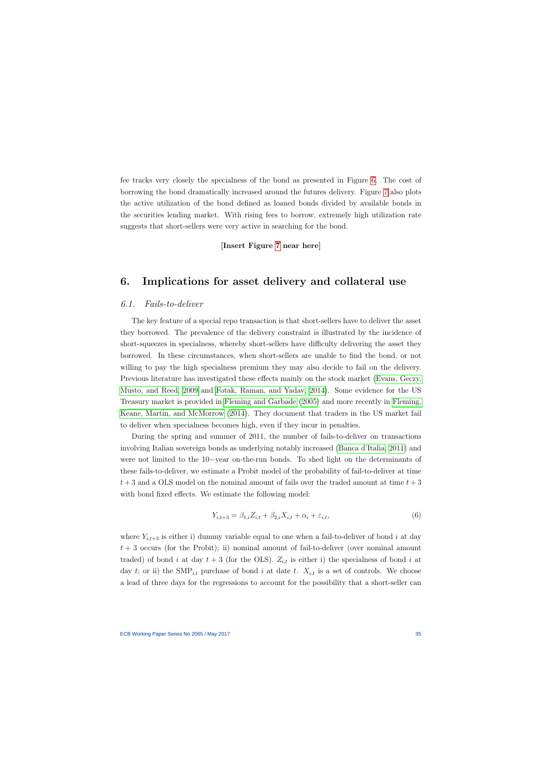fee tracks very closely the specialness of the bond as presented in Figure [6.](#page-44-0) The cost of borrowing the bond dramatically increased around the futures delivery. Figure [7](#page-45-0) also plots the active utilization of the bond defined as loaned bonds divided by available bonds in the securities lending market. With rising fees to borrow, extremely high utilization rate suggests that short-sellers were very active in searching for the bond.

### [Insert Figure [7](#page-45-0) near here]

# 6. Implications for asset delivery and collateral use

### 6.1. Fails-to-deliver

The key feature of a special repo transaction is that short-sellers have to deliver the asset they borrowed. The prevalence of the delivery constraint is illustrated by the incidence of short-squeezes in specialness, whereby short-sellers have difficulty delivering the asset they borrowed. In these circumstances, when short-sellers are unable to find the bond, or not willing to pay the high specialness premium they may also decide to fail on the delivery. Previous literature has investigated these effects mainly on the stock market [\(Evans, Geczy,](#page-62-5) [Musto, and Reed, 2009](#page-62-5) and [Fotak, Raman, and Yadav, 2014\)](#page-63-8). Some evidence for the US Treasury market is provided in [Fleming and Garbade](#page-63-9) [\(2005\)](#page-63-9) and more recently in [Fleming,](#page-62-6) [Keane, Martin, and McMorrow](#page-62-6) [\(2014\)](#page-62-6). They document that traders in the US market fail to deliver when specialness becomes high, even if they incur in penalties.

<span id="page-35-0"></span>During the spring and summer of 2011, the number of fails-to-deliver on transactions involving Italian sovereign bonds as underlying notably increased [\(Banca d'Italia, 2011\)](#page-61-13) and were not limited to the 10−year on-the-run bonds. To shed light on the determinants of these fails-to-deliver, we estimate a Probit model of the probability of fail-to-deliver at time  $t+3$  and a OLS model on the nominal amount of fails over the traded amount at time  $t+3$ with bond fixed effects. We estimate the following model:

$$
Y_{i,t+3} = \beta_{1,i} Z_{i,t} + \beta_{2,i} X_{i,t} + \alpha_i + \varepsilon_{i,t},
$$
\n(6)

where  $Y_{i,t+3}$  is either i) dummy variable equal to one when a fail-to-deliver of bond i at day  $t + 3$  occurs (for the Probit); ii) nominal amount of fail-to-deliver (over nominal amount traded) of bond i at day  $t + 3$  (for the OLS).  $Z_{i,t}$  is either i) the specialness of bond i at day t; or ii) the  $\text{SMP}_{i,t}$  purchase of bond i at date t.  $X_{i,t}$  is a set of controls. We choose a lead of three days for the regressions to account for the possibility that a short-seller can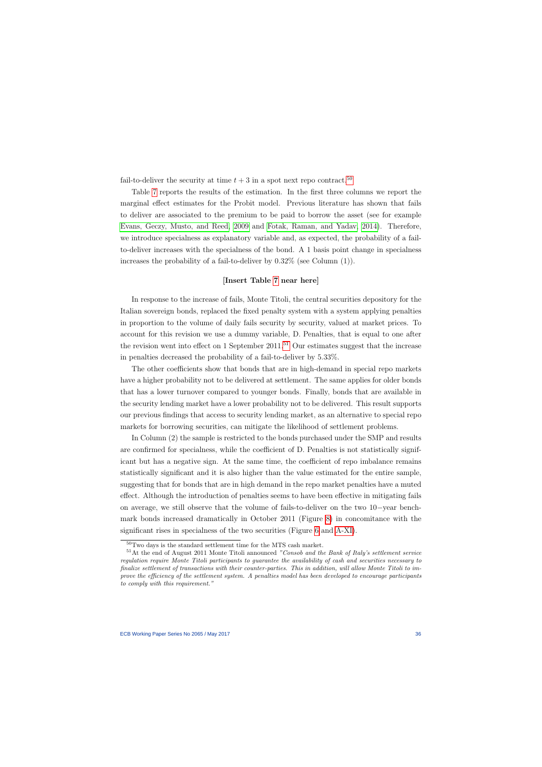fail-to-deliver the security at time  $t + 3$  in a spot next repo contract.<sup>[50](#page-36-0)</sup>

Table [7](#page-53-0) reports the results of the estimation. In the first three columns we report the marginal effect estimates for the Probit model. Previous literature has shown that fails to deliver are associated to the premium to be paid to borrow the asset (see for example [Evans, Geczy, Musto, and Reed, 2009](#page-62-0) and [Fotak, Raman, and Yadav, 2014\)](#page-63-0). Therefore, we introduce specialness as explanatory variable and, as expected, the probability of a failto-deliver increases with the specialness of the bond. A 1 basis point change in specialness increases the probability of a fail-to-deliver by 0.32% (see Column (1)).

#### [Insert Table [7](#page-53-0) near here]

In response to the increase of fails, Monte Titoli, the central securities depository for the Italian sovereign bonds, replaced the fixed penalty system with a system applying penalties in proportion to the volume of daily fails security by security, valued at market prices. To account for this revision we use a dummy variable, D. Penalties, that is equal to one after the revision went into effect on 1 September  $2011$ .<sup>[51](#page-36-1)</sup> Our estimates suggest that the increase in penalties decreased the probability of a fail-to-deliver by 5.33%.

The other coefficients show that bonds that are in high-demand in special repo markets have a higher probability not to be delivered at settlement. The same applies for older bonds that has a lower turnover compared to younger bonds. Finally, bonds that are available in the security lending market have a lower probability not to be delivered. This result supports our previous findings that access to security lending market, as an alternative to special repo markets for borrowing securities, can mitigate the likelihood of settlement problems.

In Column (2) the sample is restricted to the bonds purchased under the SMP and results are confirmed for specialness, while the coefficient of D. Penalties is not statistically significant but has a negative sign. At the same time, the coefficient of repo imbalance remains statistically significant and it is also higher than the value estimated for the entire sample, suggesting that for bonds that are in high demand in the repo market penalties have a muted effect. Although the introduction of penalties seems to have been effective in mitigating fails on average, we still observe that the volume of fails-to-deliver on the two 10−year benchmark bonds increased dramatically in October 2011 (Figure [8\)](#page-46-0) in concomitance with the significant rises in specialness of the two securities (Figure [6](#page-44-0) and [A-XI\)](#page-76-0).

 $50$ Two days is the standard settlement time for the MTS cash market.

<span id="page-36-1"></span><span id="page-36-0"></span> $51$ At the end of August 2011 Monte Titoli announced "Consob and the Bank of Italy's settlement service regulation require Monte Titoli participants to guarantee the availability of cash and securities necessary to finalize settlement of transactions with their counter-parties. This in addition, will allow Monte Titoli to improve the efficiency of the settlement system. A penalties model has been developed to encourage participants to comply with this requirement."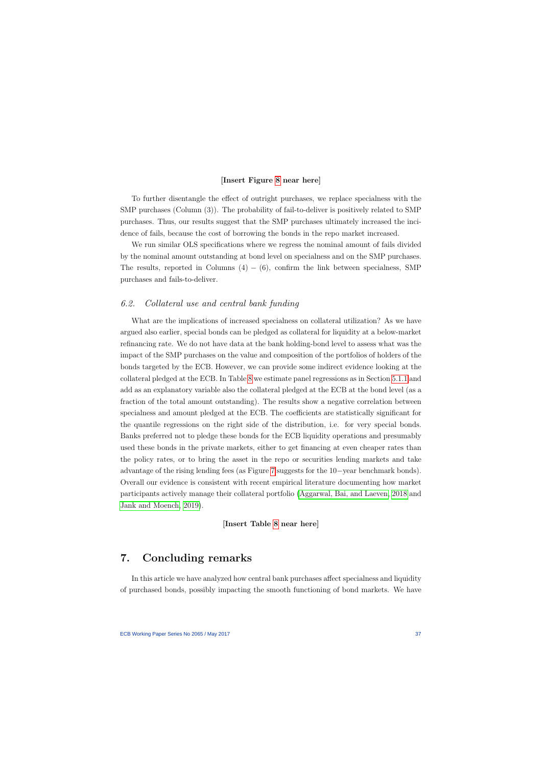#### [Insert Figure [8](#page-46-0) near here]

To further disentangle the effect of outright purchases, we replace specialness with the SMP purchases (Column (3)). The probability of fail-to-deliver is positively related to SMP purchases. Thus, our results suggest that the SMP purchases ultimately increased the incidence of fails, because the cost of borrowing the bonds in the repo market increased.

We run similar OLS specifications where we regress the nominal amount of fails divided by the nominal amount outstanding at bond level on specialness and on the SMP purchases. The results, reported in Columns  $(4) - (6)$ , confirm the link between specialness, SMP purchases and fails-to-deliver.

### 6.2. Collateral use and central bank funding

What are the implications of increased specialness on collateral utilization? As we have argued also earlier, special bonds can be pledged as collateral for liquidity at a below-market refinancing rate. We do not have data at the bank holding-bond level to assess what was the impact of the SMP purchases on the value and composition of the portfolios of holders of the bonds targeted by the ECB. However, we can provide some indirect evidence looking at the collateral pledged at the ECB. In Table [8](#page-54-0) we estimate panel regressions as in Section [5.1.1](#page-25-0) and add as an explanatory variable also the collateral pledged at the ECB at the bond level (as a fraction of the total amount outstanding). The results show a negative correlation between specialness and amount pledged at the ECB. The coefficients are statistically significant for the quantile regressions on the right side of the distribution, i.e. for very special bonds. Banks preferred not to pledge these bonds for the ECB liquidity operations and presumably used these bonds in the private markets, either to get financing at even cheaper rates than the policy rates, or to bring the asset in the repo or securities lending markets and take advantage of the rising lending fees (as Figure [7](#page-45-0) suggests for the 10−year benchmark bonds). Overall our evidence is consistent with recent empirical literature documenting how market participants actively manage their collateral portfolio [\(Aggarwal, Bai, and Laeven, 2018](#page-61-0) and [Jank and Moench, 2019\)](#page-63-1).

### [Insert Table [8](#page-54-0) near here]

## 7. Concluding remarks

In this article we have analyzed how central bank purchases affect specialness and liquidity of purchased bonds, possibly impacting the smooth functioning of bond markets. We have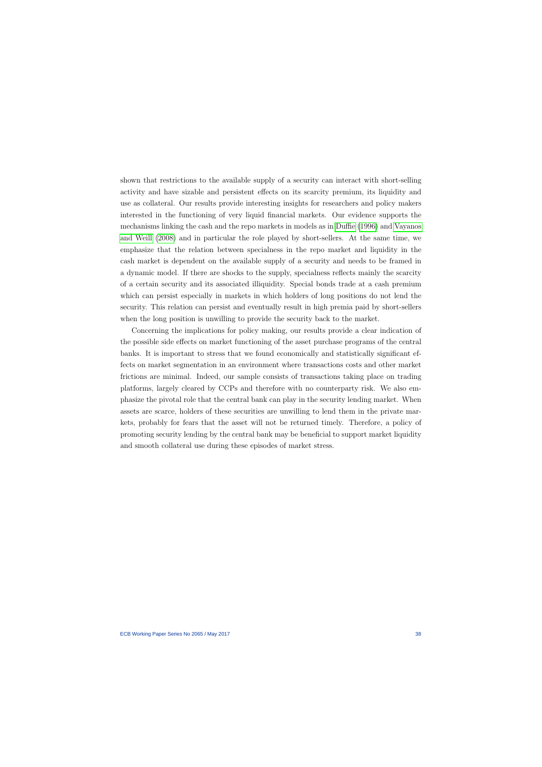shown that restrictions to the available supply of a security can interact with short-selling activity and have sizable and persistent effects on its scarcity premium, its liquidity and use as collateral. Our results provide interesting insights for researchers and policy makers interested in the functioning of very liquid financial markets. Our evidence supports the mechanisms linking the cash and the repo markets in models as in [Duffie](#page-62-1) [\(1996\)](#page-62-1) and [Vayanos](#page-65-0) [and Weill](#page-65-0) [\(2008\)](#page-65-0) and in particular the role played by short-sellers. At the same time, we emphasize that the relation between specialness in the repo market and liquidity in the cash market is dependent on the available supply of a security and needs to be framed in a dynamic model. If there are shocks to the supply, specialness reflects mainly the scarcity of a certain security and its associated illiquidity. Special bonds trade at a cash premium which can persist especially in markets in which holders of long positions do not lend the security. This relation can persist and eventually result in high premia paid by short-sellers when the long position is unwilling to provide the security back to the market.

Concerning the implications for policy making, our results provide a clear indication of the possible side effects on market functioning of the asset purchase programs of the central banks. It is important to stress that we found economically and statistically significant effects on market segmentation in an environment where transactions costs and other market frictions are minimal. Indeed, our sample consists of transactions taking place on trading platforms, largely cleared by CCPs and therefore with no counterparty risk. We also emphasize the pivotal role that the central bank can play in the security lending market. When assets are scarce, holders of these securities are unwilling to lend them in the private markets, probably for fears that the asset will not be returned timely. Therefore, a policy of promoting security lending by the central bank may be beneficial to support market liquidity and smooth collateral use during these episodes of market stress.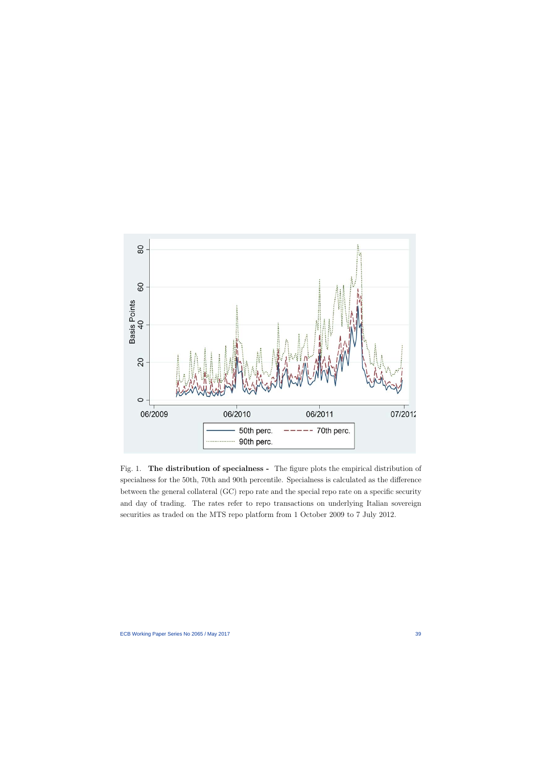

Fig. 1. The distribution of specialness - The figure plots the empirical distribution of specialness for the 50th, 70th and 90th percentile. Specialness is calculated as the difference between the general collateral (GC) repo rate and the special repo rate on a specific security and day of trading. The rates refer to repo transactions on underlying Italian sovereign securities as traded on the MTS repo platform from 1 October 2009 to 7 July 2012.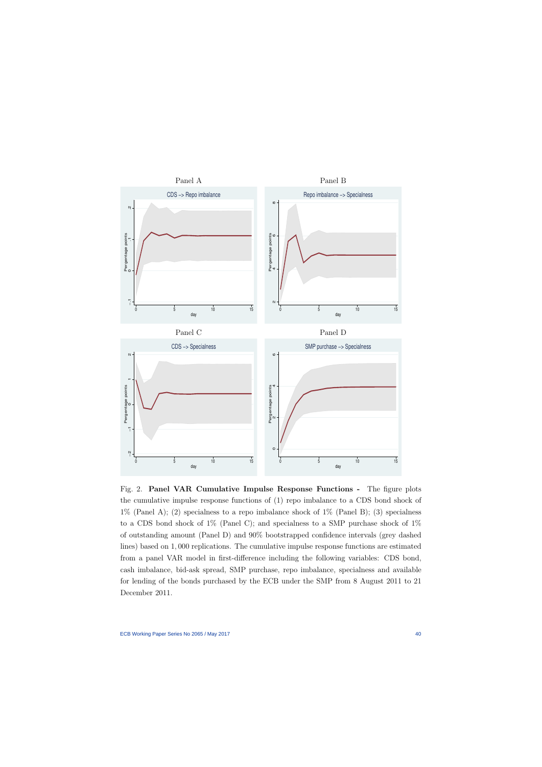

Fig. 2. Panel VAR Cumulative Impulse Response Functions - The figure plots the cumulative impulse response functions of (1) repo imbalance to a CDS bond shock of  $1\%$  (Panel A); (2) specialness to a repo imbalance shock of  $1\%$  (Panel B); (3) specialness to a CDS bond shock of 1% (Panel C); and specialness to a SMP purchase shock of 1% of outstanding amount (Panel D) and 90% bootstrapped confidence intervals (grey dashed lines) based on 1, 000 replications. The cumulative impulse response functions are estimated from a panel VAR model in first-difference including the following variables: CDS bond, cash imbalance, bid-ask spread, SMP purchase, repo imbalance, specialness and available for lending of the bonds purchased by the ECB under the SMP from 8 August 2011 to 21 December 2011.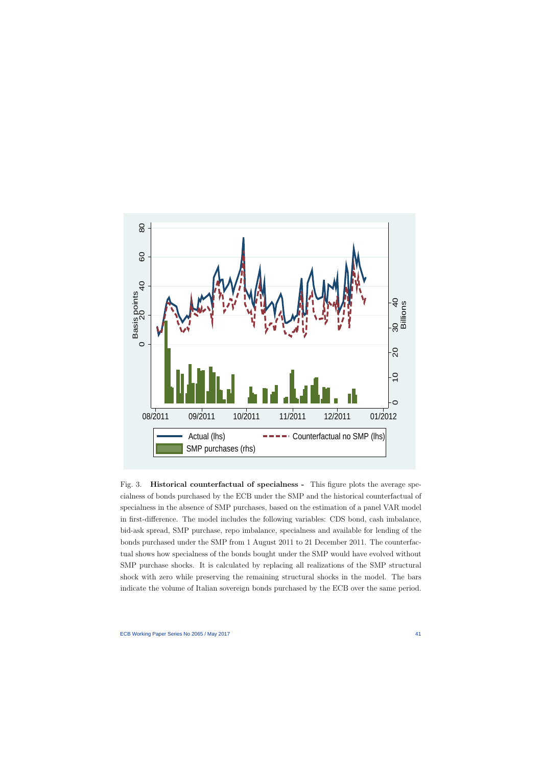

Fig. 3. Historical counterfactual of specialness - This figure plots the average specialness of bonds purchased by the ECB under the SMP and the historical counterfactual of specialness in the absence of SMP purchases, based on the estimation of a panel VAR model in first-difference. The model includes the following variables: CDS bond, cash imbalance, bid-ask spread, SMP purchase, repo imbalance, specialness and available for lending of the bonds purchased under the SMP from 1 August 2011 to 21 December 2011. The counterfactual shows how specialness of the bonds bought under the SMP would have evolved without SMP purchase shocks. It is calculated by replacing all realizations of the SMP structural shock with zero while preserving the remaining structural shocks in the model. The bars indicate the volume of Italian sovereign bonds purchased by the ECB over the same period.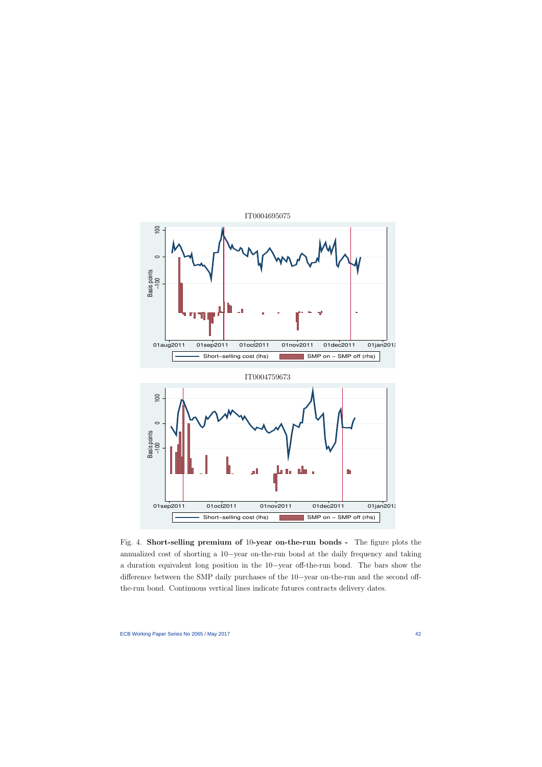

Fig. 4. Short-selling premium of 10-year on-the-run bonds - The figure plots the annualized cost of shorting a 10−year on-the-run bond at the daily frequency and taking a duration equivalent long position in the 10−year off-the-run bond. The bars show the difference between the SMP daily purchases of the 10−year on-the-run and the second offthe-run bond. Continuous vertical lines indicate futures contracts delivery dates.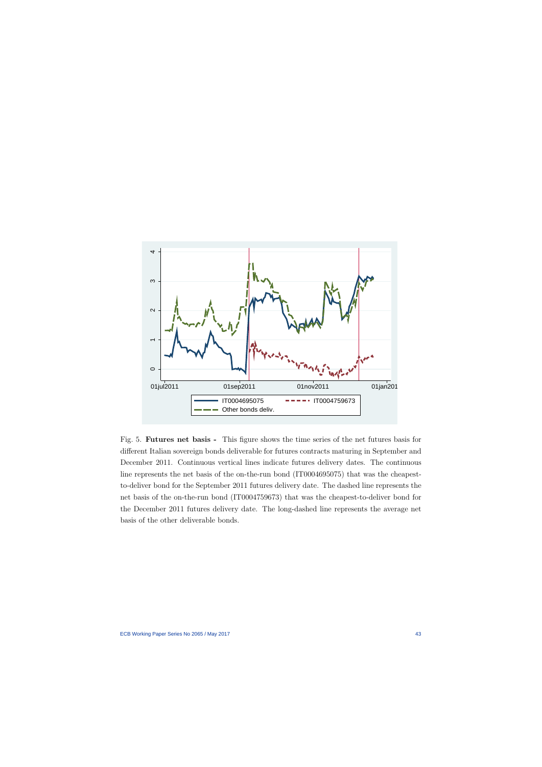

Fig. 5. Futures net basis - This figure shows the time series of the net futures basis for different Italian sovereign bonds deliverable for futures contracts maturing in September and December 2011. Continuous vertical lines indicate futures delivery dates. The continuous line represents the net basis of the on-the-run bond (IT0004695075) that was the cheapestto-deliver bond for the September 2011 futures delivery date. The dashed line represents the net basis of the on-the-run bond (IT0004759673) that was the cheapest-to-deliver bond for the December 2011 futures delivery date. The long-dashed line represents the average net basis of the other deliverable bonds.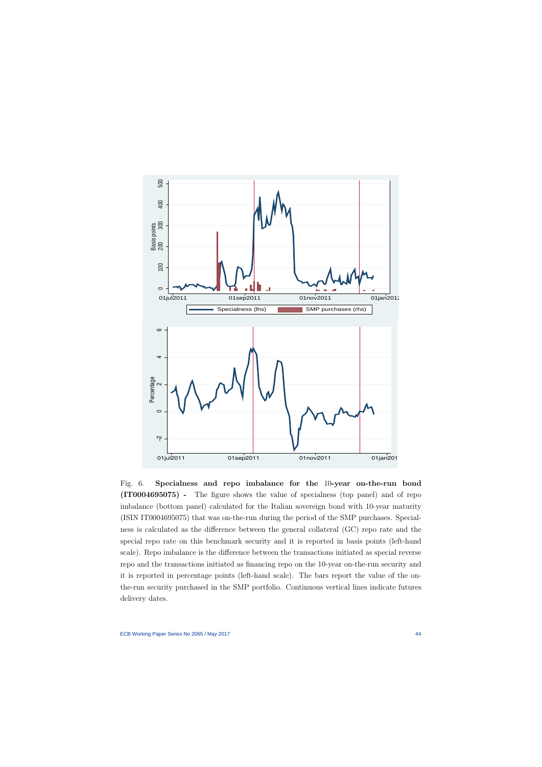

<span id="page-44-0"></span>Fig. 6. Specialness and repo imbalance for the 10-year on-the-run bond (IT0004695075) - The figure shows the value of specialness (top panel) and of repo imbalance (bottom panel) calculated for the Italian sovereign bond with 10-year maturity (ISIN IT0004695075) that was on-the-run during the period of the SMP purchases. Specialness is calculated as the difference between the general collateral (GC) repo rate and the special repo rate on this benchmark security and it is reported in basis points (left-hand scale). Repo imbalance is the difference between the transactions initiated as special reverse repo and the transactions initiated as financing repo on the 10-year on-the-run security and it is reported in percentage points (left-hand scale). The bars report the value of the onthe-run security purchased in the SMP portfolio. Continuous vertical lines indicate futures delivery dates.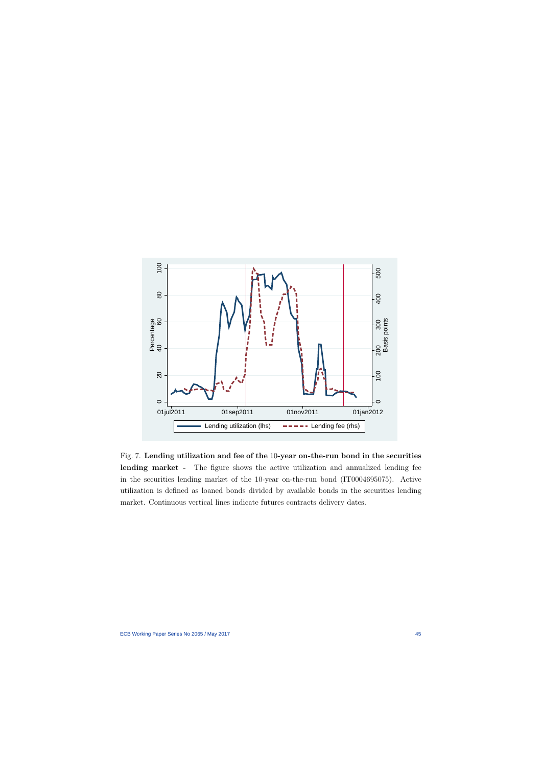

<span id="page-45-0"></span>Fig. 7. Lending utilization and fee of the 10-year on-the-run bond in the securities lending market - The figure shows the active utilization and annualized lending fee in the securities lending market of the 10-year on-the-run bond (IT0004695075). Active utilization is defined as loaned bonds divided by available bonds in the securities lending market. Continuous vertical lines indicate futures contracts delivery dates.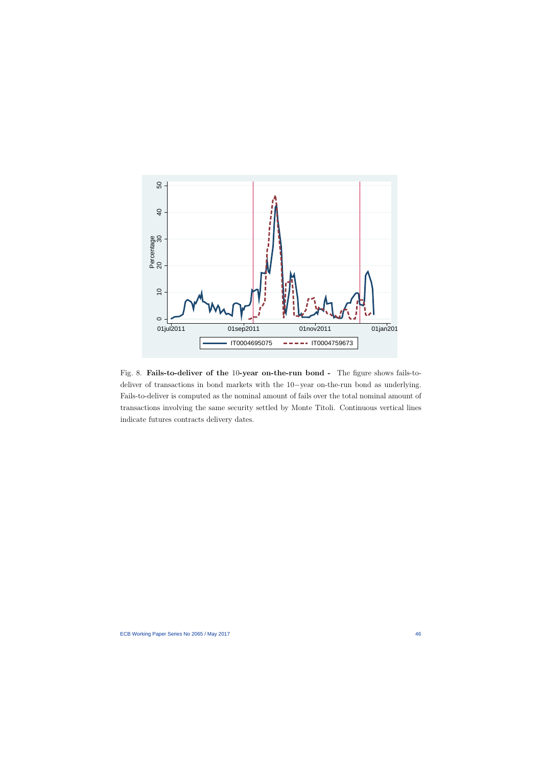

<span id="page-46-0"></span>Fig. 8. Fails-to-deliver of the 10-year on-the-run bond - The figure shows fails-todeliver of transactions in bond markets with the 10−year on-the-run bond as underlying. Fails-to-deliver is computed as the nominal amount of fails over the total nominal amount of transactions involving the same security settled by Monte Titoli. Continuous vertical lines indicate futures contracts delivery dates.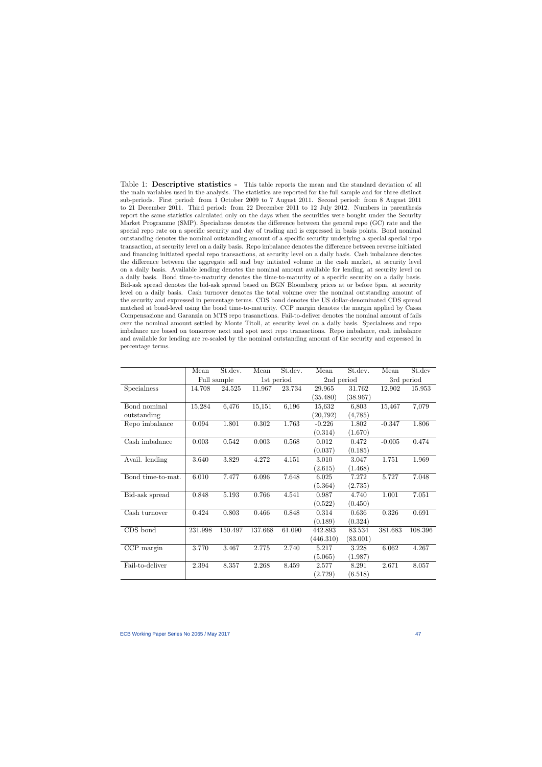Table 1: **Descriptive statistics** - This table reports the mean and the standard deviation of all the main variables used in the analysis. The statistics are reported for the full sample and for three distinct sub-periods. First period: from 1 October 2009 to 7 August 2011. Second period: from 8 August 2011 to 21 December 2011. Third period: from 22 December 2011 to 12 July 2012. Numbers in parenthesis report the same statistics calculated only on the days when the securities were bought under the Security Market Programme (SMP). Specialness denotes the difference between the general repo (GC) rate and the special repo rate on a specific security and day of trading and is expressed in basis points. Bond nominal outstanding denotes the nominal outstanding amount of a specific security underlying a special special repo transaction, at security level on a daily basis. Repo imbalance denotes the difference between reverse initiated and financing initiated special repo transactions, at security level on a daily basis. Cash imbalance denotes the difference between the aggregate sell and buy initiated volume in the cash market, at security level on a daily basis. Available lending denotes the nominal amount available for lending, at security level on a daily basis. Bond time-to-maturity denotes the time-to-maturity of a specific security on a daily basis. Bid-ask spread denotes the bid-ask spread based on BGN Bloomberg prices at or before 5pm, at security level on a daily basis. Cash turnover denotes the total volume over the nominal outstanding amount of the security and expressed in percentage terms. CDS bond denotes the US dollar-denominated CDS spread matched at bond-level using the bond time-to-maturity. CCP margin denotes the margin applied by Cassa Compensazione and Garanzia on MTS repo trasanctions. Fail-to-deliver denotes the nominal amount of fails over the nominal amount settled by Monte Titoli, at security level on a daily basis. Specialness and repo imbalance are based on tomorrow next and spot next repo transactions. Repo imbalance, cash imbalance and available for lending are re-scaled by the nominal outstanding amount of the security and expressed in percentage terms.

<span id="page-47-0"></span>

|                   | Mean    | St.dev.     | Mean       | St.dev. | Mean       | St.dev.  | Mean     | St.dev     |
|-------------------|---------|-------------|------------|---------|------------|----------|----------|------------|
|                   |         | Full sample | 1st period |         | 2nd period |          |          | 3rd period |
| Specialness       | 14.708  | 24.525      | 11.967     | 23.734  | 29.965     | 31.762   | 12.902   | 15.953     |
|                   |         |             |            |         | (35.480)   | (38.967) |          |            |
| Bond nominal      | 15,284  | 6,476       | 15,151     | 6,196   | 15,632     | 6,803    | 15,467   | 7,079      |
| outstanding       |         |             |            |         | (20, 792)  | (4,785)  |          |            |
| Repo imbalance    | 0.094   | 1.801       | $0.302\,$  | 1.763   | $-0.226$   | 1.802    | $-0.347$ | 1.806      |
|                   |         |             |            |         | (0.314)    | (1.670)  |          |            |
| Cash imbalance    | 0.003   | 0.542       | 0.003      | 0.568   | 0.012      | 0.472    | $-0.005$ | 0.474      |
|                   |         |             |            |         | (0.037)    | (0.185)  |          |            |
| Avail. lending    | 3.640   | 3.829       | 4.272      | 4.151   | 3.010      | 3.047    | 1.751    | 1.969      |
|                   |         |             |            |         | (2.615)    | (1.468)  |          |            |
| Bond time-to-mat. | 6.010   | 7.477       | 6.096      | 7.648   | 6.025      | 7.272    | 5.727    | 7.048      |
|                   |         |             |            |         | (5.364)    | (2.735)  |          |            |
| Bid-ask spread    | 0.848   | $5.193\,$   | 0.766      | 4.541   | 0.987      | 4.740    | 1.001    | 7.051      |
|                   |         |             |            |         | (0.522)    | (0.450)  |          |            |
| Cash turnover     | 0.424   | 0.803       | 0.466      | 0.848   | 0.314      | 0.636    | 0.326    | 0.691      |
|                   |         |             |            |         | (0.189)    | (0.324)  |          |            |
| CDS bond          | 231.998 | 150.497     | 137.668    | 61.090  | 442.893    | 83.534   | 381.683  | 108.396    |
|                   |         |             |            |         | (446.310)  | (83.001) |          |            |
| CCP margin        | 3.770   | 3.467       | 2.775      | 2.740   | 5.217      | 3.228    | 6.062    | 4.267      |
|                   |         |             |            |         | (5.065)    | (1.987)  |          |            |
| Fail-to-deliver   | 2.394   | 8.357       | 2.268      | 8.459   | 2.577      | 8.291    | 2.671    | 8.057      |
|                   |         |             |            |         | (2.729)    | (6.518)  |          |            |
|                   |         |             |            |         |            |          |          |            |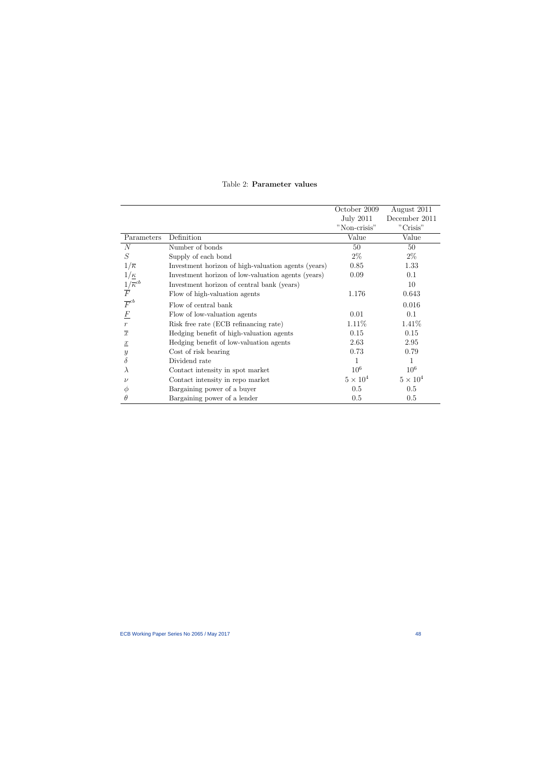<span id="page-48-0"></span>

|                                         |                                                     | October 2009     | August 2011     |
|-----------------------------------------|-----------------------------------------------------|------------------|-----------------|
|                                         |                                                     | <b>July 2011</b> | December 2011   |
|                                         |                                                     | "Non-crisis"     | "Crisis"        |
| Parameters                              | Definition                                          | Value            | Value           |
| $\overline{N}$                          | Number of bonds                                     | 50               | 50              |
| S                                       | Supply of each bond                                 | $2\%$            | $2\%$           |
| $1/\overline{\kappa}$                   | Investment horizon of high-valuation agents (years) | 0.85             | 1.33            |
| $1/\underline{\kappa}$                  | Investment horizon of low-valuation agents (years)  | 0.09             | 0.1             |
|                                         | Investment horizon of central bank (years)          |                  | 10              |
| $\frac{1}{F}^{'\overline{\kappa}^{cb}}$ | Flow of high-valuation agents                       | 1.176            | 0.643           |
| $\overline{F}^{cb}$                     | Flow of central bank                                |                  | 0.016           |
| $\boldsymbol{F}$                        | Flow of low-valuation agents                        | 0.01             | 0.1             |
| $\,r$                                   | Risk free rate (ECB refinancing rate)               | 1.11\%           | 1.41\%          |
| $\overline{x}$                          | Hedging benefit of high-valuation agents            | 0.15             | 0.15            |
| $\underline{x}$                         | Hedging benefit of low-valuation agents             | 2.63             | 2.95            |
| $\boldsymbol{y}$                        | Cost of risk bearing                                | 0.73             | 0.79            |
| $\delta$                                | Dividend rate                                       |                  | 1               |
| $\lambda$                               | Contact intensity in spot market                    | 10 <sup>6</sup>  | $10^{6}$        |
| $\nu$                                   | Contact intensity in repo market                    | $5 \times 10^4$  | $5 \times 10^4$ |
| Ф                                       | Bargaining power of a buyer                         | 0.5              | 0.5             |
| $\theta$                                | Bargaining power of a lender                        | 0.5              | 0.5             |

## Table 2: Parameter values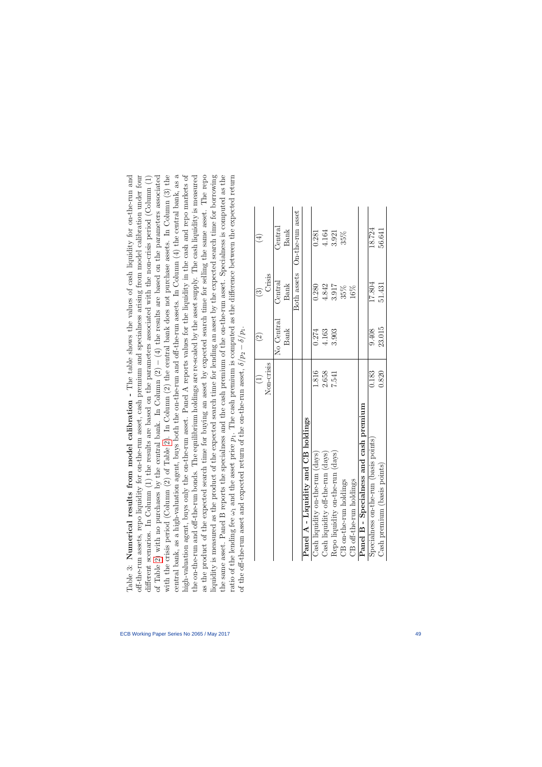| $\left(\frac{1}{2}\right)$ | $\widehat{\infty}$ |                                                                                                                                            |
|----------------------------|--------------------|--------------------------------------------------------------------------------------------------------------------------------------------|
|                            |                    | of the off-the-run asset and expected return of the on-the-run asset, $\delta / p_2 - \delta / p_1$ .                                      |
|                            |                    | ratio of the lending fee $\omega_1$ and the asset price $p_1$ . The cash premium is computed as the difference between the expected return |
|                            |                    | the same asset. Panel B reports the specialness and the cash premium of the on-the-run asset. Specialness is computed as the               |
|                            |                    | liquidity is measured as the product of the expected search time for lending an asset by the expected search time for borrowing            |
|                            |                    | as the product of the expected search time for buying an asset by expected search time for selling the same asset. The repo                |
|                            |                    | the on-the-run and off-the-run bonds. The equilibrium holdings are re-scaled by the asset supply. The cash liquidity is measured           |
|                            |                    | high-valuation agent, buys only the on-the-run asset. Panel A reports values for the liquidity in the cash and repo markets of             |
|                            |                    | central bank, as a high-valuation agent, buys both the on-the-run and off-the-run assets. In Column (4) the central bank, as a             |
|                            |                    | with the crisis period (Column $(2)$ of Table 2). In Column $(2)$ the central bank does not purchase assets. In Column $(3)$ the           |
|                            |                    | of Table 2) with no purchases by the central bank. In Column $(2) - (4)$ the results are based on the parameters associated                |
|                            |                    | different scenarios. In Column (1) the results are based on the parameters associated with the non-crisis period (Column (1)               |
|                            |                    | off-the-run assets, repo liquidity for on-the-run asset, cash premium and specialness arising from model calibration under four            |
|                            |                    | Table 3: Numerical results from model calibration - The table shows the values of cash liquidity for on-the-run and                        |

|                                                 | $\begin{array}{c}\n\begin{array}{c}\n\end{array}\n\end{array}$ | $\widehat{2}$ | $\widehat{\mathbb{C}}$ | $\bigoplus$                  |
|-------------------------------------------------|----------------------------------------------------------------|---------------|------------------------|------------------------------|
|                                                 | Non-crisis                                                     |               | Crisis                 |                              |
|                                                 |                                                                | No Central    | Central                | Central                      |
|                                                 |                                                                | <b>Bank</b>   | <b>Bank</b>            | <b>Bank</b>                  |
|                                                 |                                                                |               |                        | Both assets On-the-run asset |
| Panel A - Liquidity and CB holdings             |                                                                |               |                        |                              |
| e-run (days)<br>Cash liquidity on-th            | 1.816                                                          | 0.274         | 0.280                  | 0.281                        |
| $\text{Cash } \text{light }$ off-the-run (days) | 2.658                                                          | 4.163         | 4.842                  | 4.164                        |
| e-run (days)<br>Repo liquidity on-th            | 7.541                                                          | 3.903         | 3.917                  | 3.921                        |
| CB on-the-run holdings                          |                                                                |               | 35%                    | 35%                          |
| CB off-the-run holdings                         |                                                                |               | 16%                    |                              |
| Panel B - Specialness and cash premium          |                                                                |               |                        |                              |
| Specialness on-the-run (basis points)           | 0.183                                                          | 9.408         | 17.804                 | 18.724                       |
| Cash premium (basis points)                     | 0.820                                                          | 23.015        | 51.431                 | 56.641                       |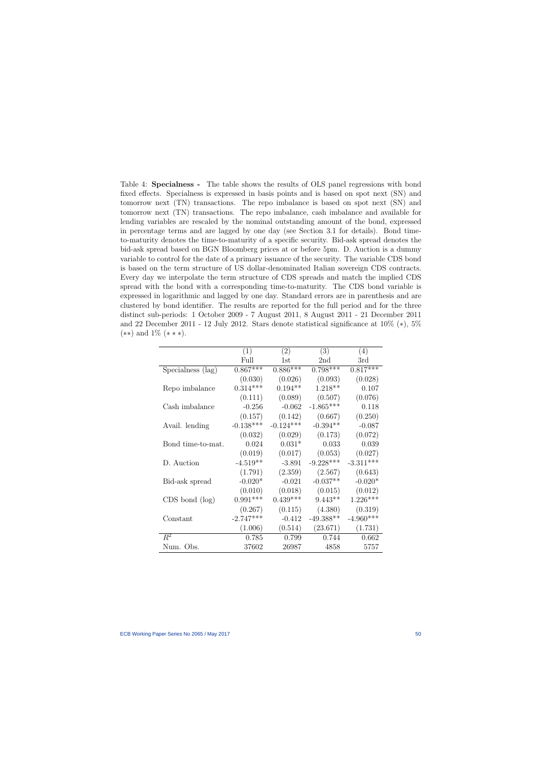Table 4: Specialness - The table shows the results of OLS panel regressions with bond fixed effects. Specialness is expressed in basis points and is based on spot next (SN) and tomorrow next (TN) transactions. The repo imbalance is based on spot next (SN) and tomorrow next (TN) transactions. The repo imbalance, cash imbalance and available for lending variables are rescaled by the nominal outstanding amount of the bond, expressed in percentage terms and are lagged by one day (see Section 3.1 for details). Bond timeto-maturity denotes the time-to-maturity of a specific security. Bid-ask spread denotes the bid-ask spread based on BGN Bloomberg prices at or before 5pm. D. Auction is a dummy variable to control for the date of a primary issuance of the security. The variable CDS bond is based on the term structure of US dollar-denominated Italian sovereign CDS contracts. Every day we interpolate the term structure of CDS spreads and match the implied CDS spread with the bond with a corresponding time-to-maturity. The CDS bond variable is expressed in logarithmic and lagged by one day. Standard errors are in parenthesis and are clustered by bond identifier. The results are reported for the full period and for the three distinct sub-periods: 1 October 2009 - 7 August 2011, 8 August 2011 - 21 December 2011 and 22 December 2011 - 12 July 2012. Stars denote statistical significance at  $10\%$  (\*),  $5\%$  $(**)$  and  $1\%$   $(***)$ .

|                     | (1)         | (2)         | (3)         | (4)         |
|---------------------|-------------|-------------|-------------|-------------|
|                     | Full        | 1st         | 2nd         | 3rd         |
| Specialness (lag)   | $0.867***$  | $0.886***$  | $0.798***$  | $0.817***$  |
|                     | (0.030)     | (0.026)     | (0.093)     | (0.028)     |
| Repo imbalance      | $0.314***$  | $0.194**$   | $1.218**$   | 0.107       |
|                     | (0.111)     | (0.089)     | (0.507)     | (0.076)     |
| Cash imbalance      | $-0.256$    | $-0.062$    | $-1.865***$ | 0.118       |
|                     | (0.157)     | (0.142)     | (0.667)     | (0.250)     |
| Avail. lending      | $-0.138***$ | $-0.124***$ | $-0.394**$  | $-0.087$    |
|                     | (0.032)     | (0.029)     | (0.173)     | (0.072)     |
| Bond time-to-mat.   | 0.024       | $0.031*$    | 0.033       | 0.039       |
|                     | (0.019)     | (0.017)     | (0.053)     | (0.027)     |
| D. Auction          | $-4.519**$  | $-3.891$    | $-9.228***$ | $-3.311***$ |
|                     | (1.791)     | (2.359)     | (2.567)     | (0.643)     |
| Bid-ask spread      | $-0.020*$   | $-0.021$    | $-0.037**$  | $-0.020*$   |
|                     | (0.010)     | (0.018)     | (0.015)     | (0.012)     |
| $CDS$ bond $(\log)$ | $0.991***$  | $0.439***$  | $9.443**$   | $1.226***$  |
|                     | (0.267)     | (0.115)     | (4.380)     | (0.319)     |
| Constant            | $-2.747***$ | $-0.412$    | $-49.388**$ | $-4.960***$ |
|                     | (1.006)     | (0.514)     | (23.671)    | (1.731)     |
| $R^2$               | 0.785       | 0.799       | 0.744       | 0.662       |
| Num. Obs.           | 37602       | 26987       | 4858        | 5757        |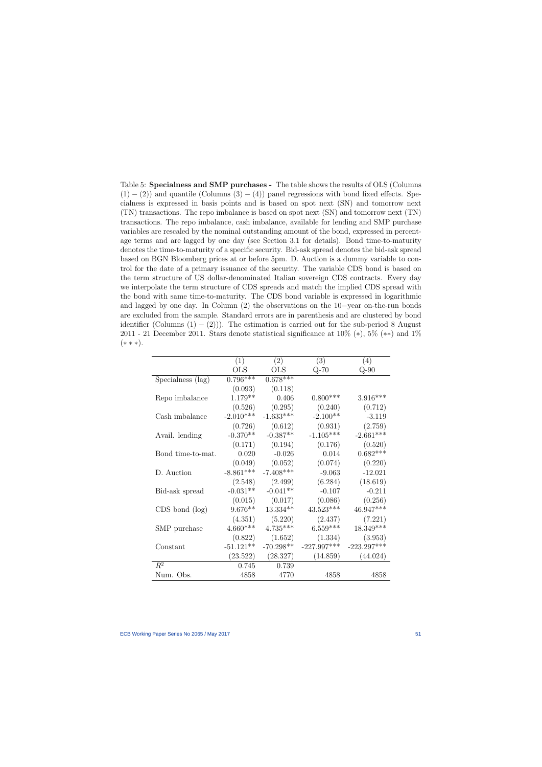Table 5: Specialness and SMP purchases - The table shows the results of OLS (Columns  $(1) - (2)$ ) and quantile (Columns  $(3) - (4)$ ) panel regressions with bond fixed effects. Specialness is expressed in basis points and is based on spot next (SN) and tomorrow next (TN) transactions. The repo imbalance is based on spot next (SN) and tomorrow next (TN) transactions. The repo imbalance, cash imbalance, available for lending and SMP purchase variables are rescaled by the nominal outstanding amount of the bond, expressed in percentage terms and are lagged by one day (see Section 3.1 for details). Bond time-to-maturity denotes the time-to-maturity of a specific security. Bid-ask spread denotes the bid-ask spread based on BGN Bloomberg prices at or before 5pm. D. Auction is a dummy variable to control for the date of a primary issuance of the security. The variable CDS bond is based on the term structure of US dollar-denominated Italian sovereign CDS contracts. Every day we interpolate the term structure of CDS spreads and match the implied CDS spread with the bond with same time-to-maturity. The CDS bond variable is expressed in logarithmic and lagged by one day. In Column (2) the observations on the 10−year on-the-run bonds are excluded from the sample. Standard errors are in parenthesis and are clustered by bond identifier (Columns  $(1) - (2)$ )). The estimation is carried out for the sub-period 8 August 2011 - 21 December 2011. Stars denote statistical significance at  $10\%$  (\*),  $5\%$  (\*\*) and  $1\%$  $(* * *).$ 

|                     | (1)         | (2)         | (3)           | (4)           |
|---------------------|-------------|-------------|---------------|---------------|
|                     | <b>OLS</b>  | <b>OLS</b>  | $Q-70$        | $Q-90$        |
| Specialness (lag)   | $0.796***$  | $0.678***$  |               |               |
|                     | (0.093)     | (0.118)     |               |               |
| Repo imbalance      | $1.179**$   | 0.406       | $0.800***$    | $3.916***$    |
|                     | (0.526)     | (0.295)     | (0.240)       | (0.712)       |
| Cash imbalance      | $-2.010***$ | $-1.633***$ | $-2.100**$    | $-3.119$      |
|                     | (0.726)     | (0.612)     | (0.931)       | (2.759)       |
| Avail. lending      | $-0.370**$  | $-0.387**$  | $-1.105***$   | $-2.661***$   |
|                     | (0.171)     | (0.194)     | (0.176)       | (0.520)       |
| Bond time-to-mat.   | 0.020       | $-0.026$    | 0.014         | $0.682***$    |
|                     | (0.049)     | (0.052)     | (0.074)       | (0.220)       |
| D. Auction          | $-8.861***$ | $-7.408***$ | $-9.063$      | $-12.021$     |
|                     | (2.548)     | (2.499)     | (6.284)       | (18.619)      |
| Bid-ask spread      | $-0.031**$  | $-0.041**$  | $-0.107$      | $-0.211$      |
|                     | (0.015)     | (0.017)     | (0.086)       | (0.256)       |
| $CDS$ bond $(\log)$ | $9.676**$   | 13.334**    | $43.523***$   | 46.947***     |
|                     | (4.351)     | (5.220)     | (2.437)       | (7.221)       |
| SMP purchase        | $4.660***$  | $4.735***$  | $6.559***$    | 18.349***     |
|                     | (0.822)     | (1.652)     | (1.334)       | (3.953)       |
| Constant            | $-51.121**$ | $-70.298**$ | $-227.997***$ | $-223.297***$ |
|                     | (23.522)    | (28.327)    | (14.859)      | (44.024)      |
| $\overline{R^2}$    | 0.745       | 0.739       |               |               |
| Num. Obs.           | 4858        | 4770        | 4858          | 4858          |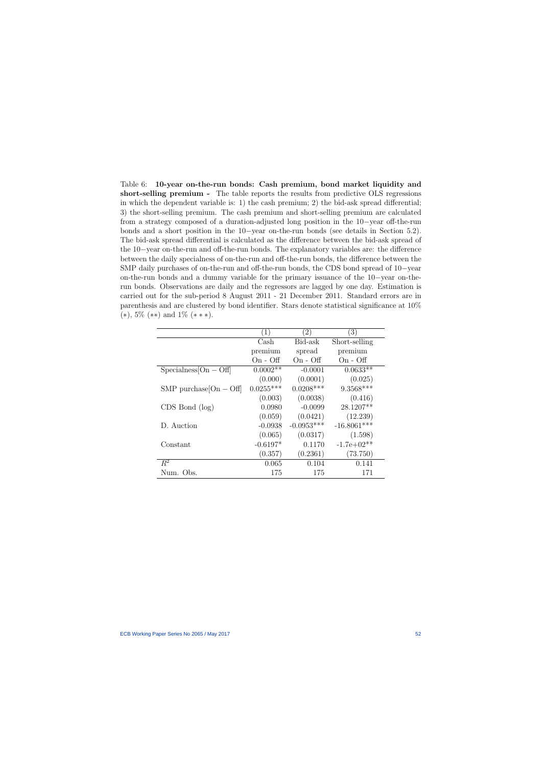Table 6: 10-year on-the-run bonds: Cash premium, bond market liquidity and short-selling premium - The table reports the results from predictive OLS regressions in which the dependent variable is: 1) the cash premium; 2) the bid-ask spread differential; 3) the short-selling premium. The cash premium and short-selling premium are calculated from a strategy composed of a duration-adjusted long position in the 10−year off-the-run bonds and a short position in the 10−year on-the-run bonds (see details in Section 5.2). The bid-ask spread differential is calculated as the difference between the bid-ask spread of the 10−year on-the-run and off-the-run bonds. The explanatory variables are: the difference between the daily specialness of on-the-run and off-the-run bonds, the difference between the SMP daily purchases of on-the-run and off-the-run bonds, the CDS bond spread of 10−year on-the-run bonds and a dummy variable for the primary issuance of the 10−year on-therun bonds. Observations are daily and the regressors are lagged by one day. Estimation is carried out for the sub-period 8 August 2011 - 21 December 2011. Standard errors are in parenthesis and are clustered by bond identifier. Stars denote statistical significance at 10%  $(*), 5\%$   $(**)$  and  $1\%$   $(***).$ 

|                             | $\left(1\right)$ | $\left( 2\right)$ | (3)           |
|-----------------------------|------------------|-------------------|---------------|
|                             | Cash             | Bid-ask           | Short-selling |
|                             | premium          | spread            | premium       |
|                             | $On - Off$       | $On - Off$        | $On - Off$    |
| $Specialness[On - Off]$     | $0.0002**$       | $-0.0001$         | $0.0633**$    |
|                             | (0.000)          | (0.0001)          | (0.025)       |
| $SMP$ purchase $[On - Off]$ | $0.0255***$      | $0.0208***$       | $9.3568***$   |
|                             | (0.003)          | (0.0038)          | (0.416)       |
| $CDS$ Bond $(log)$          | 0.0980           | $-0.0099$         | 28.1207**     |
|                             | (0.059)          | (0.0421)          | (12.239)      |
| D. Auction                  | $-0.0938$        | $-0.0953***$      | $-16.8061***$ |
|                             | (0.065)          | (0.0317)          | (1.598)       |
| Constant                    | $-0.6197*$       | 0.1170            | $-1.7e+02**$  |
|                             | (0.357)          | (0.2361)          | (73.750)      |
| $R^2$                       | 0.065            | 0.104             | 0.141         |
| Num. Obs.                   | 175              | 175               | 171           |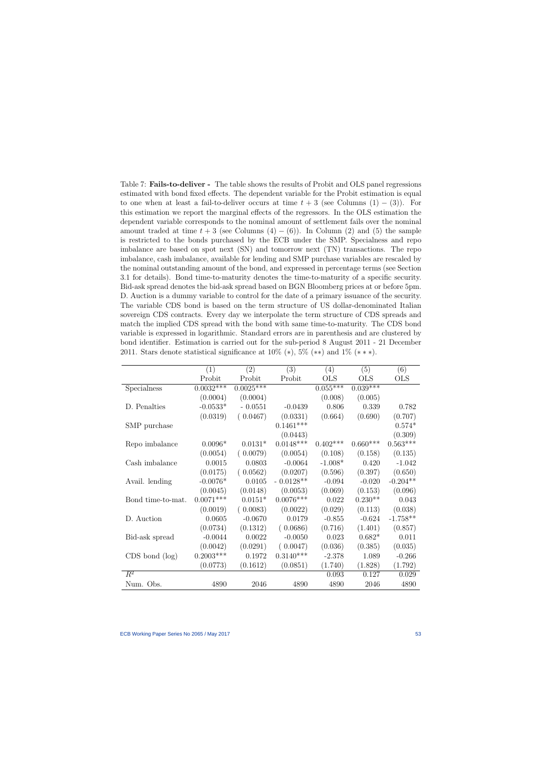Table 7: **Fails-to-deliver** - The table shows the results of Probit and OLS panel regressions estimated with bond fixed effects. The dependent variable for the Probit estimation is equal to one when at least a fail-to-deliver occurs at time  $t + 3$  (see Columns (1) – (3)). For this estimation we report the marginal effects of the regressors. In the OLS estimation the dependent variable corresponds to the nominal amount of settlement fails over the nominal amount traded at time  $t + 3$  (see Columns  $(4) - (6)$ ). In Column  $(2)$  and  $(5)$  the sample is restricted to the bonds purchased by the ECB under the SMP. Specialness and repo imbalance are based on spot next (SN) and tomorrow next (TN) transactions. The repo imbalance, cash imbalance, available for lending and SMP purchase variables are rescaled by the nominal outstanding amount of the bond, and expressed in percentage terms (see Section 3.1 for details). Bond time-to-maturity denotes the time-to-maturity of a specific security. Bid-ask spread denotes the bid-ask spread based on BGN Bloomberg prices at or before 5pm. D. Auction is a dummy variable to control for the date of a primary issuance of the security. The variable CDS bond is based on the term structure of US dollar-denominated Italian sovereign CDS contracts. Every day we interpolate the term structure of CDS spreads and match the implied CDS spread with the bond with same time-to-maturity. The CDS bond variable is expressed in logarithmic. Standard errors are in parenthesis and are clustered by bond identifier. Estimation is carried out for the sub-period 8 August 2011 - 21 December 2011. Stars denote statistical significance at  $10\%$  (\*),  $5\%$  (\*\*) and  $1\%$  (\*\*\*).

<span id="page-53-0"></span>

|                     | (1)         | (2)         | (3)         | (4)        | (5)        | (6)        |
|---------------------|-------------|-------------|-------------|------------|------------|------------|
|                     | Probit      | Probit      | Probit      | <b>OLS</b> | <b>OLS</b> | <b>OLS</b> |
| Specialness         | $0.0032***$ | $0.0025***$ |             | $0.055***$ | $0.039***$ |            |
|                     | (0.0004)    | (0.0004)    |             | (0.008)    | (0.005)    |            |
| D. Penalties        | $-0.0533*$  | $-0.0551$   | $-0.0439$   | 0.806      | 0.339      | 0.782      |
|                     | (0.0319)    | (0.0467)    | (0.0331)    | (0.664)    | (0.690)    | (0.707)    |
| SMP purchase        |             |             | $0.1461***$ |            |            | $0.574*$   |
|                     |             |             | (0.0443)    |            |            | (0.309)    |
| Repo imbalance      | $0.0096*$   | $0.0131*$   | $0.0148***$ | $0.402***$ | $0.660***$ | $0.563***$ |
|                     | (0.0054)    | (0.0079)    | (0.0054)    | (0.108)    | (0.158)    | (0.135)    |
| Cash imbalance      | 0.0015      | 0.0803      | $-0.0064$   | $-1.008*$  | 0.420      | $-1.042$   |
|                     | (0.0175)    | (0.0562)    | (0.0207)    | (0.596)    | (0.397)    | (0.650)    |
| Avail. lending      | $-0.0076*$  | 0.0105      | $-0.0128**$ | $-0.094$   | $-0.020$   | $-0.204**$ |
|                     | (0.0045)    | (0.0148)    | (0.0053)    | (0.069)    | (0.153)    | (0.096)    |
| Bond time-to-mat.   | $0.0071***$ | $0.0151*$   | $0.0076***$ | 0.022      | $0.230**$  | 0.043      |
|                     | (0.0019)    | (0.0083)    | (0.0022)    | (0.029)    | (0.113)    | (0.038)    |
| D. Auction          | 0.0605      | $-0.0670$   | 0.0179      | $-0.855$   | $-0.624$   | $-1.758**$ |
|                     | (0.0734)    | (0.1312)    | (0.0686)    | (0.716)    | (1.401)    | (0.857)    |
| Bid-ask spread      | $-0.0044$   | 0.0022      | $-0.0050$   | 0.023      | $0.682*$   | 0.011      |
|                     | (0.0042)    | (0.0291)    | (0.0047)    | (0.036)    | (0.385)    | (0.035)    |
| $CDS$ bond $(\log)$ | $0.2003***$ | 0.1972      | $0.3140***$ | $-2.378$   | 1.089      | $-0.266$   |
|                     | (0.0773)    | (0.1612)    | (0.0851)    | (1.740)    | (1.828)    | (1.792)    |
| $\overline{R^2}$    |             |             |             | 0.093      | 0.127      | 0.029      |
| Num. Obs.           | 4890        | 2046        | 4890        | 4890       | 2046       | 4890       |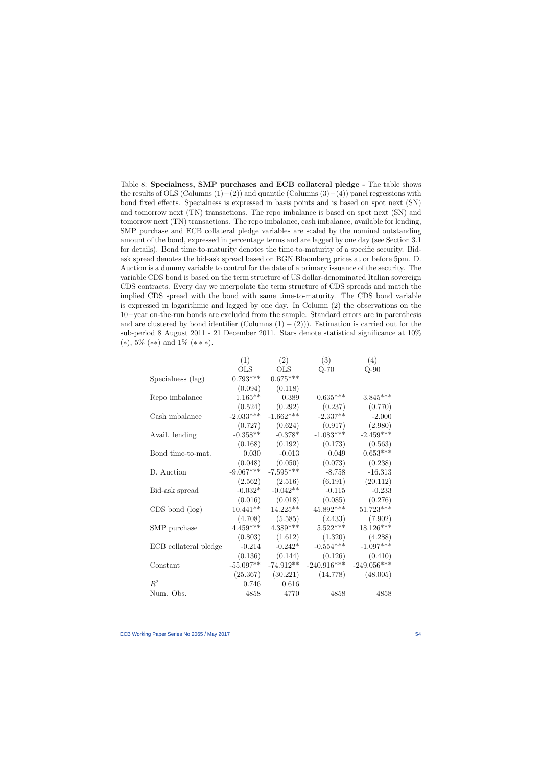Table 8: Specialness, SMP purchases and ECB collateral pledge - The table shows the results of OLS (Columns  $(1)–(2)$ ) and quantile (Columns  $(3)–(4)$ ) panel regressions with bond fixed effects. Specialness is expressed in basis points and is based on spot next (SN) and tomorrow next (TN) transactions. The repo imbalance is based on spot next (SN) and tomorrow next (TN) transactions. The repo imbalance, cash imbalance, available for lending, SMP purchase and ECB collateral pledge variables are scaled by the nominal outstanding amount of the bond, expressed in percentage terms and are lagged by one day (see Section 3.1 for details). Bond time-to-maturity denotes the time-to-maturity of a specific security. Bidask spread denotes the bid-ask spread based on BGN Bloomberg prices at or before 5pm. D. Auction is a dummy variable to control for the date of a primary issuance of the security. The variable CDS bond is based on the term structure of US dollar-denominated Italian sovereign CDS contracts. Every day we interpolate the term structure of CDS spreads and match the implied CDS spread with the bond with same time-to-maturity. The CDS bond variable is expressed in logarithmic and lagged by one day. In Column (2) the observations on the 10−year on-the-run bonds are excluded from the sample. Standard errors are in parenthesis and are clustered by bond identifier (Columns  $(1) - (2)$ )). Estimation is carried out for the sub-period 8 August 2011 - 21 December 2011. Stars denote statistical significance at 10%  $(*), 5\%$   $(**)$  and  $1\%$   $(***).$ 

<span id="page-54-0"></span>

|                       | (1)          | (2)         | (3)           | (4)           |
|-----------------------|--------------|-------------|---------------|---------------|
|                       | $_{\rm OLS}$ | OLS         | $Q-70$        | $Q-90$        |
| Specialness (lag)     | $0.793***$   | $0.675***$  |               |               |
|                       | (0.094)      | (0.118)     |               |               |
| Repo imbalance        | $1.165**$    | 0.389       | $0.635***$    | $3.845***$    |
|                       | (0.524)      | (0.292)     | (0.237)       | (0.770)       |
| Cash imbalance        | $-2.033***$  | $-1.662***$ | $-2.337**$    | $-2.000$      |
|                       | (0.727)      | (0.624)     | (0.917)       | (2.980)       |
| Avail. lending        | $-0.358**$   | $-0.378*$   | $-1.083***$   | $-2.459***$   |
|                       | (0.168)      | (0.192)     | (0.173)       | (0.563)       |
| Bond time-to-mat.     | 0.030        | $-0.013$    | 0.049         | $0.653***$    |
|                       | (0.048)      | (0.050)     | (0.073)       | (0.238)       |
| D. Auction            | $-9.067***$  | $-7.595***$ | $-8.758$      | $-16.313$     |
|                       | (2.562)      | (2.516)     | (6.191)       | (20.112)      |
| Bid-ask spread        | $-0.032*$    | $-0.042**$  | $-0.115$      | $-0.233$      |
|                       | (0.016)      | (0.018)     | (0.085)       | (0.276)       |
| $CDS$ bond $(log)$    | $10.441**$   | 14.225**    | 45.892***     | $51.723***$   |
|                       | (4.708)      | (5.585)     | (2.433)       | (7.902)       |
| SMP purchase          | $4.459***$   | $4.389***$  | $5.522***$    | 18.126***     |
|                       | (0.803)      | (1.612)     | (1.320)       | (4.288)       |
| ECB collateral pledge | $-0.214$     | $-0.242*$   | $-0.554***$   | $-1.097***$   |
|                       | (0.136)      | (0.144)     | (0.126)       | (0.410)       |
| Constant              | $-55.097**$  | $-74.912**$ | $-240.916***$ | $-249.056***$ |
|                       | (25.367)     | (30.221)    | (14.778)      | (48.005)      |
| $\overline{R^2}$      | 0.746        | 0.616       |               |               |
| Num. Obs.             | 4858         | 4770        | 4858          | 4858          |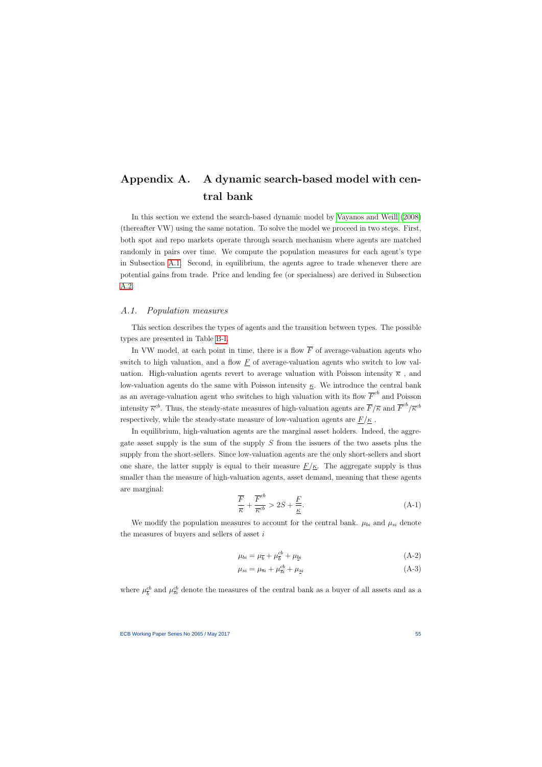# Appendix A. A dynamic search-based model with central bank

In this section we extend the search-based dynamic model by [Vayanos and Weill](#page-65-0) [\(2008\)](#page-65-0) (thereafter VW) using the same notation. To solve the model we proceed in two steps. First, both spot and repo markets operate through search mechanism where agents are matched randomly in pairs over time. We compute the population measures for each agent's type in Subsection [A.1.](#page-55-0) Second, in equilibrium, the agents agree to trade whenever there are potential gains from trade. Price and lending fee (or specialness) are derived in Subsection [A.2.](#page-57-0)

### A.1. Population measures

This section describes the types of agents and the transition between types. The possible types are presented in Table [B-I.](#page-47-0)

In VW model, at each point in time, there is a flow  $\overline{F}$  of average-valuation agents who switch to high valuation, and a flow  $\underline{F}$  of average-valuation agents who switch to low valuation. High-valuation agents revert to average valuation with Poisson intensity  $\overline{\kappa}$ , and low-valuation agents do the same with Poisson intensity  $\kappa$ . We introduce the central bank as an average-valuation agent who switches to high valuation with its flow  $\overline{F}^{cb}$  and Poisson intensity  $\bar{\kappa}^{cb}$ . Thus, the steady-state measures of high-valuation agents are  $\bar{F}/\bar{\kappa}$  and  $\bar{F}^{cb}/\bar{\kappa}^{cb}$ respectively, while the steady-state measure of low-valuation agents are  $\underline{F}/\underline{\kappa}$ .

<span id="page-55-0"></span>In equilibrium, high-valuation agents are the marginal asset holders. Indeed, the aggregate asset supply is the sum of the supply S from the issuers of the two assets plus the supply from the short-sellers. Since low-valuation agents are the only short-sellers and short one share, the latter supply is equal to their measure  $\underline{F}/\underline{\kappa}$ . The aggregate supply is thus smaller than the measure of high-valuation agents, asset demand, meaning that these agents are marginal:

$$
\frac{\overline{F}}{\overline{\kappa}} + \frac{\overline{F}^{cb}}{\overline{\kappa}^{cb}} > 2S + \frac{\overline{F}}{\underline{\kappa}}.
$$
\n(A-1)

We modify the population measures to account for the central bank.  $\mu_{bi}$  and  $\mu_{si}$  denote the measures of buyers and sellers of asset  $i$ 

$$
\mu_{bi} = \mu_{\bar{b}} + \mu_{\bar{b}}^{cb} + \mu_{\underline{b}i} \tag{A-2}
$$

$$
\mu_{si} = \mu_{\overline{si}} + \mu_{\overline{si}}^{\prime b} + \mu_{\underline{si}} \tag{A-3}
$$

where  $\mu_{\overline{k}}^{cb}$  $\frac{c}{b}$  and  $\mu_{\overline{s}i}^{cb}$  denote the measures of the central bank as a buyer of all assets and as a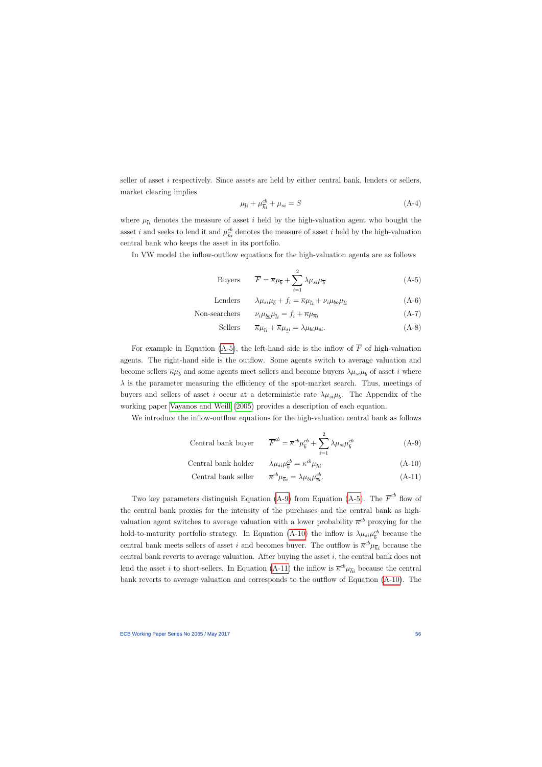seller of asset  $i$  respectively. Since assets are held by either central bank, lenders or sellers, market clearing implies

$$
\mu_{\bar{l}i} + \mu_{\bar{h}i}^{cb} + \mu_{si} = S \tag{A-4}
$$

where  $\mu_{\bar{i}i}$  denotes the measure of asset i held by the high-valuation agent who bought the asset *i* and seeks to lend it and  $\mu_{\overline{h}i}^{cb}$  denotes the measure of asset *i* held by the high-valuation central bank who keeps the asset in its portfolio.

In VW model the inflow-outflow equations for the high-valuation agents are as follows

Buyers 
$$
\overline{F} = \overline{\kappa}\mu_{\overline{b}} + \sum_{i=1}^{2} \lambda \mu_{si} \mu_{\overline{b}}
$$
 (A-5)

Lenders 
$$
\lambda \mu_{si} \mu_{\overline{b}} + f_i = \overline{\kappa} \mu_{\overline{l}i} + \nu_i \mu_{\underline{bo}} \mu_{\overline{l}i}
$$
 (A-6)

Non-searchers 
$$
\nu_i \mu_{\underline{b}\underline{b}} \mu_{\overline{i}i} = f_i + \overline{\kappa} \mu_{\overline{n}i}
$$
 (A-7)

<span id="page-56-0"></span>Sellers 
$$
\overline{\kappa}\mu_{\overline{i}i} + \overline{\kappa}\mu_{\underline{s}i} = \lambda \mu_{bi} \mu_{\overline{s}i}.
$$
 (A-8)

For example in Equation [\(A-5\)](#page-56-0), the left-hand side is the inflow of  $\overline{F}$  of high-valuation agents. The right-hand side is the outflow. Some agents switch to average valuation and become sellers  $\overline{\kappa}\mu_{\overline{b}}$  and some agents meet sellers and become buyers  $\lambda\mu_{si}\mu_{\overline{b}}$  of asset *i* where  $\lambda$  is the parameter measuring the efficiency of the spot-market search. Thus, meetings of buyers and sellers of asset i occur at a deterministic rate  $\lambda \mu_{si} \mu_{\bar{b}}$ . The Appendix of the working paper [Vayanos and Weill](#page-65-1) [\(2005\)](#page-65-1) provides a description of each equation.

We introduce the inflow-outflow equations for the high-valuation central bank as follows

Central bank buyer 
$$
\overline{F}^{cb} = \overline{\kappa}^{cb} \mu_{\overline{b}}^{cb} + \sum_{i=1}^{2} \lambda \mu_{si} \mu_{\overline{b}}^{cb}
$$
 (A-9)

Central bank holder 
$$
\lambda \mu_{si} \mu_{\overline{b}}^{cb} = \overline{\kappa}^{cb} \mu_{\overline{h}i}
$$
 (A-10)

<span id="page-56-3"></span><span id="page-56-2"></span><span id="page-56-1"></span>Central bank seller 
$$
\overline{\kappa}^{cb} \mu_{\overline{h}i} = \lambda \mu_{bi} \mu_{\overline{s}i}^{cb}.
$$
 (A-11)

Two key parameters distinguish Equation [\(A-9\)](#page-56-1) from Equation [\(A-5\)](#page-56-0). The  $\overline{F}^{cb}$  flow of the central bank proxies for the intensity of the purchases and the central bank as highvaluation agent switches to average valuation with a lower probability  $\bar{\kappa}^{cb}$  proxying for the hold-to-maturity portfolio strategy. In Equation [\(A-10\)](#page-56-2) the inflow is  $\lambda \mu_{si} \mu_{\overline{h}}^{cb}$  $\frac{cb}{b}$  because the central bank meets sellers of asset i and becomes buyer. The outflow is  $\bar{\kappa}^{cb}\mu_{\bar{h}i}$  because the central bank reverts to average valuation. After buying the asset  $i$ , the central bank does not lend the asset *i* to short-sellers. In Equation [\(A-11\)](#page-56-3) the inflow is  $\bar{\kappa}^{cb}\mu_{\bar{h}i}$  because the central bank reverts to average valuation and corresponds to the outflow of Equation [\(A-10\)](#page-56-2). The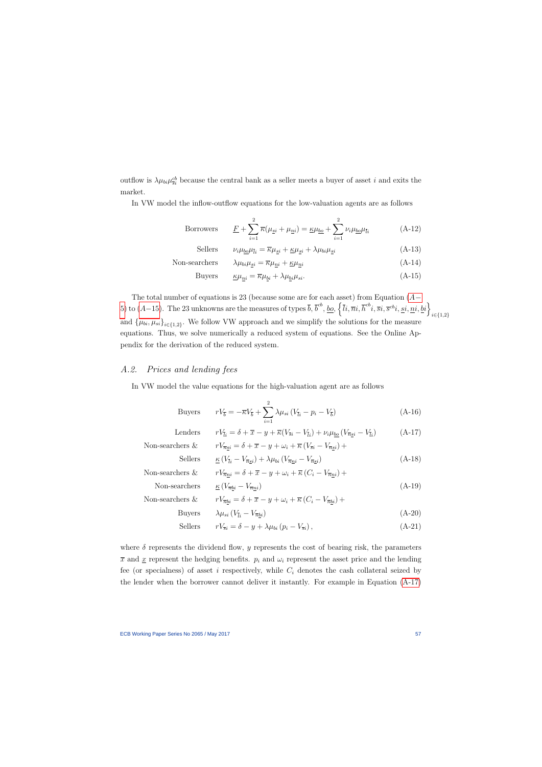outflow is  $\lambda \mu_{bi} \mu_{si}^{cb}$  because the central bank as a seller meets a buyer of asset i and exits the market.

In VW model the inflow-outflow equations for the low-valuation agents are as follows

Borrowers 
$$
\underline{F} + \sum_{i=1}^{2} \overline{\kappa}(\mu_{\underline{s}i} + \mu_{\underline{n}i}) = \underline{\kappa}\mu_{\underline{b}\underline{o}} + \sum_{i=1}^{2} \nu_{i}\mu_{\underline{b}\underline{o}}\mu_{\overline{l}i}
$$
 (A-12)

Sellers 
$$
\nu_i \mu_{\underline{b} \underline{a}} \mu_{\overline{l}i} = \overline{\kappa} \mu_{\underline{s}i} + \underline{\kappa} \mu_{\underline{s}i} + \lambda \mu_{bi} \mu_{\underline{s}i}
$$
 (A-13)

Non-searchers 
$$
\lambda \mu_{bi} \mu_{si} = \overline{\kappa} \mu_{ni} + \underline{\kappa} \mu_{ni}
$$
 (A-14)

Buyers 
$$
\underline{\kappa}\mu_{\underline{n}i} = \overline{\kappa}\mu_{\underline{b}i} + \lambda\mu_{\underline{b}i}\mu_{si}.
$$
 (A-15)

The total number of equations is 23 (because some are for each asset) from Equation  $(A-$ [5\)](#page-56-0) to  $(A-15)$  $(A-15)$ . The 23 unknowns are the measures of types  $\bar{b}$ ,  $\bar{b}^{cb}$ ,  $\underline{b}\underline{o}$ ,  $\left\{\bar{l}i,\bar{m}i,\bar{h}^{cb}i,\bar{s}i,\bar{s}^{cb}i,\underline{si},\underline{n}i,\underline{bi}\right\}$ i∈{1,2} and  $\{\mu_{bi}, \mu_{si}\}_{i \in \{1,2\}}$ . We follow VW approach and we simplify the solutions for the measure equations. Thus, we solve numerically a reduced system of equations. See the Online Appendix for the derivation of the reduced system.

### A.2. Prices and lending fees

In VW model the value equations for the high-valuation agent are as follows

<span id="page-57-3"></span><span id="page-57-1"></span>Buyers 
$$
rV_{\overline{b}} = -\overline{\kappa}V_{\overline{b}} + \sum_{i=1}^{2} \lambda \mu_{si} (V_{\overline{l}i} - p_i - V_{\overline{b}})
$$
 (A-16)

| Lenders            | $rV_{\bar{i}i} = \delta + \overline{x} - y + \overline{\kappa}(V_{\bar{s}i} - V_{\bar{i}i}) + \nu_i \mu_{bo} (V_{\bar{n}si} - V_{\bar{i}i})$ | $(A-17)$ |
|--------------------|----------------------------------------------------------------------------------------------------------------------------------------------|----------|
| Non-searchers $\&$ | $rV_{\overline{n}si} = \delta + \overline{x} - y + \omega_i + \overline{\kappa} (V_{\overline{si}} - V_{\overline{n}si}) +$                  |          |
| Sellers            | $\kappa (V_{\overline{i}i} - V_{\overline{n}si}) + \lambda \mu_{bi} (V_{\overline{n}ni} - V_{\overline{n}si})$                               | $(A-18)$ |
| Non-searchers $\&$ | $rV_{\overline{n}ni} = \delta + \overline{x} - y + \omega_i + \overline{\kappa} (C_i - V_{\overline{n}ni}) +$                                |          |
| Non-searchers      | $K\left(V_{\overline{n}bi}-V_{\overline{n}ni}\right)$                                                                                        | $(A-19)$ |
| Non-searchers $\&$ | $rV_{\overline{n}bi} = \delta + \overline{x} - y + \omega_i + \overline{\kappa} (C_i - V_{\overline{n}bi}) +$                                |          |
| <b>Buyers</b>      | $\lambda \mu_{si} (V_{\bar{i}i} - V_{\bar{n}bi})$                                                                                            | $(A-20)$ |
| Sellers            | $rV_{\overline{si}} = \delta - y + \lambda \mu_{bi} (p_i - V_{\overline{si}}),$                                                              | $(A-21)$ |

<span id="page-57-2"></span><span id="page-57-0"></span>where  $\delta$  represents the dividend flow, y represents the cost of bearing risk, the parameters  $\bar{x}$  and  $\underline{x}$  represent the hedging benefits.  $p_i$  and  $\omega_i$  represent the asset price and the lending fee (or specialness) of asset i respectively, while  $C_i$  denotes the cash collateral seized by the lender when the borrower cannot deliver it instantly. For example in Equation [\(A-17\)](#page-57-2)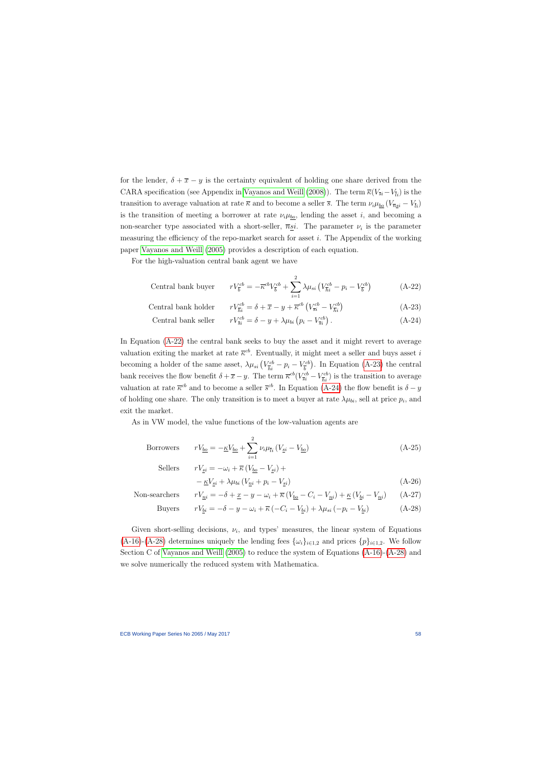for the lender,  $\delta + \overline{x} - y$  is the certainty equivalent of holding one share derived from the CARA specification (see Appendix in [Vayanos and Weill](#page-65-0) [\(2008\)](#page-65-0)). The term  $\overline{\kappa}(V_{\overline{s}i}-V_{\overline{i}i})$  is the transition to average valuation at rate  $\bar{\kappa}$  and to become a seller  $\bar{s}$ . The term  $\nu_i\mu_{\underline{bo}}(V_{\bar{ns}i} - V_{\bar{li}})$ is the transition of meeting a borrower at rate  $\nu_i\mu_{bo}$ , lending the asset i, and becoming a non-searcher type associated with a short-seller,  $\overline{n}$ <sub>si</sub>. The parameter  $\nu_i$  is the parameter measuring the efficiency of the repo-market search for asset i. The Appendix of the working paper [Vayanos and Weill](#page-65-1) [\(2005\)](#page-65-1) provides a description of each equation.

For the high-valuation central bank agent we have

Central bank buyer 
$$
rV_{\overline{b}}^{cb} = -\overline{\kappa}^{cb}V_{\overline{b}}^{cb} + \sum_{i=1}^{2} \lambda \mu_{si} \left( V_{\overline{h}i}^{cb} - p_i - V_{\overline{b}}^{cb} \right)
$$
 (A-22)

Central bank holder  $\frac{\partial^{ccb}}{\partial h^{i}} = \delta + \overline{x} - y + \overline{\kappa}^{cb} \left( V_{\overline{s}i}^{cb} - V_{\overline{h}i}^{cb} \right)$  $\frac{rcb}{\overline{h}i}\Big)$ (A-23)

Central bank seller 
$$
rV_{\overline{s}i}^{cb} = \delta - y + \lambda \mu_{bi} (p_i - V_{\overline{s}i}^{cb})
$$
. (A-24)

In Equation [\(A-22\)](#page-58-0) the central bank seeks to buy the asset and it might revert to average valuation exiting the market at rate  $\bar{\kappa}^{cb}$ . Eventually, it might meet a seller and buys asset i becoming a holder of the same asset,  $\lambda \mu_{si} (V^{cb}_{\bar{h}i} - p_i - V^{cb}_{\bar{b}})$  $\binom{ccb}{b}$ . In Equation [\(A-23\)](#page-58-1) the central bank receives the flow benefit  $\delta + \overline{x} - y$ . The term  $\overline{\kappa}^{cb}(V_{\overline{s}i}^{cb} - V_{\overline{h}i}^{cb})$  is the transition to average valuation at rate  $\bar{\kappa}^{cb}$  and to become a seller  $\bar{s}^{cb}$ . In Equation [\(A-24\)](#page-58-2) the flow benefit is  $\delta - y$ of holding one share. The only transition is to meet a buyer at rate  $\lambda \mu_{bi}$ , sell at price  $p_i$ , and exit the market.

As in VW model, the value functions of the low-valuation agents are

Borrowers 
$$
rV_{\underline{b}\underline{o}} = -\underline{\kappa}V_{\underline{b}\underline{o}} + \sum_{i=1}^{2} \nu_i \mu_{\overline{l}i} (V_{\underline{s}i} - V_{\underline{b}\underline{o}})
$$
 (A-25)

Sellers  $rV_{si} = -\omega_i + \overline{\kappa} (V_{bo} - V_{si}) +$ 

<span id="page-58-3"></span><span id="page-58-2"></span><span id="page-58-1"></span><span id="page-58-0"></span>
$$
-\underline{\kappa}V_{si} + \lambda\mu_{bi}\left(V_{ni} + p_i - V_{si}\right) \tag{A-26}
$$

Non-searchers 
$$
rV_{\underline{n}i} = -\delta + \underline{x} - y - \omega_i + \overline{\kappa} \left( V_{\underline{b}o} - C_i - V_{\underline{n}i} \right) + \underline{\kappa} \left( V_{\underline{b}i} - V_{\underline{n}i} \right) \tag{A-27}
$$

Buyers 
$$
rV_{\underline{b}i} = -\delta - y - \omega_i + \overline{\kappa} \left( -C_i - V_{\underline{b}i} \right) + \lambda \mu_{si} \left( -p_i - V_{\underline{b}i} \right)
$$
(A-28)

Given short-selling decisions,  $\nu_i$ , and types' measures, the linear system of Equations [\(A-16\)](#page-57-3)-[\(A-28\)](#page-58-3) determines uniquely the lending fees  $\{\omega_i\}_{i\in{1,2}}$  and prices  $\{p\}_{i\in{1,2}}$ . We follow Section C of [Vayanos and Weill](#page-65-1) [\(2005\)](#page-65-1) to reduce the system of Equations [\(A-16\)](#page-57-3)-[\(A-28\)](#page-58-3) and we solve numerically the reduced system with Mathematica.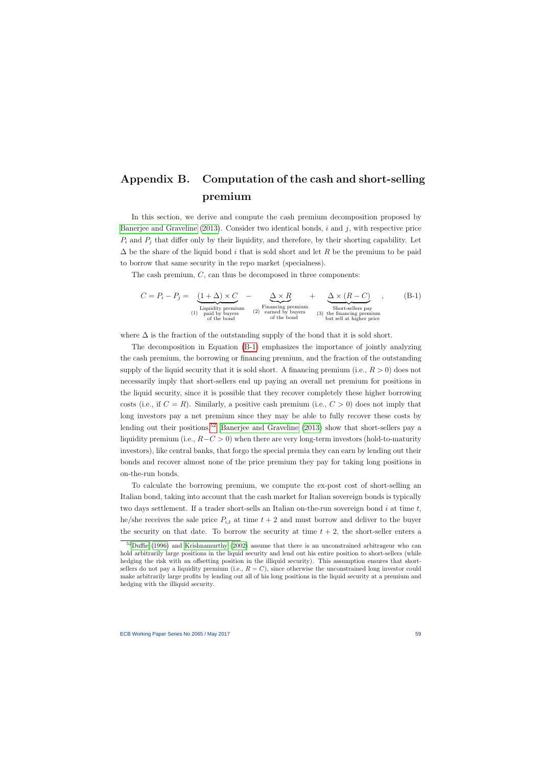# Appendix B. Computation of the cash and short-selling premium

In this section, we derive and compute the cash premium decomposition proposed by [Banerjee and Graveline](#page-61-1)  $(2013)$ . Consider two identical bonds, i and j, with respective price  $P_i$  and  $P_j$  that differ only by their liquidity, and therefore, by their shorting capability. Let  $\Delta$  be the share of the liquid bond i that is sold short and let R be the premium to be paid to borrow that same security in the repo market (specialness).

The cash premium,  $C$ , can thus be decomposed in three components:

$$
C = P_i - P_j = \underbrace{(1 + \Delta) \times C}_{\text{Liquidity premium}} - \underbrace{\Delta \times R}_{\text{Financeing premium}} + \underbrace{\Delta \times (R - C)}_{\text{Short-sellers pay}}, \qquad (B-1)
$$
\n
$$
(1) \begin{array}{c}\n\text{Liquidity premium} \\
\text{paid by buyers} \\
\text{of the bond}\n\end{array}
$$
\n
$$
(2) \begin{array}{c}\n\text{Financeing premium} \\
\text{and by buyers} \\
\text{of the bond}\n\end{array}
$$
\n
$$
(3) \begin{array}{c}\n\text{Short-sellers pay} \\
\text{the financing premium} \\
\text{but sell at higher price}\n\end{array}
$$

where  $\Delta$  is the fraction of the outstanding supply of the bond that it is sold short.

The decomposition in Equation [\(B-1\)](#page-59-0) emphasizes the importance of jointly analyzing the cash premium, the borrowing or financing premium, and the fraction of the outstanding supply of the liquid security that it is sold short. A financing premium (i.e.,  $R > 0$ ) does not necessarily imply that short-sellers end up paying an overall net premium for positions in the liquid security, since it is possible that they recover completely these higher borrowing costs (i.e., if  $C = R$ ). Similarly, a positive cash premium (i.e.,  $C > 0$ ) does not imply that long investors pay a net premium since they may be able to fully recover these costs by lending out their positions.<sup>[52](#page-59-1)</sup> [Banerjee and Graveline](#page-61-1)  $(2013)$  show that short-sellers pay a liquidity premium (i.e.,  $R-C>0$ ) when there are very long-term investors (hold-to-maturity investors), like central banks, that forgo the special premia they can earn by lending out their bonds and recover almost none of the price premium they pay for taking long positions in on-the-run bonds.

<span id="page-59-0"></span>To calculate the borrowing premium, we compute the ex-post cost of short-selling an Italian bond, taking into account that the cash market for Italian sovereign bonds is typically two days settlement. If a trader short-sells an Italian on-the-run sovereign bond  $i$  at time  $t$ , he/she receives the sale price  $P_{i,t}$  at time  $t+2$  and must borrow and deliver to the buyer the security on that date. To borrow the security at time  $t + 2$ , the short-seller enters a

<span id="page-59-1"></span> $52$ [Duffie](#page-62-1) [\(1996\)](#page-62-1) and [Krishnamurthy](#page-64-0) [\(2002\)](#page-64-0) assume that there is an unconstrained arbitrageur who can hold arbitrarily large positions in the liquid security and lend out his entire position to short-sellers (while hedging the risk with an offsetting position in the illiquid security). This assumption ensures that shortsellers do not pay a liquidity premium (i.e.,  $R = C$ ), since otherwise the unconstrained long investor could make arbitrarily large profits by lending out all of his long positions in the liquid security at a premium and hedging with the illiquid security.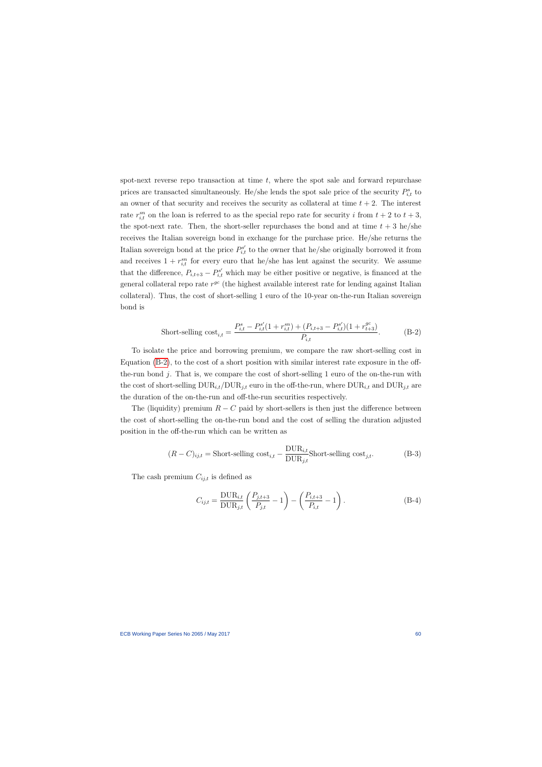spot-next reverse repo transaction at time  $t$ , where the spot sale and forward repurchase prices are transacted simultaneously. He/she lends the spot sale price of the security  $P_{i,t}^s$  to an owner of that security and receives the security as collateral at time  $t + 2$ . The interest rate  $r_{i,t}^{sn}$  on the loan is referred to as the special repo rate for security i from  $t + 2$  to  $t + 3$ , the spot-next rate. Then, the short-seller repurchases the bond and at time  $t + 3$  he/she receives the Italian sovereign bond in exchange for the purchase price. He/she returns the Italian sovereign bond at the price  $P_{i,t}^{s'}$  to the owner that he/she originally borrowed it from and receives  $1 + r_{i,t}^{sn}$  for every euro that he/she has lent against the security. We assume that the difference,  $P_{i,t+3} - P_{i,t}^{s'}$  which may be either positive or negative, is financed at the general collateral repo rate  $r^{gc}$  (the highest available interest rate for lending against Italian collateral). Thus, the cost of short-selling 1 euro of the 10-year on-the-run Italian sovereign bond is

$$
\text{Short-selling cost}_{i,t} = \frac{P_{i,t}^s - P_{i,t}^{s'}(1 + r_{i,t}^{sn}) + (P_{i,t+3} - P_{i,t}^{s'})(1 + r_{t+3}^{gc})}{P_{i,t}}.
$$
\n(B-2)

To isolate the price and borrowing premium, we compare the raw short-selling cost in Equation [\(B-2\)](#page-60-0), to the cost of a short position with similar interest rate exposure in the offthe-run bond j. That is, we compare the cost of short-selling 1 euro of the on-the-run with the cost of short-selling  $\text{DUR}_{i,t}/\text{DUR}_{j,t}$  euro in the off-the-run, where  $\text{DUR}_{i,t}$  and  $\text{DUR}_{j,t}$  are the duration of the on-the-run and off-the-run securities respectively.

The (liquidity) premium  $R - C$  paid by short-sellers is then just the difference between the cost of short-selling the on-the-run bond and the cost of selling the duration adjusted position in the off-the-run which can be written as

$$
(R - C)_{ij,t} = \text{Short-selling cost}_{i,t} - \frac{\text{DUR}_{i,t}}{\text{DUR}_{j,t}} \text{Short-selling cost}_{j,t}.
$$
 (B-3)

<span id="page-60-0"></span>The cash premium  $C_{ij,t}$  is defined as

$$
C_{ij,t} = \frac{\text{DUR}_{i,t}}{\text{DUR}_{j,t}} \left( \frac{P_{j,t+3}}{P_{j,t}} - 1 \right) - \left( \frac{P_{i,t+3}}{P_{i,t}} - 1 \right). \tag{B-4}
$$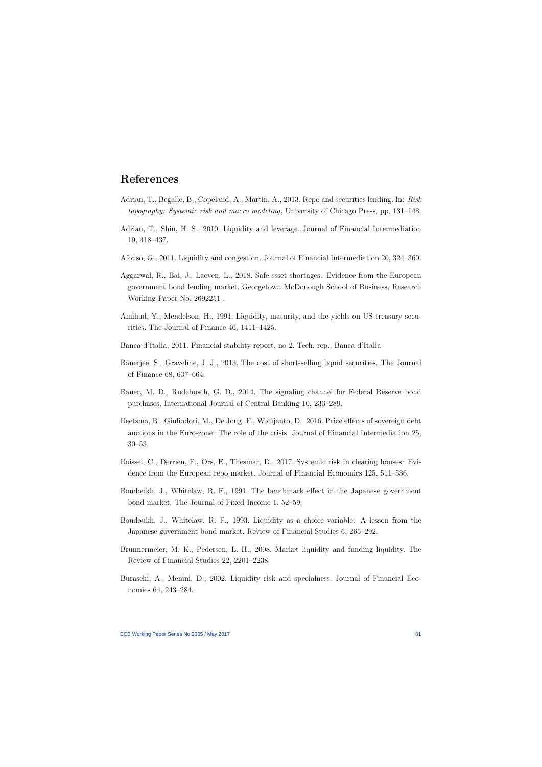## References

- Adrian, T., Begalle, B., Copeland, A., Martin, A., 2013. Repo and securities lending. In: Risk topography: Systemic risk and macro modeling, University of Chicago Press, pp. 131–148.
- Adrian, T., Shin, H. S., 2010. Liquidity and leverage. Journal of Financial Intermediation 19, 418–437.
- Afonso, G., 2011. Liquidity and congestion. Journal of Financial Intermediation 20, 324–360.
- Aggarwal, R., Bai, J., Laeven, L., 2018. Safe ssset shortages: Evidence from the European government bond lending market. Georgetown McDonough School of Business, Research Working Paper No. 2692251 .
- Amihud, Y., Mendelson, H., 1991. Liquidity, maturity, and the yields on US treasury securities. The Journal of Finance 46, 1411–1425.
- Banca d'Italia, 2011. Financial stability report, no 2. Tech. rep., Banca d'Italia.
- Banerjee, S., Graveline, J. J., 2013. The cost of short-selling liquid securities. The Journal of Finance 68, 637–664.
- <span id="page-61-0"></span>Bauer, M. D., Rudebusch, G. D., 2014. The signaling channel for Federal Reserve bond purchases. International Journal of Central Banking 10, 233–289.
- Beetsma, R., Giuliodori, M., De Jong, F., Widijanto, D., 2016. Price effects of sovereign debt auctions in the Euro-zone: The role of the crisis. Journal of Financial Intermediation 25, 30–53.
- Boissel, C., Derrien, F., Ors, E., Thesmar, D., 2017. Systemic risk in clearing houses: Evidence from the European repo market. Journal of Financial Economics 125, 511–536.
- <span id="page-61-1"></span>Boudoukh, J., Whitelaw, R. F., 1991. The benchmark effect in the Japanese government bond market. The Journal of Fixed Income 1, 52–59.
- Boudoukh, J., Whitelaw, R. F., 1993. Liquidity as a choice variable: A lesson from the Japanese government bond market. Review of Financial Studies 6, 265–292.
- Brunnermeier, M. K., Pedersen, L. H., 2008. Market liquidity and funding liquidity. The Review of Financial Studies 22, 2201–2238.
- Buraschi, A., Menini, D., 2002. Liquidity risk and specialness. Journal of Financial Economics 64, 243–284.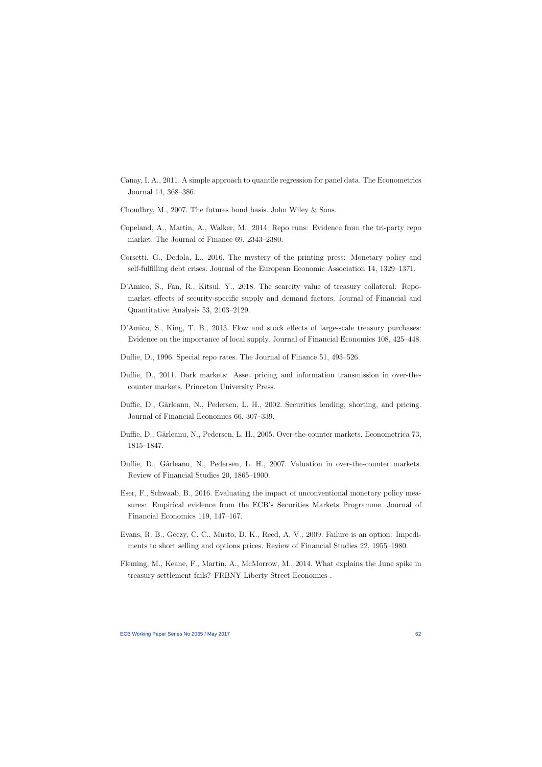- Canay, I. A., 2011. A simple approach to quantile regression for panel data. The Econometrics Journal 14, 368–386.
- Choudhry, M., 2007. The futures bond basis. John Wiley & Sons.
- Copeland, A., Martin, A., Walker, M., 2014. Repo runs: Evidence from the tri-party repo market. The Journal of Finance 69, 2343–2380.
- Corsetti, G., Dedola, L., 2016. The mystery of the printing press: Monetary policy and self-fulfilling debt crises. Journal of the European Economic Association 14, 1329–1371.
- D'Amico, S., Fan, R., Kitsul, Y., 2018. The scarcity value of treasury collateral: Repomarket effects of security-specific supply and demand factors. Journal of Financial and Quantitative Analysis 53, 2103–2129.
- D'Amico, S., King, T. B., 2013. Flow and stock effects of large-scale treasury purchases: Evidence on the importance of local supply. Journal of Financial Economics 108, 425–448.
- Duffie, D., 1996. Special repo rates. The Journal of Finance 51, 493–526.
- Duffie, D., 2011. Dark markets: Asset pricing and information transmission in over-thecounter markets. Princeton University Press.
- Duffie, D., Gârleanu, N., Pedersen, L. H., 2002. Securities lending, shorting, and pricing. Journal of Financial Economics 66, 307–339.
- Duffie, D., Gârleanu, N., Pedersen, L. H., 2005. Over-the-counter markets. Econometrica 73, 1815–1847.
- Duffie, D., Gârleanu, N., Pedersen, L. H., 2007. Valuation in over-the-counter markets. Review of Financial Studies 20, 1865–1900.
- <span id="page-62-1"></span>Eser, F., Schwaab, B., 2016. Evaluating the impact of unconventional monetary policy measures: Empirical evidence from the ECB's Securities Markets Programme. Journal of Financial Economics 119, 147–167.
- Evans, R. B., Geczy, C. C., Musto, D. K., Reed, A. V., 2009. Failure is an option: Impediments to short selling and options prices. Review of Financial Studies 22, 1955–1980.
- <span id="page-62-0"></span>Fleming, M., Keane, F., Martin, A., McMorrow, M., 2014. What explains the June spike in treasury settlement fails? FRBNY Liberty Street Economics .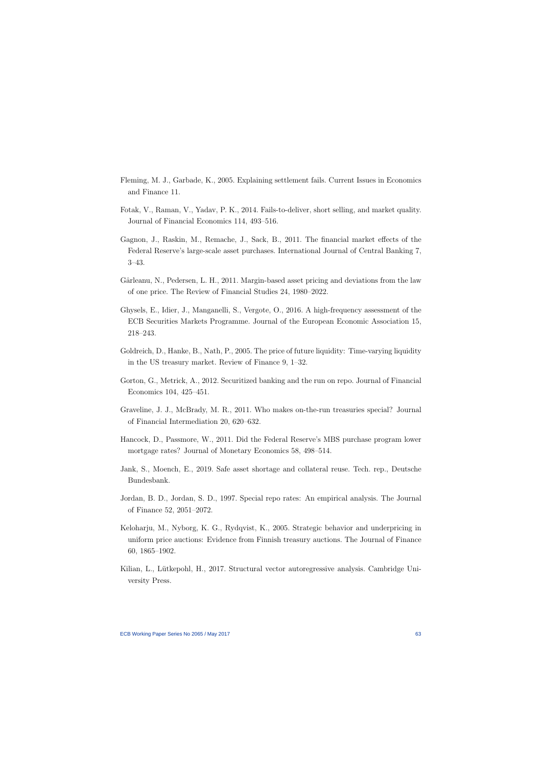- Fleming, M. J., Garbade, K., 2005. Explaining settlement fails. Current Issues in Economics and Finance 11.
- Fotak, V., Raman, V., Yadav, P. K., 2014. Fails-to-deliver, short selling, and market quality. Journal of Financial Economics 114, 493–516.
- Gagnon, J., Raskin, M., Remache, J., Sack, B., 2011. The financial market effects of the Federal Reserve's large-scale asset purchases. International Journal of Central Banking 7, 3–43.
- Gârleanu, N., Pedersen, L. H., 2011. Margin-based asset pricing and deviations from the law of one price. The Review of Financial Studies 24, 1980–2022.
- Ghysels, E., Idier, J., Manganelli, S., Vergote, O., 2016. A high-frequency assessment of the ECB Securities Markets Programme. Journal of the European Economic Association 15, 218–243.
- <span id="page-63-0"></span>Goldreich, D., Hanke, B., Nath, P., 2005. The price of future liquidity: Time-varying liquidity in the US treasury market. Review of Finance 9, 1–32.
- Gorton, G., Metrick, A., 2012. Securitized banking and the run on repo. Journal of Financial Economics 104, 425–451.
- Graveline, J. J., McBrady, M. R., 2011. Who makes on-the-run treasuries special? Journal of Financial Intermediation 20, 620–632.
- Hancock, D., Passmore, W., 2011. Did the Federal Reserve's MBS purchase program lower mortgage rates? Journal of Monetary Economics 58, 498–514.
- Jank, S., Moench, E., 2019. Safe asset shortage and collateral reuse. Tech. rep., Deutsche Bundesbank.
- Jordan, B. D., Jordan, S. D., 1997. Special repo rates: An empirical analysis. The Journal of Finance 52, 2051–2072.
- Keloharju, M., Nyborg, K. G., Rydqvist, K., 2005. Strategic behavior and underpricing in uniform price auctions: Evidence from Finnish treasury auctions. The Journal of Finance 60, 1865–1902.
- <span id="page-63-1"></span>Kilian, L., Lütkepohl, H., 2017. Structural vector autoregressive analysis. Cambridge University Press.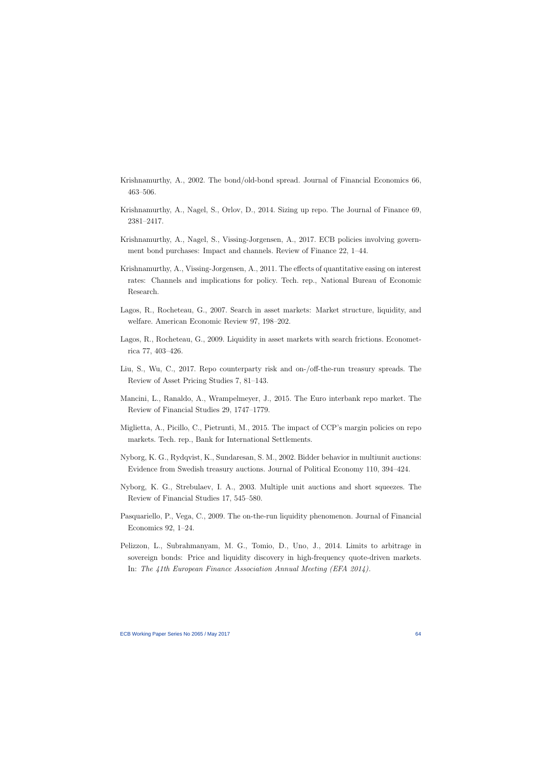- Krishnamurthy, A., 2002. The bond/old-bond spread. Journal of Financial Economics 66, 463–506.
- Krishnamurthy, A., Nagel, S., Orlov, D., 2014. Sizing up repo. The Journal of Finance 69, 2381–2417.
- Krishnamurthy, A., Nagel, S., Vissing-Jorgensen, A., 2017. ECB policies involving government bond purchases: Impact and channels. Review of Finance 22, 1–44.
- Krishnamurthy, A., Vissing-Jorgensen, A., 2011. The effects of quantitative easing on interest rates: Channels and implications for policy. Tech. rep., National Bureau of Economic Research.
- <span id="page-64-0"></span>Lagos, R., Rocheteau, G., 2007. Search in asset markets: Market structure, liquidity, and welfare. American Economic Review 97, 198–202.
- Lagos, R., Rocheteau, G., 2009. Liquidity in asset markets with search frictions. Econometrica 77, 403–426.
- Liu, S., Wu, C., 2017. Repo counterparty risk and on-/off-the-run treasury spreads. The Review of Asset Pricing Studies 7, 81–143.
- Mancini, L., Ranaldo, A., Wrampelmeyer, J., 2015. The Euro interbank repo market. The Review of Financial Studies 29, 1747–1779.
- Miglietta, A., Picillo, C., Pietrunti, M., 2015. The impact of CCP's margin policies on repo markets. Tech. rep., Bank for International Settlements.
- Nyborg, K. G., Rydqvist, K., Sundaresan, S. M., 2002. Bidder behavior in multiunit auctions: Evidence from Swedish treasury auctions. Journal of Political Economy 110, 394–424.
- Nyborg, K. G., Strebulaev, I. A., 2003. Multiple unit auctions and short squeezes. The Review of Financial Studies 17, 545–580.
- Pasquariello, P., Vega, C., 2009. The on-the-run liquidity phenomenon. Journal of Financial Economics 92, 1–24.
- Pelizzon, L., Subrahmanyam, M. G., Tomio, D., Uno, J., 2014. Limits to arbitrage in sovereign bonds: Price and liquidity discovery in high-frequency quote-driven markets. In: The 41th European Finance Association Annual Meeting (EFA 2014).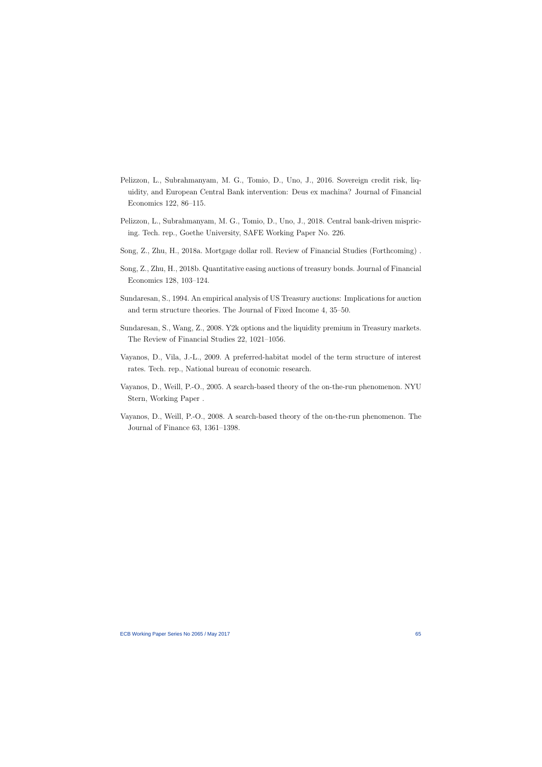- Pelizzon, L., Subrahmanyam, M. G., Tomio, D., Uno, J., 2016. Sovereign credit risk, liquidity, and European Central Bank intervention: Deus ex machina? Journal of Financial Economics 122, 86–115.
- Pelizzon, L., Subrahmanyam, M. G., Tomio, D., Uno, J., 2018. Central bank-driven mispricing. Tech. rep., Goethe University, SAFE Working Paper No. 226.
- Song, Z., Zhu, H., 2018a. Mortgage dollar roll. Review of Financial Studies (Forthcoming) .
- Song, Z., Zhu, H., 2018b. Quantitative easing auctions of treasury bonds. Journal of Financial Economics 128, 103–124.
- Sundaresan, S., 1994. An empirical analysis of US Treasury auctions: Implications for auction and term structure theories. The Journal of Fixed Income 4, 35–50.
- Sundaresan, S., Wang, Z., 2008. Y2k options and the liquidity premium in Treasury markets. The Review of Financial Studies 22, 1021–1056.
- Vayanos, D., Vila, J.-L., 2009. A preferred-habitat model of the term structure of interest rates. Tech. rep., National bureau of economic research.
- Vayanos, D., Weill, P.-O., 2005. A search-based theory of the on-the-run phenomenon. NYU Stern, Working Paper .
- <span id="page-65-1"></span><span id="page-65-0"></span>Vayanos, D., Weill, P.-O., 2008. A search-based theory of the on-the-run phenomenon. The Journal of Finance 63, 1361–1398.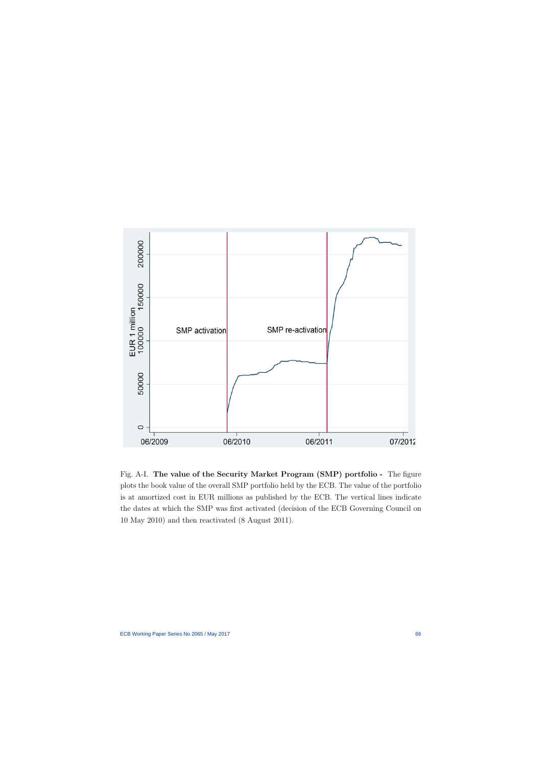

Fig. A-I. The value of the Security Market Program (SMP) portfolio - The figure plots the book value of the overall SMP portfolio held by the ECB. The value of the portfolio is at amortized cost in EUR millions as published by the ECB. The vertical lines indicate the dates at which the SMP was first activated (decision of the ECB Governing Council on 10 May 2010) and then reactivated (8 August 2011).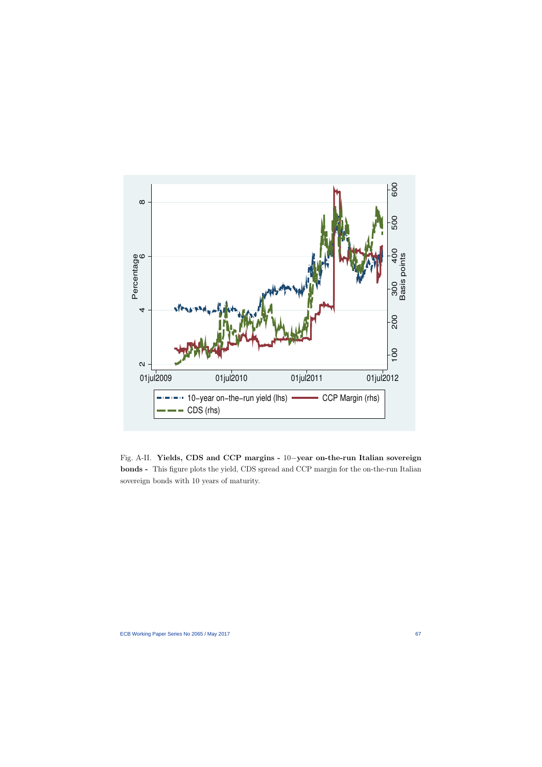

Fig. A-II. Yields, CDS and CCP margins - 10−year on-the-run Italian sovereign bonds - This figure plots the yield, CDS spread and CCP margin for the on-the-run Italian sovereign bonds with 10 years of maturity.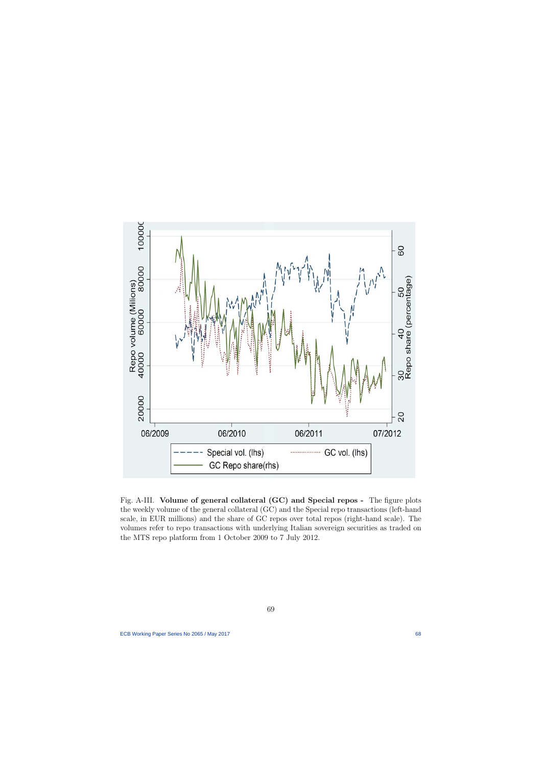

Fig. A-III. Volume of general collateral (GC) and Special repos - The figure plots the weekly volume of the general collateral (GC) and the Special repo transactions (left-hand scale, in EUR millions) and the share of GC repos over total repos (right-hand scale). The volumes refer to repo transactions with underlying Italian sovereign securities as traded on the MTS repo platform from 1 October 2009 to 7 July 2012.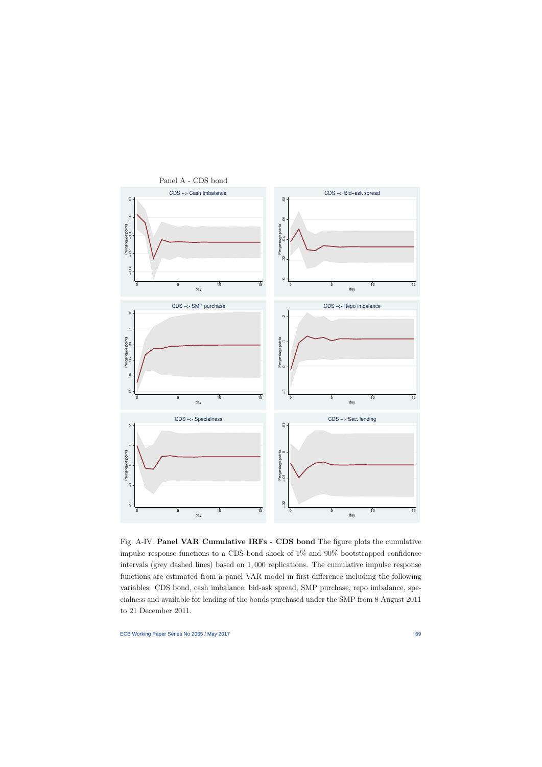

Fig. A-IV. Panel VAR Cumulative IRFs - CDS bond The figure plots the cumulative impulse response functions to a CDS bond shock of 1% and 90% bootstrapped confidence intervals (grey dashed lines) based on 1, 000 replications. The cumulative impulse response functions are estimated from a panel VAR model in first-difference including the following variables: CDS bond, cash imbalance, bid-ask spread, SMP purchase, repo imbalance, specialness and available for lending of the bonds purchased under the SMP from 8 August 2011 to 21 December 2011.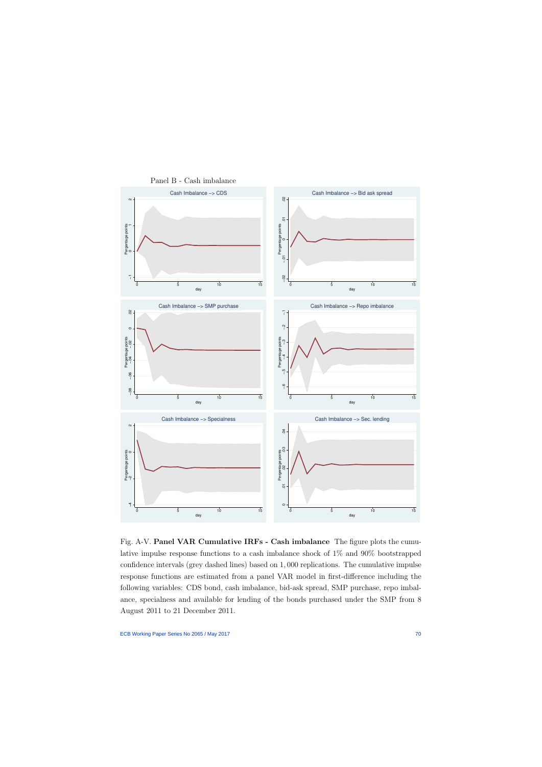

Panel B - Cash imbalance

Fig. A-V. Panel VAR Cumulative IRFs - Cash imbalance The figure plots the cumulative impulse response functions to a cash imbalance shock of 1% and 90% bootstrapped confidence intervals (grey dashed lines) based on 1, 000 replications. The cumulative impulse response functions are estimated from a panel VAR model in first-difference including the following variables: CDS bond, cash imbalance, bid-ask spread, SMP purchase, repo imbalance, specialness and available for lending of the bonds purchased under the SMP from 8 August 2011 to 21 December 2011.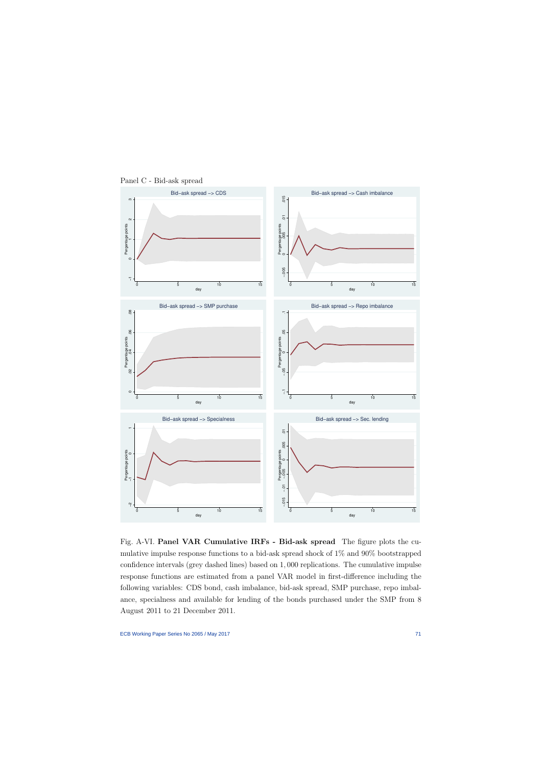

Panel C - Bid-ask spread

Fig. A-VI. Panel VAR Cumulative IRFs - Bid-ask spread The figure plots the cumulative impulse response functions to a bid-ask spread shock of 1% and 90% bootstrapped confidence intervals (grey dashed lines) based on 1, 000 replications. The cumulative impulse response functions are estimated from a panel VAR model in first-difference including the following variables: CDS bond, cash imbalance, bid-ask spread, SMP purchase, repo imbalance, specialness and available for lending of the bonds purchased under the SMP from 8 August 2011 to 21 December 2011.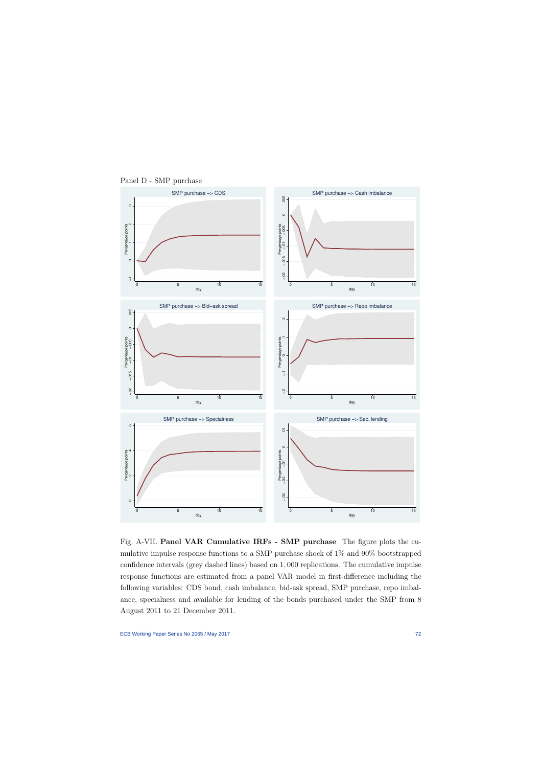

Panel D - SMP purchase

Fig. A-VII. Panel VAR Cumulative IRFs - SMP purchase The figure plots the cumulative impulse response functions to a SMP purchase shock of 1% and 90% bootstrapped confidence intervals (grey dashed lines) based on 1, 000 replications. The cumulative impulse response functions are estimated from a panel VAR model in first-difference including the following variables: CDS bond, cash imbalance, bid-ask spread, SMP purchase, repo imbalance, specialness and available for lending of the bonds purchased under the SMP from 8 August 2011 to 21 December 2011.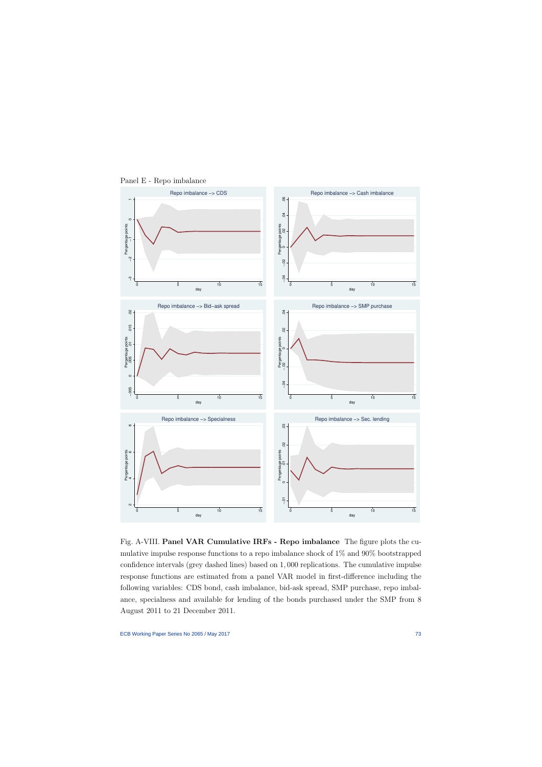

Panel E - Repo imbalance

Fig. A-VIII. Panel VAR Cumulative IRFs - Repo imbalance The figure plots the cumulative impulse response functions to a repo imbalance shock of 1% and 90% bootstrapped confidence intervals (grey dashed lines) based on 1, 000 replications. The cumulative impulse response functions are estimated from a panel VAR model in first-difference including the following variables: CDS bond, cash imbalance, bid-ask spread, SMP purchase, repo imbalance, specialness and available for lending of the bonds purchased under the SMP from 8 August 2011 to 21 December 2011.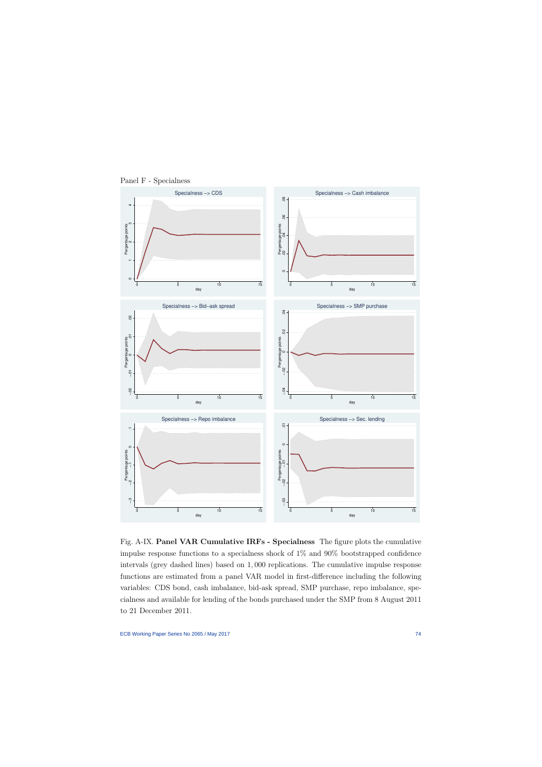

Panel F - Specialness

Fig. A-IX. Panel VAR Cumulative IRFs - Specialness The figure plots the cumulative impulse response functions to a specialness shock of 1% and 90% bootstrapped confidence intervals (grey dashed lines) based on 1, 000 replications. The cumulative impulse response functions are estimated from a panel VAR model in first-difference including the following variables: CDS bond, cash imbalance, bid-ask spread, SMP purchase, repo imbalance, specialness and available for lending of the bonds purchased under the SMP from 8 August 2011 to 21 December 2011.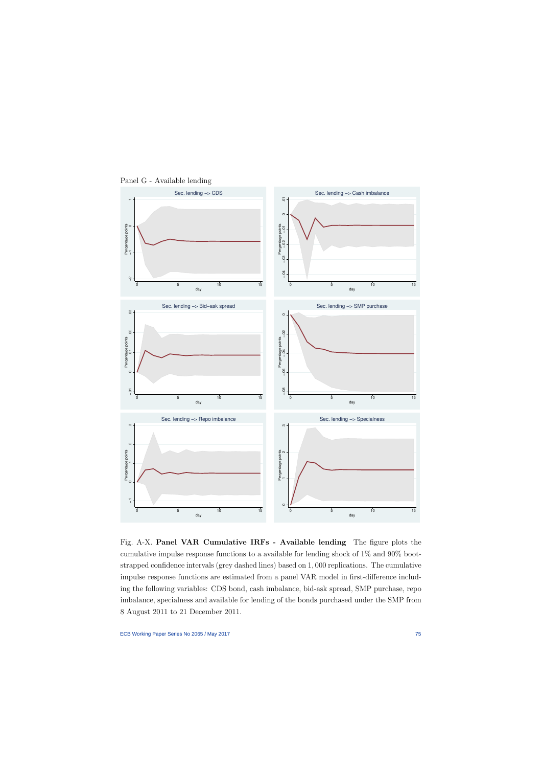

Panel G - Available lending

Fig. A-X. Panel VAR Cumulative IRFs - Available lending The figure plots the cumulative impulse response functions to a available for lending shock of 1% and 90% bootstrapped confidence intervals (grey dashed lines) based on 1, 000 replications. The cumulative impulse response functions are estimated from a panel VAR model in first-difference including the following variables: CDS bond, cash imbalance, bid-ask spread, SMP purchase, repo imbalance, specialness and available for lending of the bonds purchased under the SMP from 8 August 2011 to 21 December 2011.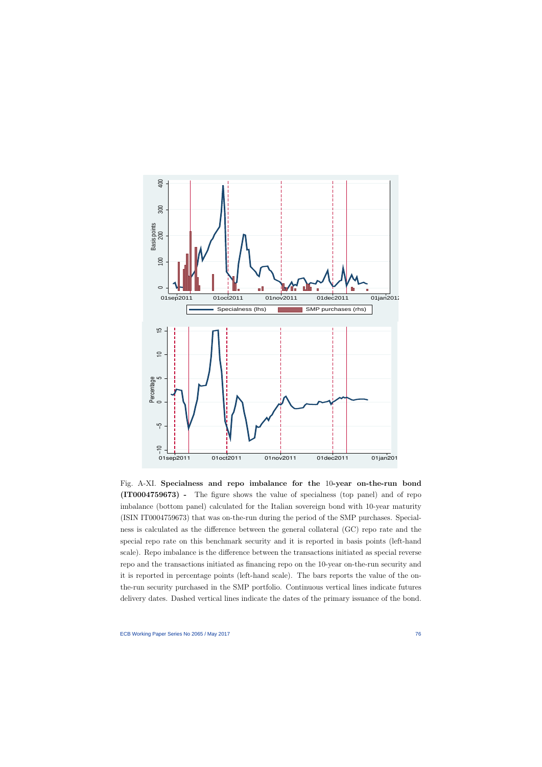

Fig. A-XI. Specialness and repo imbalance for the 10-year on-the-run bond (IT0004759673) - The figure shows the value of specialness (top panel) and of repo imbalance (bottom panel) calculated for the Italian sovereign bond with 10-year maturity (ISIN IT0004759673) that was on-the-run during the period of the SMP purchases. Specialness is calculated as the difference between the general collateral (GC) repo rate and the special repo rate on this benchmark security and it is reported in basis points (left-hand scale). Repo imbalance is the difference between the transactions initiated as special reverse repo and the transactions initiated as financing repo on the 10-year on-the-run security and it is reported in percentage points (left-hand scale). The bars reports the value of the onthe-run security purchased in the SMP portfolio. Continuous vertical lines indicate futures delivery dates. Dashed vertical lines indicate the dates of the primary issuance of the bond.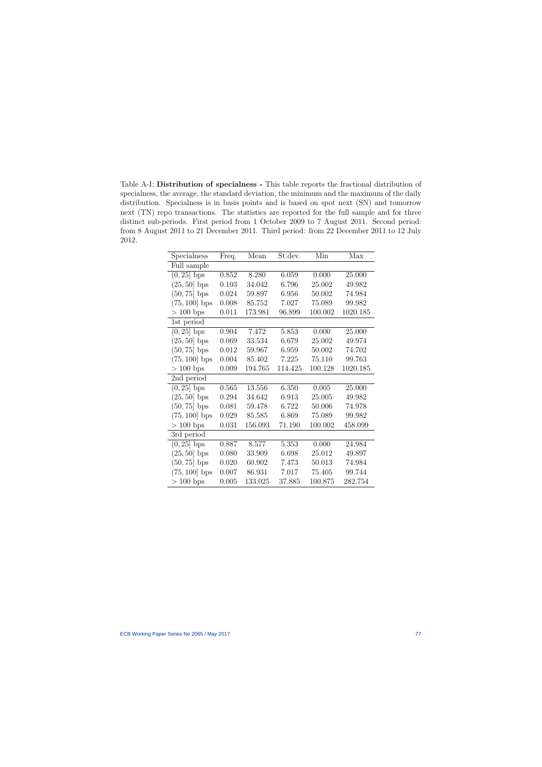Table A-I: Distribution of specialness - This table reports the fractional distribution of specialness, the average, the standard deviation, the minimum and the maximum of the daily distribution. Specialness is in basis points and is based on spot next (SN) and tomorrow next (TN) repo transactions. The statistics are reported for the full sample and for three distinct sub-periods. First period from 1 October 2009 to 7 August 2011. Second period: from 8 August 2011 to 21 December 2011. Third period: from 22 December 2011 to 12 July 2012.

| Specialness            | Freq. | Mean    | St.dev. | Min     | Max      |
|------------------------|-------|---------|---------|---------|----------|
| Full sample            |       |         |         |         |          |
| $(0, 25)$ bps          | 0.852 | 8.280   | 6.059   | 0.000   | 25.000   |
| $(25, 50)$ bps         | 0.103 | 34.042  | 6.796   | 25.002  | 49.982   |
| $(50, 75)$ bps         | 0.024 | 59.897  | 6.956   | 50.002  | 74.984   |
| $(75, 100)$ bps        | 0.008 | 85.752  | 7.027   | 75.089  | 99.982   |
| $> 100$ bps            | 0.011 | 173.981 | 96.899  | 100.002 | 1020.185 |
| 1st period             |       |         |         |         |          |
| $(0, 25)$ bps          | 0.904 | 7.472   | 5.853   | 0.000   | 25.000   |
| $(25, 50)$ bps         | 0.069 | 33.534  | 6.679   | 25.002  | 49.974   |
| $(50, 75)$ bps         | 0.012 | 59.967  | 6.959   | 50.002  | 74.702   |
| $(75, 100)$ bps        | 0.004 | 85.402  | 7.225   | 75.110  | 99.763   |
| $> 100$ bps            | 0.009 | 194.765 | 114.425 | 100.128 | 1020.185 |
| 2nd period             |       |         |         |         |          |
| $(0, 25)$ bps          | 0.565 | 13.556  | 6.350   | 0.005   | 25.000   |
| $(25, 50)$ bps         | 0.294 | 34.642  | 6.913   | 25.005  | 49.982   |
| $(50, 75)$ bps         | 0.081 | 59.478  | 6.722   | 50.006  | 74.978   |
| $(75, 100)$ bps        | 0.029 | 85.585  | 6.869   | 75.089  | 99.982   |
| $> 100$ bps            | 0.031 | 156.093 | 71.190  | 100.002 | 458.099  |
| 3rd period             |       |         |         |         |          |
| $(0, 25)$ bps          | 0.887 | 8.577   | 5.353   | 0.000   | 24.984   |
| $(25, 50)$ bps         | 0.080 | 33.909  | 6.698   | 25.012  | 49.897   |
| $(50, 75)$ bps         | 0.020 | 60.902  | 7.473   | 50.013  | 74.984   |
| $(75, 100)$ bps        | 0.007 | 86.931  | 7.017   | 75.405  | 99.744   |
| $>100\,\,\mathrm{bps}$ | 0.005 | 133.025 | 37.885  | 100.875 | 282.754  |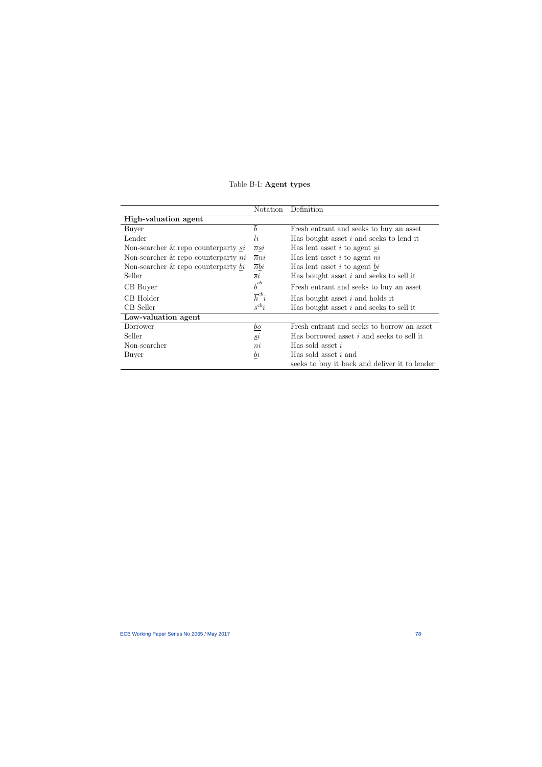|                                          | Notation               | Definition                                    |  |
|------------------------------------------|------------------------|-----------------------------------------------|--|
| High-valuation agent                     |                        |                                               |  |
| Buyer                                    | $\boldsymbol{b}$       | Fresh entrant and seeks to buy an asset       |  |
| Lender                                   | $\overline{li}$        | Has bought asset $i$ and seeks to lend it     |  |
| Non-searcher $\&$ repo counterparty si   | $\overline{n}$ si      | Has lent asset $i$ to agent $si$              |  |
| Non-searcher $\&$ repo counterparty ni   | $\overline{n}ni$       | Has lent asset $i$ to agent $ni$              |  |
| Non-searcher $\&$ repo counterparty $bi$ | $\overline{n}bi$       | Has lent asset $i$ to agent $\underline{bi}$  |  |
| Seller                                   | $\overline{s}i$        | Has bought asset $i$ and seeks to sell it     |  |
| CB Buyer                                 | $\bar b^{cb}$          | Fresh entrant and seeks to buy an asset       |  |
| CB Holder                                | $\overline{h}^{cb}i$   | Has bought asset $i$ and holds it             |  |
| CB Seller                                | $\overline{s}^{cb}i$   | Has bought asset $i$ and seeks to sell it     |  |
| Low-valuation agent                      |                        |                                               |  |
| <b>Borrower</b>                          | $\underline{bo}$       | Fresh entrant and seeks to borrow an asset    |  |
| Seller                                   | $\underline{s}i$       | Has borrowed asset $i$ and seeks to sell it   |  |
| Non-searcher                             | $\underline{ni}$       | Has sold asset $i$                            |  |
| Buyer                                    | $\mathfrak b$ <i>i</i> | Has sold asset $i$ and                        |  |
|                                          |                        | seeks to buy it back and deliver it to lender |  |